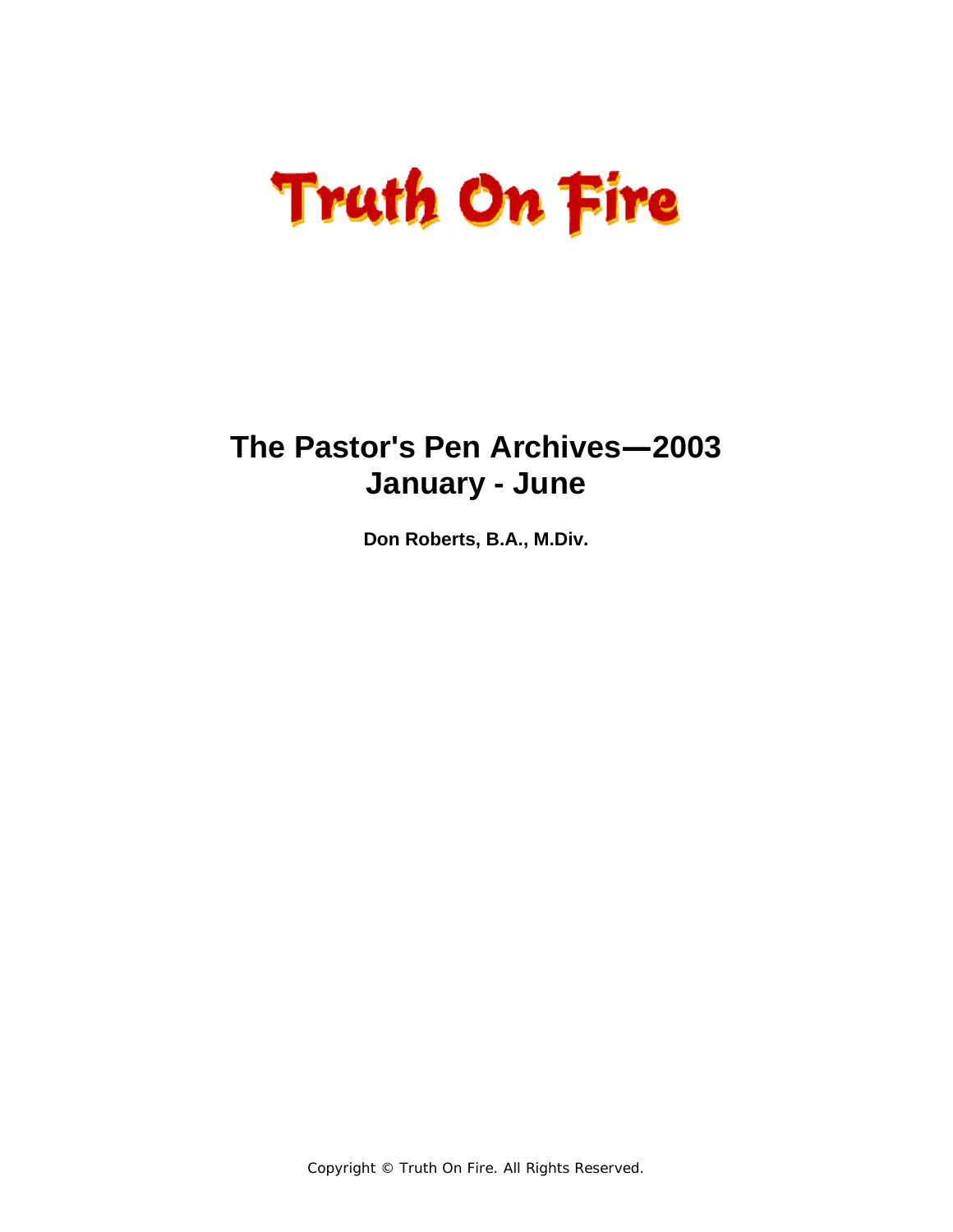### **The Pastor's Pen Archives—2003 January - June**

**Don Roberts, B.A., M.Div.** 

Copyright © Truth On Fire. All Rights Reserved.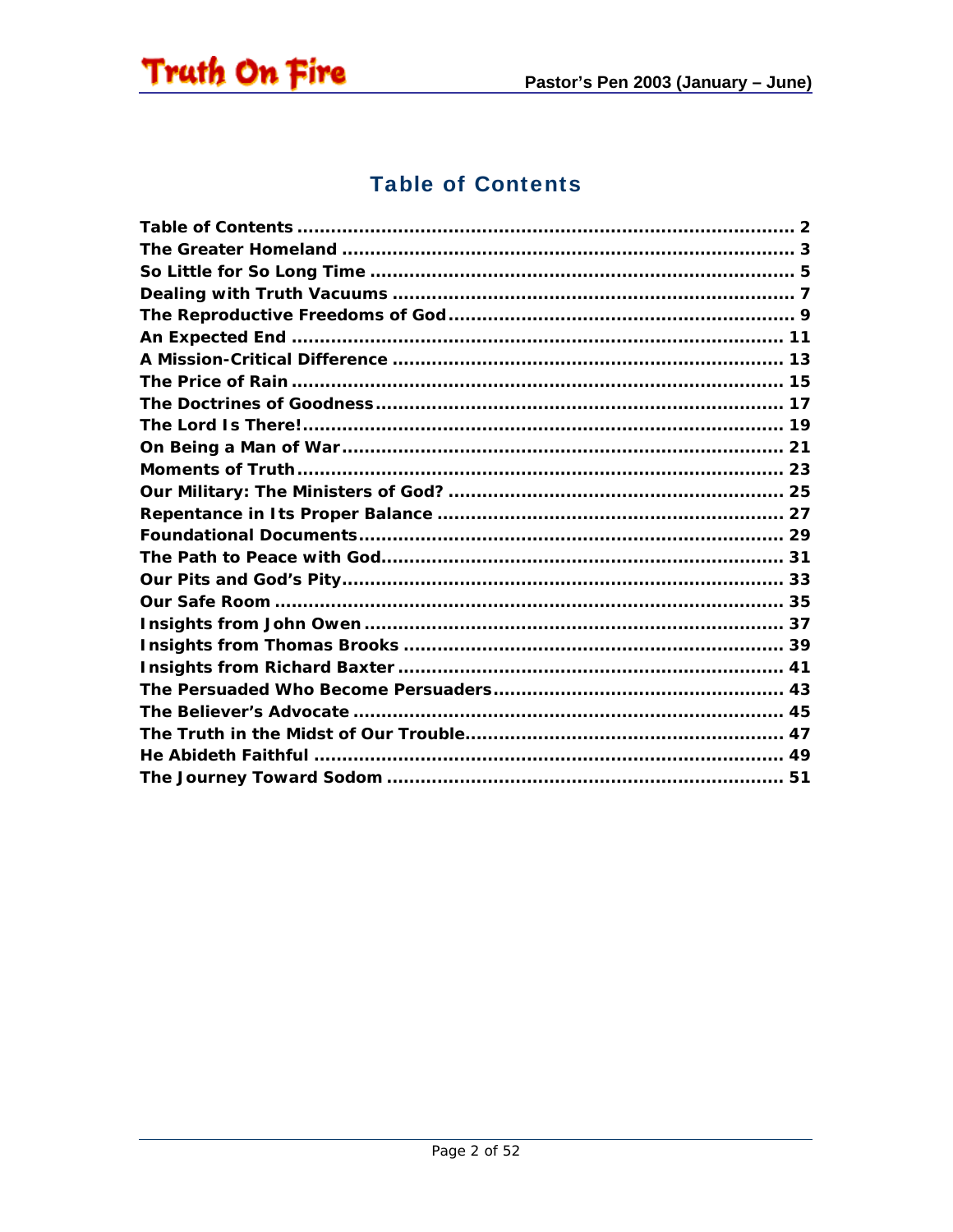<span id="page-1-0"></span>

#### **Table of Contents**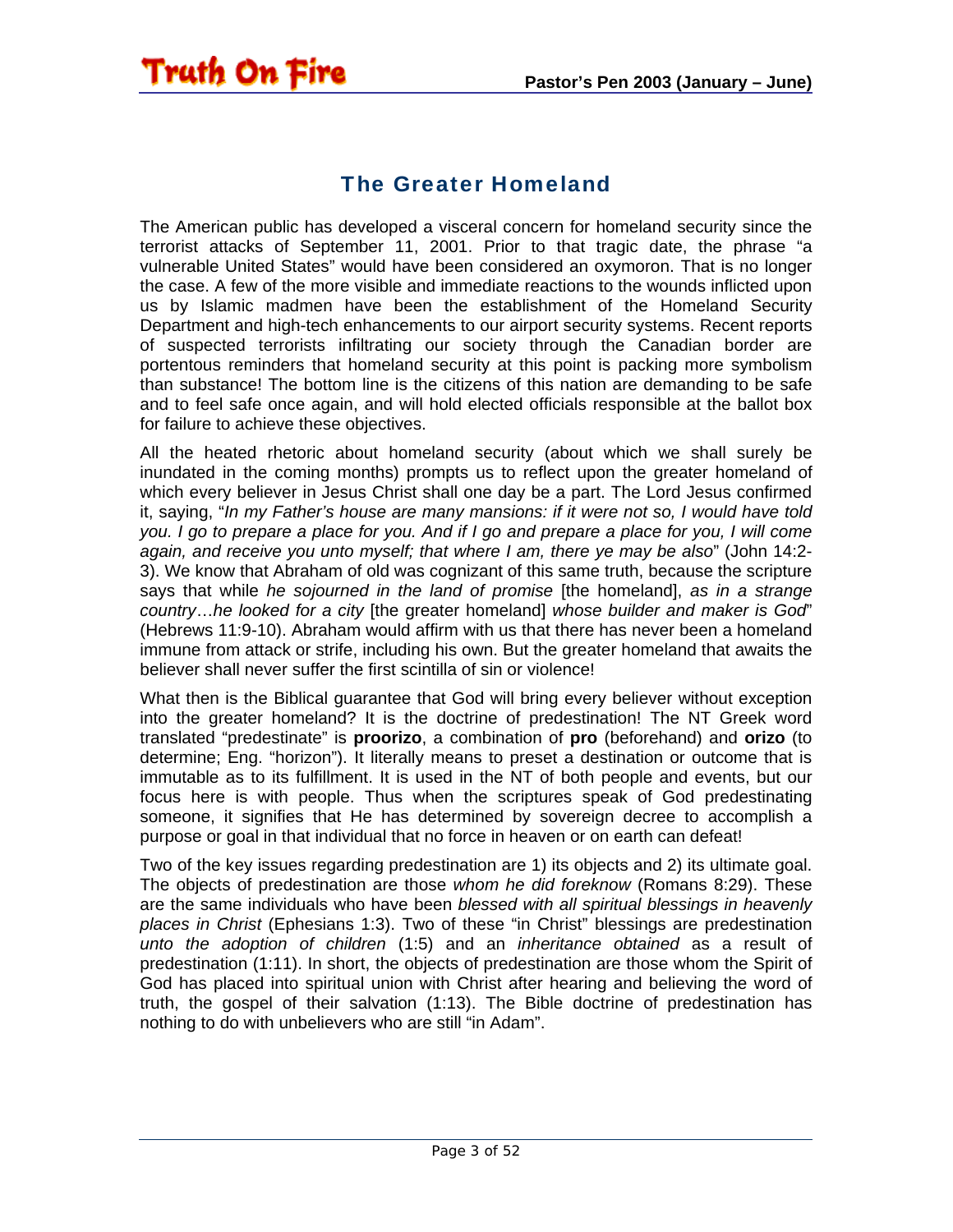#### The Greater Homeland

<span id="page-2-0"></span>**Truth On Fire** 

The American public has developed a visceral concern for homeland security since the terrorist attacks of September 11, 2001. Prior to that tragic date, the phrase "a vulnerable United States" would have been considered an oxymoron. That is no longer the case. A few of the more visible and immediate reactions to the wounds inflicted upon us by Islamic madmen have been the establishment of the Homeland Security Department and high-tech enhancements to our airport security systems. Recent reports of suspected terrorists infiltrating our society through the Canadian border are portentous reminders that homeland security at this point is packing more symbolism than substance! The bottom line is the citizens of this nation are demanding to be safe and to feel safe once again, and will hold elected officials responsible at the ballot box for failure to achieve these objectives.

All the heated rhetoric about homeland security (about which we shall surely be inundated in the coming months) prompts us to reflect upon the greater homeland of which every believer in Jesus Christ shall one day be a part. The Lord Jesus confirmed it, saying, "*In my Father's house are many mansions: if it were not so, I would have told you. I go to prepare a place for you. And if I go and prepare a place for you, I will come again, and receive you unto myself; that where I am, there ye may be also*" (John 14:2- 3). We know that Abraham of old was cognizant of this same truth, because the scripture says that while *he sojourned in the land of promise* [the homeland], *as in a strange country*…*he looked for a city* [the greater homeland] *whose builder and maker is God*" (Hebrews 11:9-10). Abraham would affirm with us that there has never been a homeland immune from attack or strife, including his own. But the greater homeland that awaits the believer shall never suffer the first scintilla of sin or violence!

What then is the Biblical guarantee that God will bring every believer without exception into the greater homeland? It is the doctrine of predestination! The NT Greek word translated "predestinate" is **proorizo**, a combination of **pro** (beforehand) and **orizo** (to determine; Eng. "horizon"). It literally means to preset a destination or outcome that is immutable as to its fulfillment. It is used in the NT of both people and events, but our focus here is with people. Thus when the scriptures speak of God predestinating someone, it signifies that He has determined by sovereign decree to accomplish a purpose or goal in that individual that no force in heaven or on earth can defeat!

Two of the key issues regarding predestination are 1) its objects and 2) its ultimate goal. The objects of predestination are those *whom he did foreknow* (Romans 8:29). These are the same individuals who have been *blessed with all spiritual blessings in heavenly places in Christ* (Ephesians 1:3). Two of these "in Christ" blessings are predestination *unto the adoption of children* (1:5) and an *inheritance obtained* as a result of predestination (1:11). In short, the objects of predestination are those whom the Spirit of God has placed into spiritual union with Christ after hearing and believing the word of truth, the gospel of their salvation (1:13). The Bible doctrine of predestination has nothing to do with unbelievers who are still "in Adam".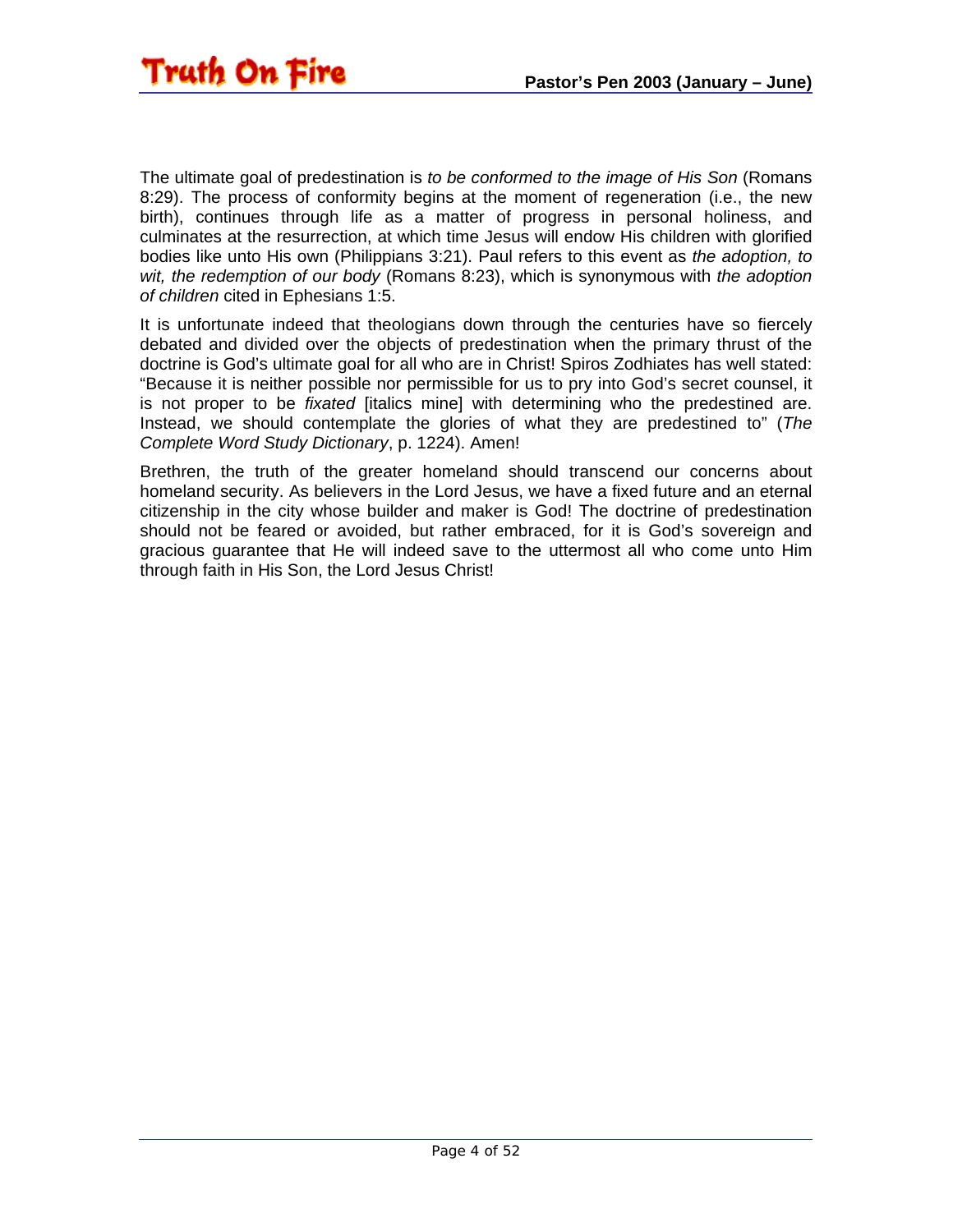The ultimate goal of predestination is *to be conformed to the image of His Son* (Romans 8:29). The process of conformity begins at the moment of regeneration (i.e., the new birth), continues through life as a matter of progress in personal holiness, and culminates at the resurrection, at which time Jesus will endow His children with glorified bodies like unto His own (Philippians 3:21). Paul refers to this event as *the adoption, to wit, the redemption of our body* (Romans 8:23), which is synonymous with *the adoption of children* cited in Ephesians 1:5.

It is unfortunate indeed that theologians down through the centuries have so fiercely debated and divided over the objects of predestination when the primary thrust of the doctrine is God's ultimate goal for all who are in Christ! Spiros Zodhiates has well stated: "Because it is neither possible nor permissible for us to pry into God's secret counsel, it is not proper to be *fixated* [italics mine] with determining who the predestined are. Instead, we should contemplate the glories of what they are predestined to" (*The Complete Word Study Dictionary*, p. 1224). Amen!

Brethren, the truth of the greater homeland should transcend our concerns about homeland security. As believers in the Lord Jesus, we have a fixed future and an eternal citizenship in the city whose builder and maker is God! The doctrine of predestination should not be feared or avoided, but rather embraced, for it is God's sovereign and gracious guarantee that He will indeed save to the uttermost all who come unto Him through faith in His Son, the Lord Jesus Christ!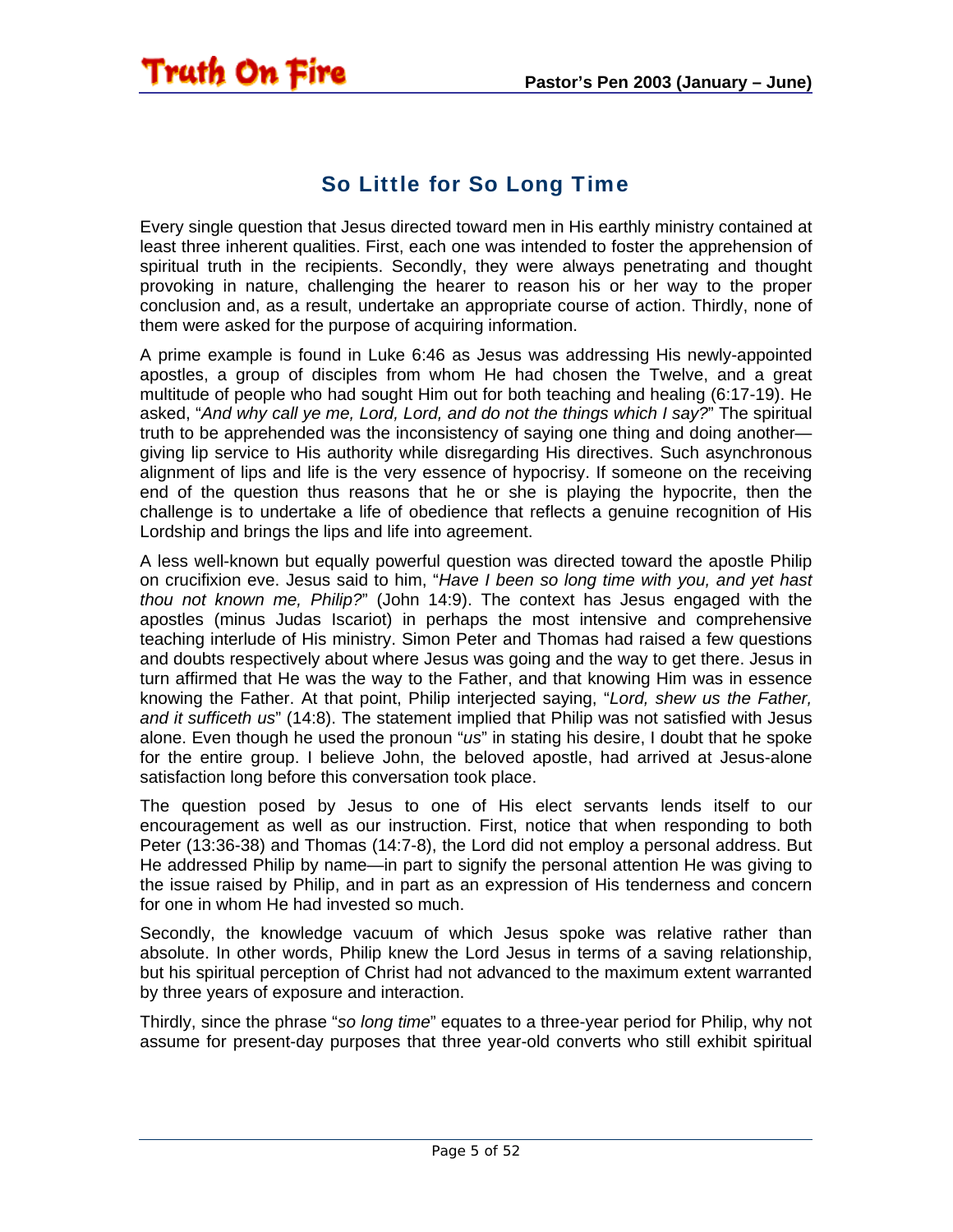#### So Little for So Long Time

<span id="page-4-0"></span>**Truth On Fire** 

Every single question that Jesus directed toward men in His earthly ministry contained at least three inherent qualities. First, each one was intended to foster the apprehension of spiritual truth in the recipients. Secondly, they were always penetrating and thought provoking in nature, challenging the hearer to reason his or her way to the proper conclusion and, as a result, undertake an appropriate course of action. Thirdly, none of them were asked for the purpose of acquiring information.

A prime example is found in Luke 6:46 as Jesus was addressing His newly-appointed apostles, a group of disciples from whom He had chosen the Twelve, and a great multitude of people who had sought Him out for both teaching and healing (6:17-19). He asked, "*And why call ye me, Lord, Lord, and do not the things which I say?*" The spiritual truth to be apprehended was the inconsistency of saying one thing and doing another giving lip service to His authority while disregarding His directives. Such asynchronous alignment of lips and life is the very essence of hypocrisy. If someone on the receiving end of the question thus reasons that he or she is playing the hypocrite, then the challenge is to undertake a life of obedience that reflects a genuine recognition of His Lordship and brings the lips and life into agreement.

A less well-known but equally powerful question was directed toward the apostle Philip on crucifixion eve. Jesus said to him, "*Have I been so long time with you, and yet hast thou not known me, Philip?*" (John 14:9). The context has Jesus engaged with the apostles (minus Judas Iscariot) in perhaps the most intensive and comprehensive teaching interlude of His ministry. Simon Peter and Thomas had raised a few questions and doubts respectively about where Jesus was going and the way to get there. Jesus in turn affirmed that He was the way to the Father, and that knowing Him was in essence knowing the Father. At that point, Philip interjected saying, "*Lord, shew us the Father, and it sufficeth us*" (14:8). The statement implied that Philip was not satisfied with Jesus alone. Even though he used the pronoun "*us*" in stating his desire, I doubt that he spoke for the entire group. I believe John, the beloved apostle, had arrived at Jesus-alone satisfaction long before this conversation took place.

The question posed by Jesus to one of His elect servants lends itself to our encouragement as well as our instruction. First, notice that when responding to both Peter (13:36-38) and Thomas (14:7-8), the Lord did not employ a personal address. But He addressed Philip by name—in part to signify the personal attention He was giving to the issue raised by Philip, and in part as an expression of His tenderness and concern for one in whom He had invested so much.

Secondly, the knowledge vacuum of which Jesus spoke was relative rather than absolute. In other words, Philip knew the Lord Jesus in terms of a saving relationship, but his spiritual perception of Christ had not advanced to the maximum extent warranted by three years of exposure and interaction.

Thirdly, since the phrase "*so long time*" equates to a three-year period for Philip, why not assume for present-day purposes that three year-old converts who still exhibit spiritual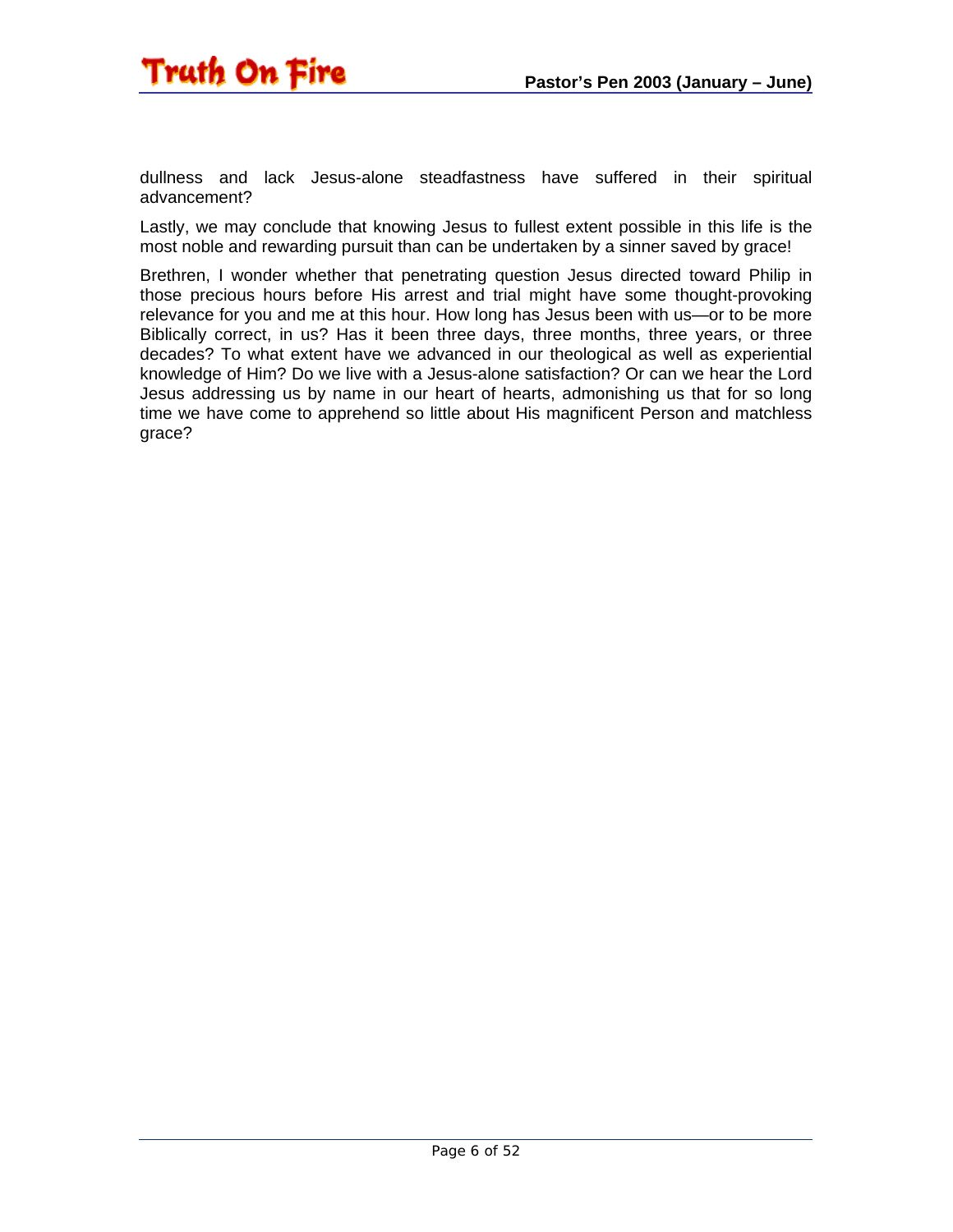

dullness and lack Jesus-alone steadfastness have suffered in their spiritual advancement?

Lastly, we may conclude that knowing Jesus to fullest extent possible in this life is the most noble and rewarding pursuit than can be undertaken by a sinner saved by grace!

Brethren, I wonder whether that penetrating question Jesus directed toward Philip in those precious hours before His arrest and trial might have some thought-provoking relevance for you and me at this hour. How long has Jesus been with us—or to be more Biblically correct, in us? Has it been three days, three months, three years, or three decades? To what extent have we advanced in our theological as well as experiential knowledge of Him? Do we live with a Jesus-alone satisfaction? Or can we hear the Lord Jesus addressing us by name in our heart of hearts, admonishing us that for so long time we have come to apprehend so little about His magnificent Person and matchless grace?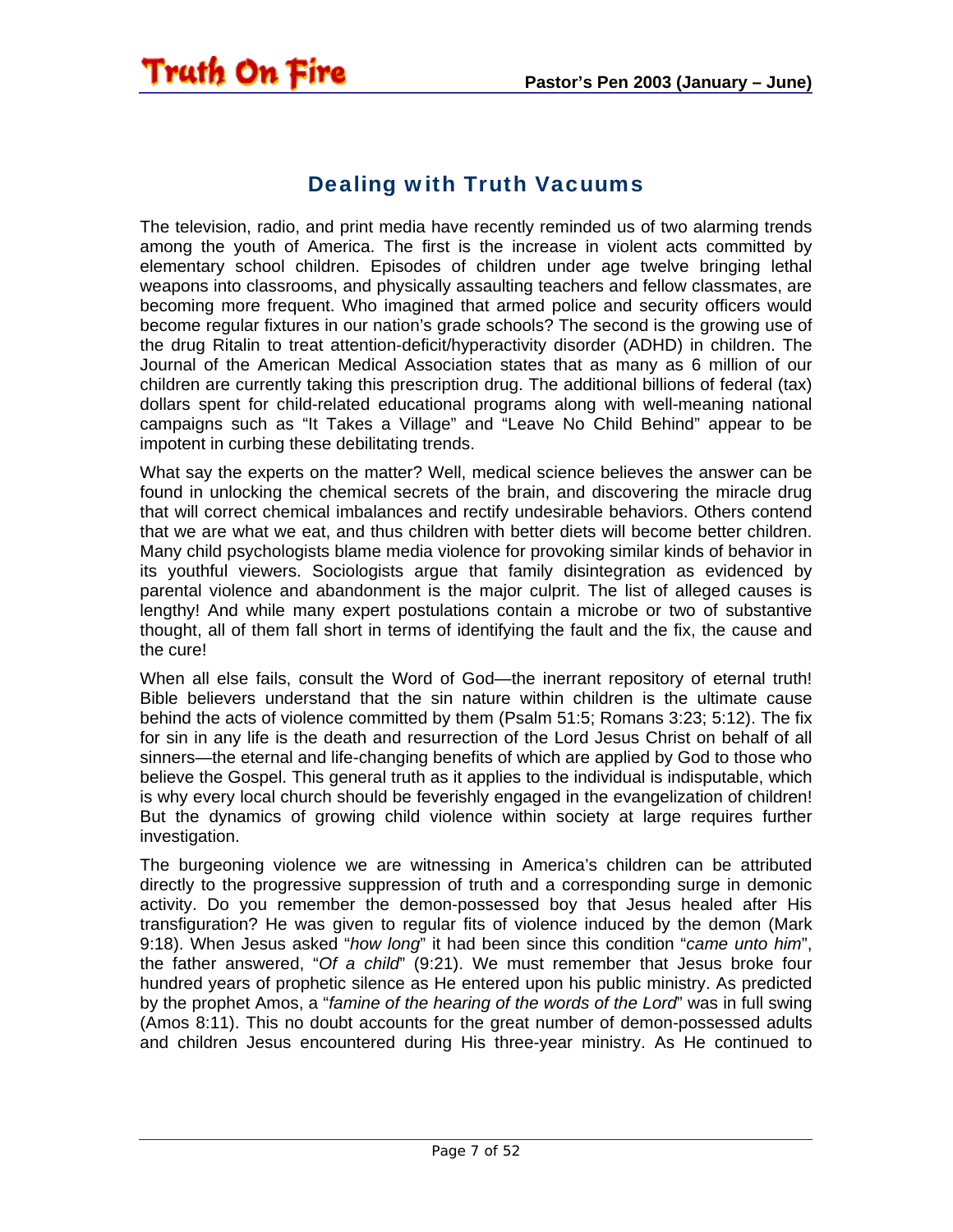#### Dealing with Truth Vacuums

<span id="page-6-0"></span>Truth On Fire

The television, radio, and print media have recently reminded us of two alarming trends among the youth of America. The first is the increase in violent acts committed by elementary school children. Episodes of children under age twelve bringing lethal weapons into classrooms, and physically assaulting teachers and fellow classmates, are becoming more frequent. Who imagined that armed police and security officers would become regular fixtures in our nation's grade schools? The second is the growing use of the drug Ritalin to treat attention-deficit/hyperactivity disorder (ADHD) in children. The Journal of the American Medical Association states that as many as 6 million of our children are currently taking this prescription drug. The additional billions of federal (tax) dollars spent for child-related educational programs along with well-meaning national campaigns such as "It Takes a Village" and "Leave No Child Behind" appear to be impotent in curbing these debilitating trends.

What say the experts on the matter? Well, medical science believes the answer can be found in unlocking the chemical secrets of the brain, and discovering the miracle drug that will correct chemical imbalances and rectify undesirable behaviors. Others contend that we are what we eat, and thus children with better diets will become better children. Many child psychologists blame media violence for provoking similar kinds of behavior in its youthful viewers. Sociologists argue that family disintegration as evidenced by parental violence and abandonment is the major culprit. The list of alleged causes is lengthy! And while many expert postulations contain a microbe or two of substantive thought, all of them fall short in terms of identifying the fault and the fix, the cause and the cure!

When all else fails, consult the Word of God—the inerrant repository of eternal truth! Bible believers understand that the sin nature within children is the ultimate cause behind the acts of violence committed by them (Psalm 51:5; Romans 3:23; 5:12). The fix for sin in any life is the death and resurrection of the Lord Jesus Christ on behalf of all sinners—the eternal and life-changing benefits of which are applied by God to those who believe the Gospel. This general truth as it applies to the individual is indisputable, which is why every local church should be feverishly engaged in the evangelization of children! But the dynamics of growing child violence within society at large requires further investigation.

The burgeoning violence we are witnessing in America's children can be attributed directly to the progressive suppression of truth and a corresponding surge in demonic activity. Do you remember the demon-possessed boy that Jesus healed after His transfiguration? He was given to regular fits of violence induced by the demon (Mark 9:18). When Jesus asked "*how long*" it had been since this condition "*came unto him*", the father answered, "*Of a child*" (9:21). We must remember that Jesus broke four hundred years of prophetic silence as He entered upon his public ministry. As predicted by the prophet Amos, a "*famine of the hearing of the words of the Lord*" was in full swing (Amos 8:11). This no doubt accounts for the great number of demon-possessed adults and children Jesus encountered during His three-year ministry. As He continued to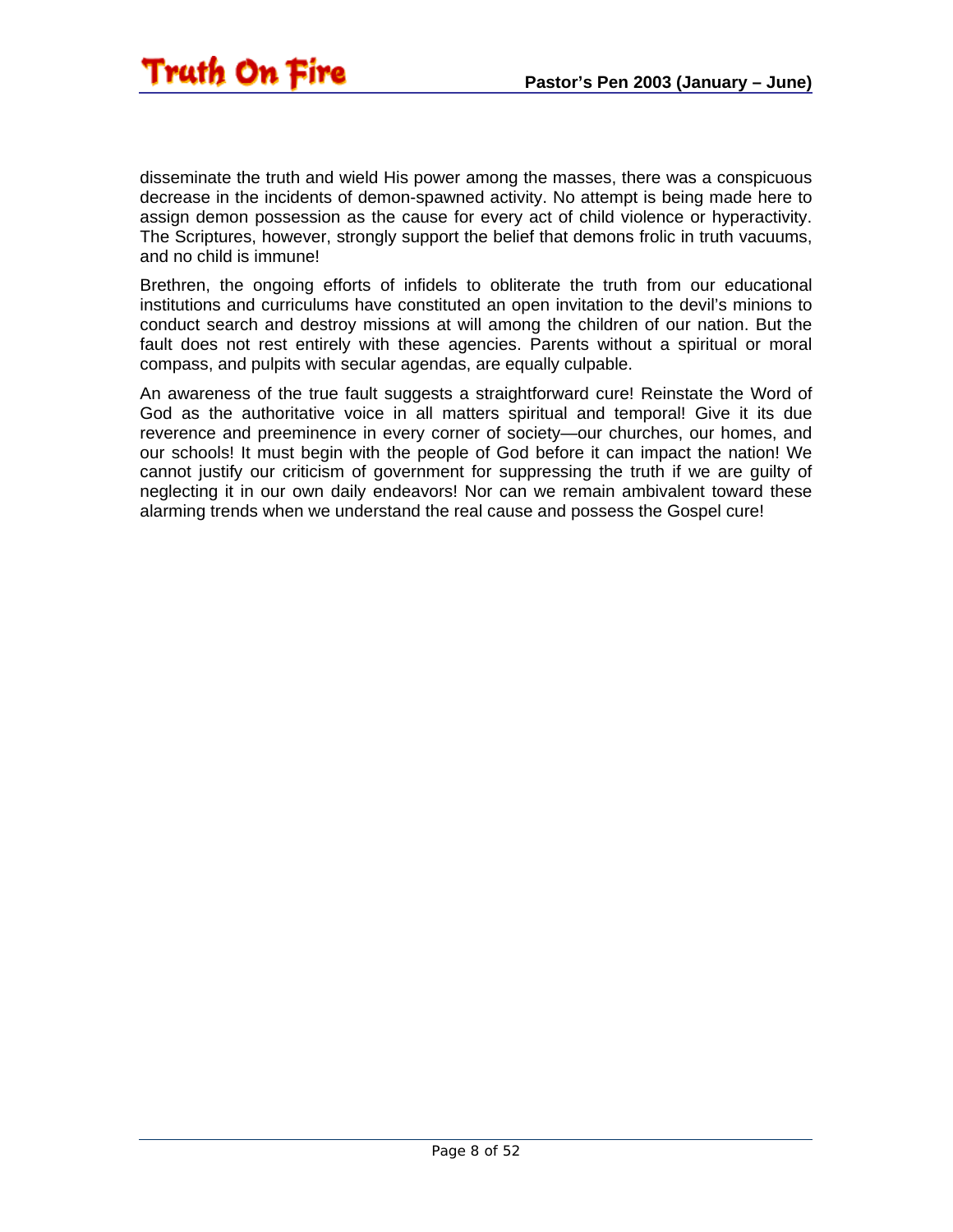disseminate the truth and wield His power among the masses, there was a conspicuous decrease in the incidents of demon-spawned activity. No attempt is being made here to assign demon possession as the cause for every act of child violence or hyperactivity. The Scriptures, however, strongly support the belief that demons frolic in truth vacuums, and no child is immune!

Brethren, the ongoing efforts of infidels to obliterate the truth from our educational institutions and curriculums have constituted an open invitation to the devil's minions to conduct search and destroy missions at will among the children of our nation. But the fault does not rest entirely with these agencies. Parents without a spiritual or moral compass, and pulpits with secular agendas, are equally culpable.

An awareness of the true fault suggests a straightforward cure! Reinstate the Word of God as the authoritative voice in all matters spiritual and temporal! Give it its due reverence and preeminence in every corner of society—our churches, our homes, and our schools! It must begin with the people of God before it can impact the nation! We cannot justify our criticism of government for suppressing the truth if we are guilty of neglecting it in our own daily endeavors! Nor can we remain ambivalent toward these alarming trends when we understand the real cause and possess the Gospel cure!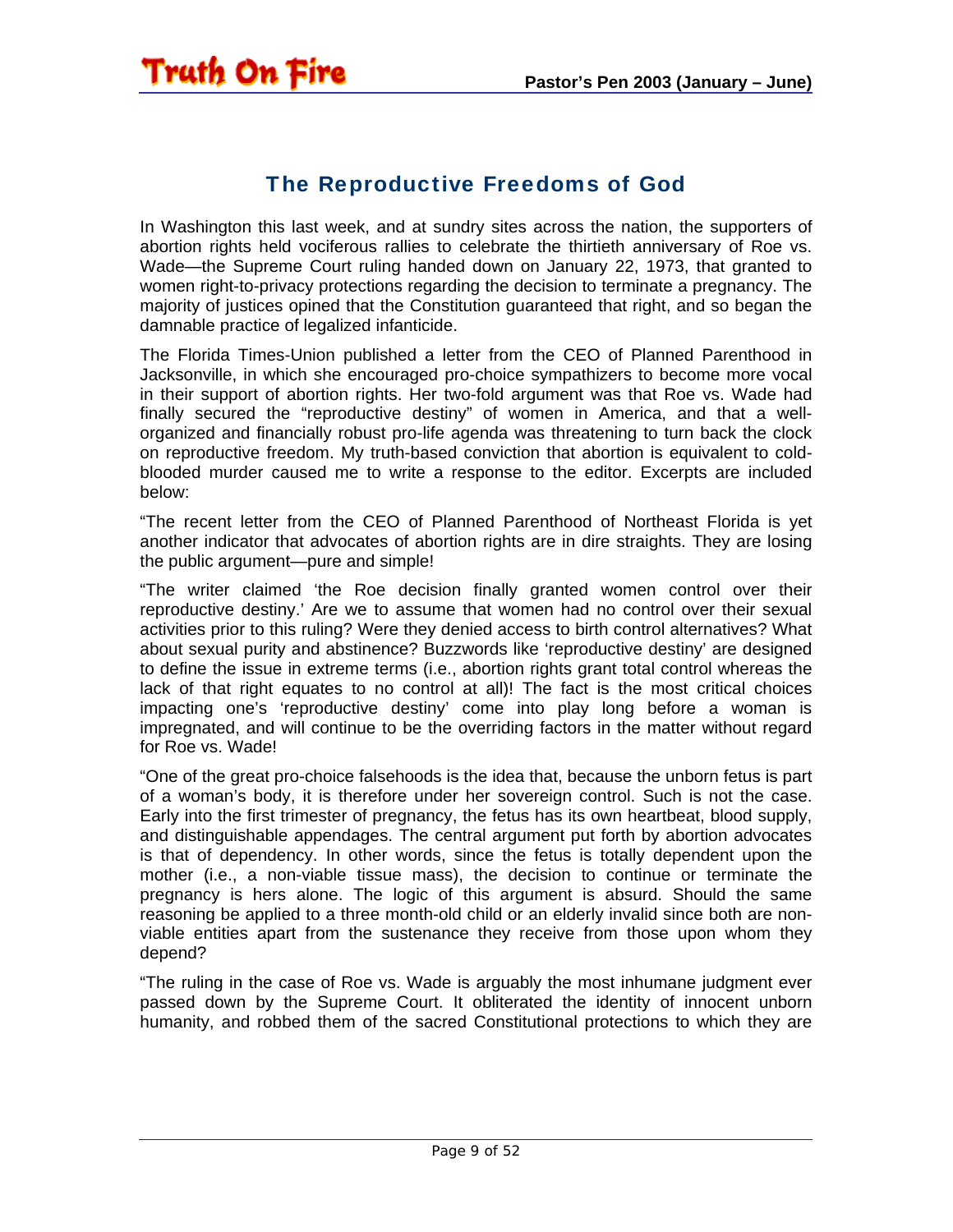#### The Reproductive Freedoms of God

<span id="page-8-0"></span>In Washington this last week, and at sundry sites across the nation, the supporters of abortion rights held vociferous rallies to celebrate the thirtieth anniversary of Roe vs. Wade—the Supreme Court ruling handed down on January 22, 1973, that granted to women right-to-privacy protections regarding the decision to terminate a pregnancy. The majority of justices opined that the Constitution guaranteed that right, and so began the damnable practice of legalized infanticide.

The Florida Times-Union published a letter from the CEO of Planned Parenthood in Jacksonville, in which she encouraged pro-choice sympathizers to become more vocal in their support of abortion rights. Her two-fold argument was that Roe vs. Wade had finally secured the "reproductive destiny" of women in America, and that a wellorganized and financially robust pro-life agenda was threatening to turn back the clock on reproductive freedom. My truth-based conviction that abortion is equivalent to coldblooded murder caused me to write a response to the editor. Excerpts are included below:

"The recent letter from the CEO of Planned Parenthood of Northeast Florida is yet another indicator that advocates of abortion rights are in dire straights. They are losing the public argument—pure and simple!

"The writer claimed 'the Roe decision finally granted women control over their reproductive destiny.' Are we to assume that women had no control over their sexual activities prior to this ruling? Were they denied access to birth control alternatives? What about sexual purity and abstinence? Buzzwords like 'reproductive destiny' are designed to define the issue in extreme terms (i.e., abortion rights grant total control whereas the lack of that right equates to no control at all)! The fact is the most critical choices impacting one's 'reproductive destiny' come into play long before a woman is impregnated, and will continue to be the overriding factors in the matter without regard for Roe vs. Wade!

"One of the great pro-choice falsehoods is the idea that, because the unborn fetus is part of a woman's body, it is therefore under her sovereign control. Such is not the case. Early into the first trimester of pregnancy, the fetus has its own heartbeat, blood supply, and distinguishable appendages. The central argument put forth by abortion advocates is that of dependency. In other words, since the fetus is totally dependent upon the mother (i.e., a non-viable tissue mass), the decision to continue or terminate the pregnancy is hers alone. The logic of this argument is absurd. Should the same reasoning be applied to a three month-old child or an elderly invalid since both are nonviable entities apart from the sustenance they receive from those upon whom they depend?

"The ruling in the case of Roe vs. Wade is arguably the most inhumane judgment ever passed down by the Supreme Court. It obliterated the identity of innocent unborn humanity, and robbed them of the sacred Constitutional protections to which they are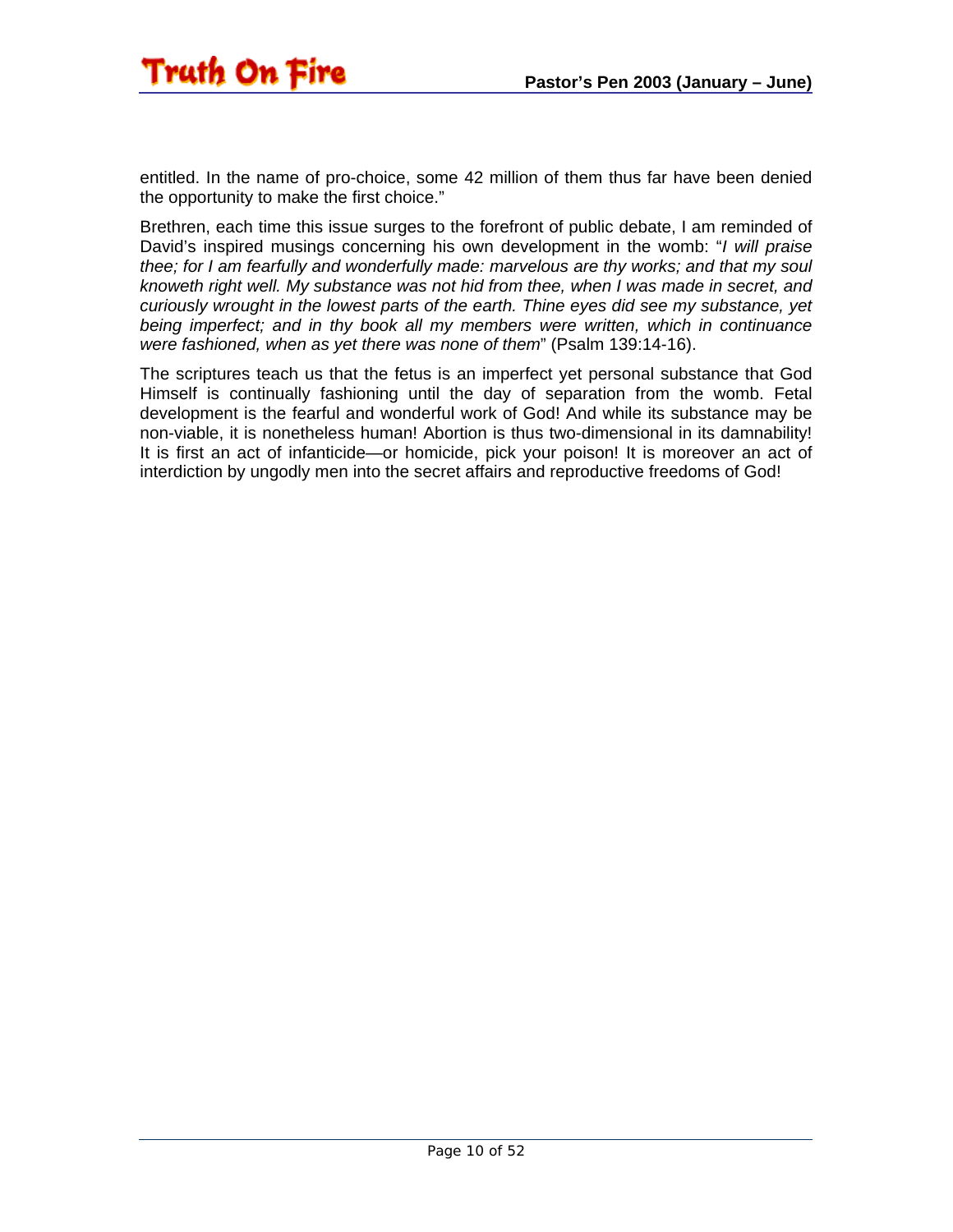entitled. In the name of pro-choice, some 42 million of them thus far have been denied the opportunity to make the first choice."

Brethren, each time this issue surges to the forefront of public debate, I am reminded of David's inspired musings concerning his own development in the womb: "*I will praise thee; for I am fearfully and wonderfully made: marvelous are thy works; and that my soul knoweth right well. My substance was not hid from thee, when I was made in secret, and curiously wrought in the lowest parts of the earth. Thine eyes did see my substance, yet being imperfect; and in thy book all my members were written, which in continuance were fashioned, when as yet there was none of them*" (Psalm 139:14-16).

The scriptures teach us that the fetus is an imperfect yet personal substance that God Himself is continually fashioning until the day of separation from the womb. Fetal development is the fearful and wonderful work of God! And while its substance may be non-viable, it is nonetheless human! Abortion is thus two-dimensional in its damnability! It is first an act of infanticide—or homicide, pick your poison! It is moreover an act of interdiction by ungodly men into the secret affairs and reproductive freedoms of God!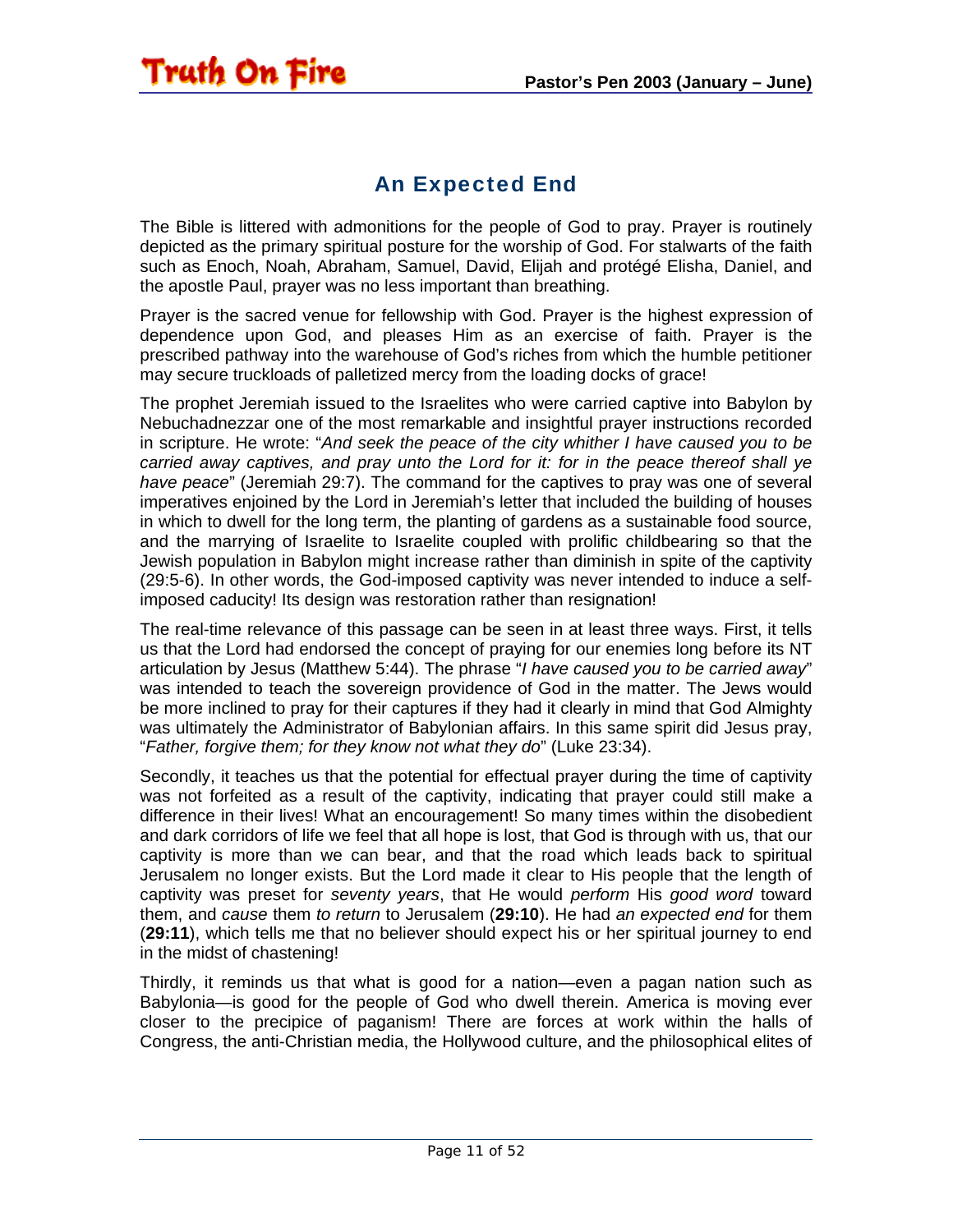

<span id="page-10-0"></span>The Bible is littered with admonitions for the people of God to pray. Prayer is routinely depicted as the primary spiritual posture for the worship of God. For stalwarts of the faith such as Enoch, Noah, Abraham, Samuel, David, Elijah and protégé Elisha, Daniel, and the apostle Paul, prayer was no less important than breathing.

Prayer is the sacred venue for fellowship with God. Prayer is the highest expression of dependence upon God, and pleases Him as an exercise of faith. Prayer is the prescribed pathway into the warehouse of God's riches from which the humble petitioner may secure truckloads of palletized mercy from the loading docks of grace!

The prophet Jeremiah issued to the Israelites who were carried captive into Babylon by Nebuchadnezzar one of the most remarkable and insightful prayer instructions recorded in scripture. He wrote: "*And seek the peace of the city whither I have caused you to be carried away captives, and pray unto the Lord for it: for in the peace thereof shall ye have peace*" (Jeremiah 29:7). The command for the captives to pray was one of several imperatives enjoined by the Lord in Jeremiah's letter that included the building of houses in which to dwell for the long term, the planting of gardens as a sustainable food source, and the marrying of Israelite to Israelite coupled with prolific childbearing so that the Jewish population in Babylon might increase rather than diminish in spite of the captivity (29:5-6). In other words, the God-imposed captivity was never intended to induce a selfimposed caducity! Its design was restoration rather than resignation!

The real-time relevance of this passage can be seen in at least three ways. First, it tells us that the Lord had endorsed the concept of praying for our enemies long before its NT articulation by Jesus (Matthew 5:44). The phrase "*I have caused you to be carried away*" was intended to teach the sovereign providence of God in the matter. The Jews would be more inclined to pray for their captures if they had it clearly in mind that God Almighty was ultimately the Administrator of Babylonian affairs. In this same spirit did Jesus pray, "*Father, forgive them; for they know not what they do*" (Luke 23:34).

Secondly, it teaches us that the potential for effectual prayer during the time of captivity was not forfeited as a result of the captivity, indicating that prayer could still make a difference in their lives! What an encouragement! So many times within the disobedient and dark corridors of life we feel that all hope is lost, that God is through with us, that our captivity is more than we can bear, and that the road which leads back to spiritual Jerusalem no longer exists. But the Lord made it clear to His people that the length of captivity was preset for *seventy years*, that He would *perform* His *good word* toward them, and *cause* them *to return* to Jerusalem (**29:10**). He had *an expected end* for them (**29:11**), which tells me that no believer should expect his or her spiritual journey to end in the midst of chastening!

Thirdly, it reminds us that what is good for a nation—even a pagan nation such as Babylonia—is good for the people of God who dwell therein. America is moving ever closer to the precipice of paganism! There are forces at work within the halls of Congress, the anti-Christian media, the Hollywood culture, and the philosophical elites of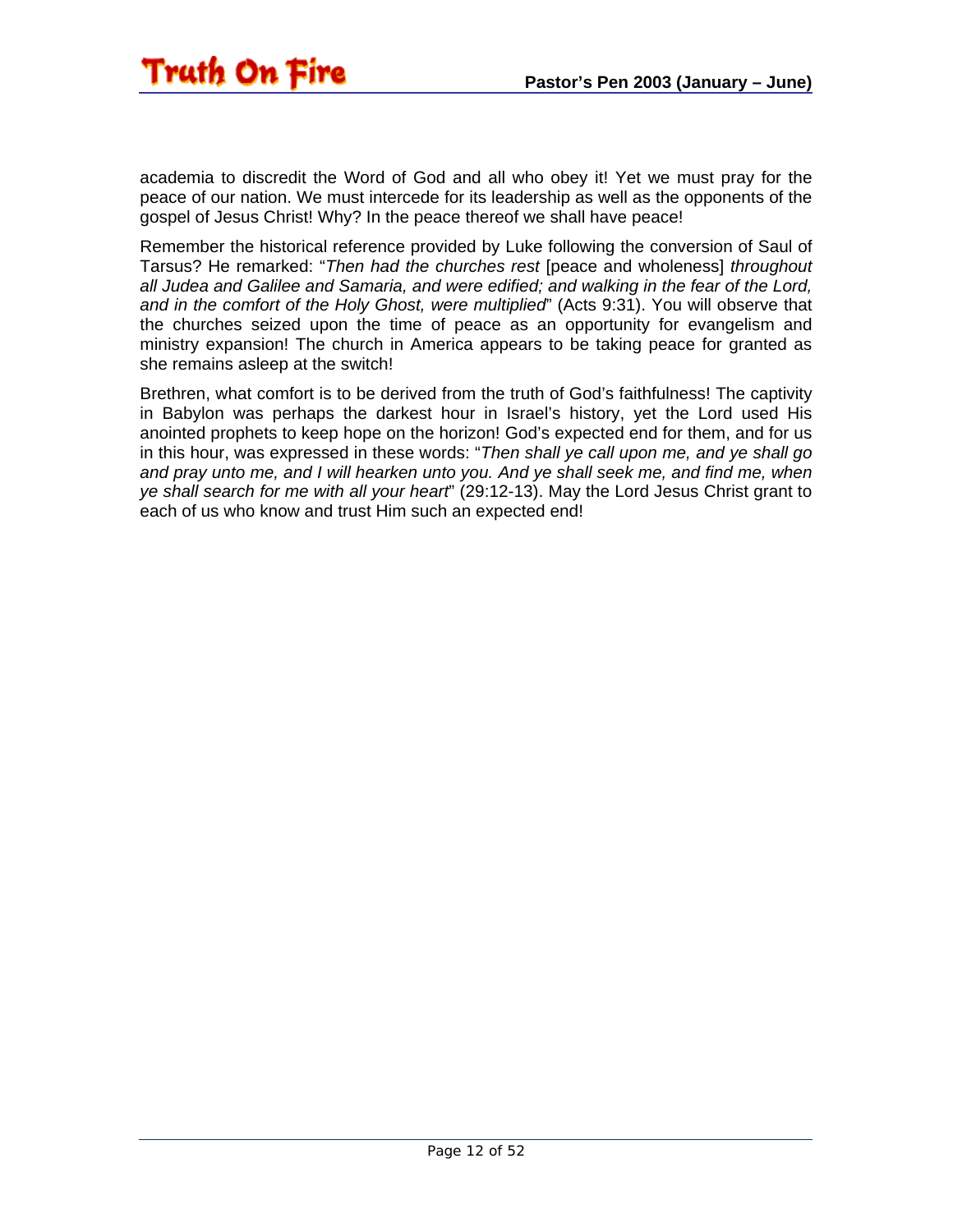academia to discredit the Word of God and all who obey it! Yet we must pray for the peace of our nation. We must intercede for its leadership as well as the opponents of the gospel of Jesus Christ! Why? In the peace thereof we shall have peace!

Remember the historical reference provided by Luke following the conversion of Saul of Tarsus? He remarked: "*Then had the churches rest* [peace and wholeness] *throughout all Judea and Galilee and Samaria, and were edified; and walking in the fear of the Lord, and in the comfort of the Holy Ghost, were multiplied*" (Acts 9:31). You will observe that the churches seized upon the time of peace as an opportunity for evangelism and ministry expansion! The church in America appears to be taking peace for granted as she remains asleep at the switch!

Brethren, what comfort is to be derived from the truth of God's faithfulness! The captivity in Babylon was perhaps the darkest hour in Israel's history, yet the Lord used His anointed prophets to keep hope on the horizon! God's expected end for them, and for us in this hour, was expressed in these words: "*Then shall ye call upon me, and ye shall go and pray unto me, and I will hearken unto you. And ye shall seek me, and find me, when ye shall search for me with all your heart*" (29:12-13). May the Lord Jesus Christ grant to each of us who know and trust Him such an expected end!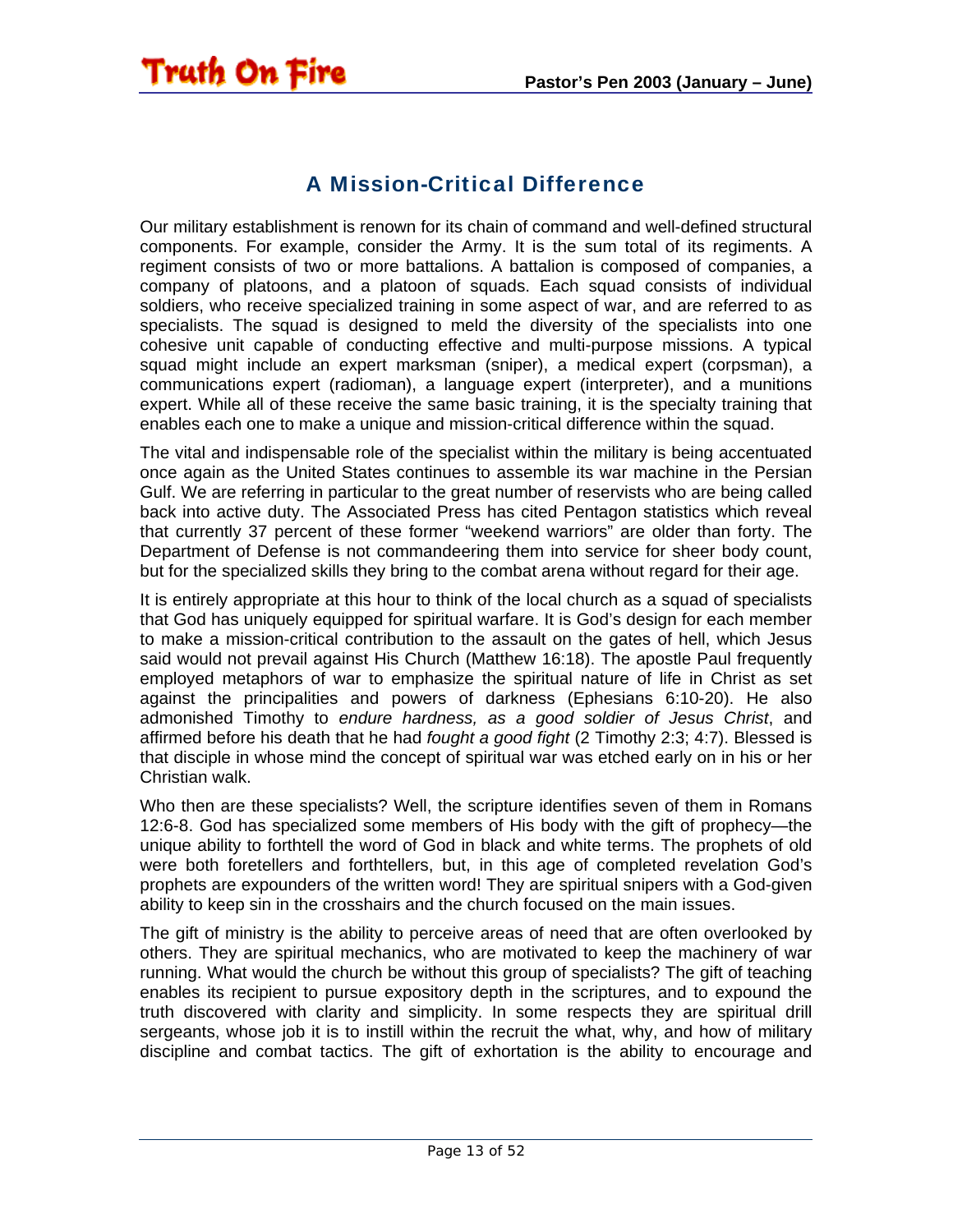#### A Mission-Critical Difference

<span id="page-12-0"></span>Our military establishment is renown for its chain of command and well-defined structural components. For example, consider the Army. It is the sum total of its regiments. A regiment consists of two or more battalions. A battalion is composed of companies, a company of platoons, and a platoon of squads. Each squad consists of individual soldiers, who receive specialized training in some aspect of war, and are referred to as specialists. The squad is designed to meld the diversity of the specialists into one cohesive unit capable of conducting effective and multi-purpose missions. A typical squad might include an expert marksman (sniper), a medical expert (corpsman), a communications expert (radioman), a language expert (interpreter), and a munitions expert. While all of these receive the same basic training, it is the specialty training that enables each one to make a unique and mission-critical difference within the squad.

The vital and indispensable role of the specialist within the military is being accentuated once again as the United States continues to assemble its war machine in the Persian Gulf. We are referring in particular to the great number of reservists who are being called back into active duty. The Associated Press has cited Pentagon statistics which reveal that currently 37 percent of these former "weekend warriors" are older than forty. The Department of Defense is not commandeering them into service for sheer body count, but for the specialized skills they bring to the combat arena without regard for their age.

It is entirely appropriate at this hour to think of the local church as a squad of specialists that God has uniquely equipped for spiritual warfare. It is God's design for each member to make a mission-critical contribution to the assault on the gates of hell, which Jesus said would not prevail against His Church (Matthew 16:18). The apostle Paul frequently employed metaphors of war to emphasize the spiritual nature of life in Christ as set against the principalities and powers of darkness (Ephesians 6:10-20). He also admonished Timothy to *endure hardness, as a good soldier of Jesus Christ*, and affirmed before his death that he had *fought a good fight* (2 Timothy 2:3; 4:7). Blessed is that disciple in whose mind the concept of spiritual war was etched early on in his or her Christian walk.

Who then are these specialists? Well, the scripture identifies seven of them in Romans 12:6-8. God has specialized some members of His body with the gift of prophecy—the unique ability to forthtell the word of God in black and white terms. The prophets of old were both foretellers and forthtellers, but, in this age of completed revelation God's prophets are expounders of the written word! They are spiritual snipers with a God-given ability to keep sin in the crosshairs and the church focused on the main issues.

The gift of ministry is the ability to perceive areas of need that are often overlooked by others. They are spiritual mechanics, who are motivated to keep the machinery of war running. What would the church be without this group of specialists? The gift of teaching enables its recipient to pursue expository depth in the scriptures, and to expound the truth discovered with clarity and simplicity. In some respects they are spiritual drill sergeants, whose job it is to instill within the recruit the what, why, and how of military discipline and combat tactics. The gift of exhortation is the ability to encourage and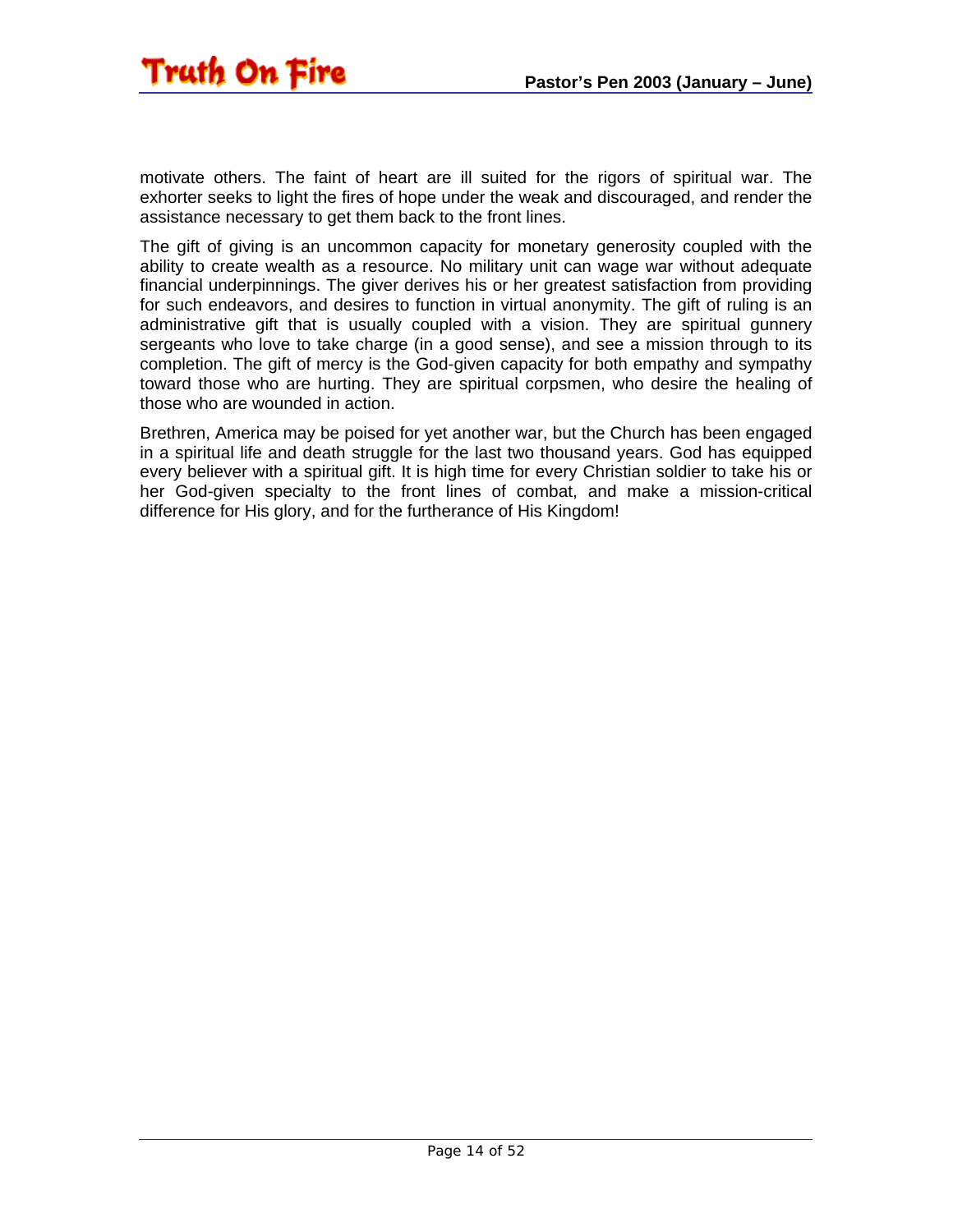

motivate others. The faint of heart are ill suited for the rigors of spiritual war. The exhorter seeks to light the fires of hope under the weak and discouraged, and render the assistance necessary to get them back to the front lines.

The gift of giving is an uncommon capacity for monetary generosity coupled with the ability to create wealth as a resource. No military unit can wage war without adequate financial underpinnings. The giver derives his or her greatest satisfaction from providing for such endeavors, and desires to function in virtual anonymity. The gift of ruling is an administrative gift that is usually coupled with a vision. They are spiritual gunnery sergeants who love to take charge (in a good sense), and see a mission through to its completion. The gift of mercy is the God-given capacity for both empathy and sympathy toward those who are hurting. They are spiritual corpsmen, who desire the healing of those who are wounded in action.

Brethren, America may be poised for yet another war, but the Church has been engaged in a spiritual life and death struggle for the last two thousand years. God has equipped every believer with a spiritual gift. It is high time for every Christian soldier to take his or her God-given specialty to the front lines of combat, and make a mission-critical difference for His glory, and for the furtherance of His Kingdom!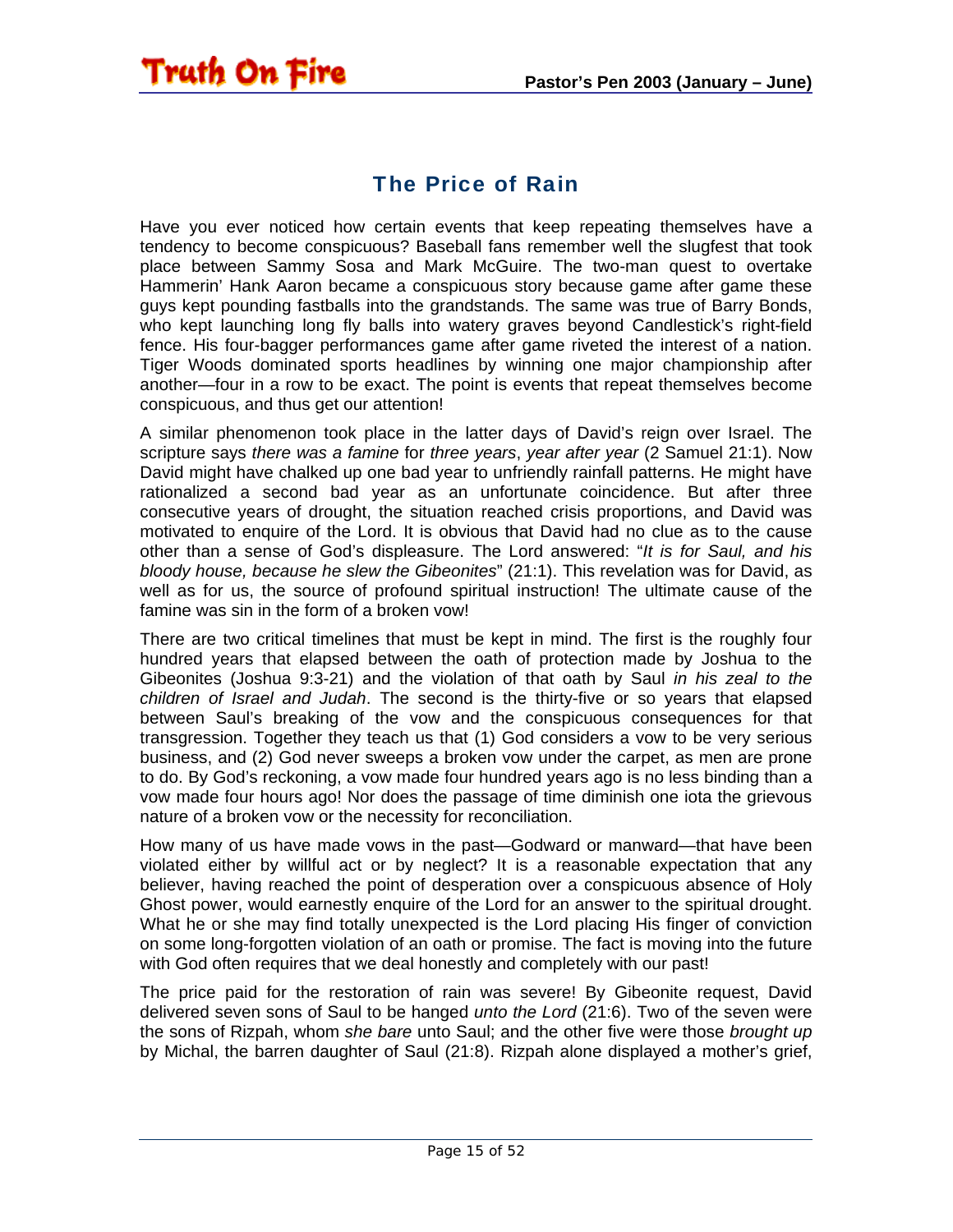<span id="page-14-0"></span>

#### The Price of Rain

Have you ever noticed how certain events that keep repeating themselves have a tendency to become conspicuous? Baseball fans remember well the slugfest that took place between Sammy Sosa and Mark McGuire. The two-man quest to overtake Hammerin' Hank Aaron became a conspicuous story because game after game these guys kept pounding fastballs into the grandstands. The same was true of Barry Bonds, who kept launching long fly balls into watery graves beyond Candlestick's right-field fence. His four-bagger performances game after game riveted the interest of a nation. Tiger Woods dominated sports headlines by winning one major championship after another—four in a row to be exact. The point is events that repeat themselves become conspicuous, and thus get our attention!

A similar phenomenon took place in the latter days of David's reign over Israel. The scripture says *there was a famine* for *three years*, *year after year* (2 Samuel 21:1). Now David might have chalked up one bad year to unfriendly rainfall patterns. He might have rationalized a second bad year as an unfortunate coincidence. But after three consecutive years of drought, the situation reached crisis proportions, and David was motivated to enquire of the Lord. It is obvious that David had no clue as to the cause other than a sense of God's displeasure. The Lord answered: "*It is for Saul, and his bloody house, because he slew the Gibeonites*" (21:1). This revelation was for David, as well as for us, the source of profound spiritual instruction! The ultimate cause of the famine was sin in the form of a broken vow!

There are two critical timelines that must be kept in mind. The first is the roughly four hundred years that elapsed between the oath of protection made by Joshua to the Gibeonites (Joshua 9:3-21) and the violation of that oath by Saul *in his zeal to the children of Israel and Judah*. The second is the thirty-five or so years that elapsed between Saul's breaking of the vow and the conspicuous consequences for that transgression. Together they teach us that (1) God considers a vow to be very serious business, and (2) God never sweeps a broken vow under the carpet, as men are prone to do. By God's reckoning, a vow made four hundred years ago is no less binding than a vow made four hours ago! Nor does the passage of time diminish one iota the grievous nature of a broken vow or the necessity for reconciliation.

How many of us have made vows in the past—Godward or manward—that have been violated either by willful act or by neglect? It is a reasonable expectation that any believer, having reached the point of desperation over a conspicuous absence of Holy Ghost power, would earnestly enquire of the Lord for an answer to the spiritual drought. What he or she may find totally unexpected is the Lord placing His finger of conviction on some long-forgotten violation of an oath or promise. The fact is moving into the future with God often requires that we deal honestly and completely with our past!

The price paid for the restoration of rain was severe! By Gibeonite request, David delivered seven sons of Saul to be hanged *unto the Lord* (21:6). Two of the seven were the sons of Rizpah, whom *she bare* unto Saul; and the other five were those *brought up* by Michal, the barren daughter of Saul (21:8). Rizpah alone displayed a mother's grief,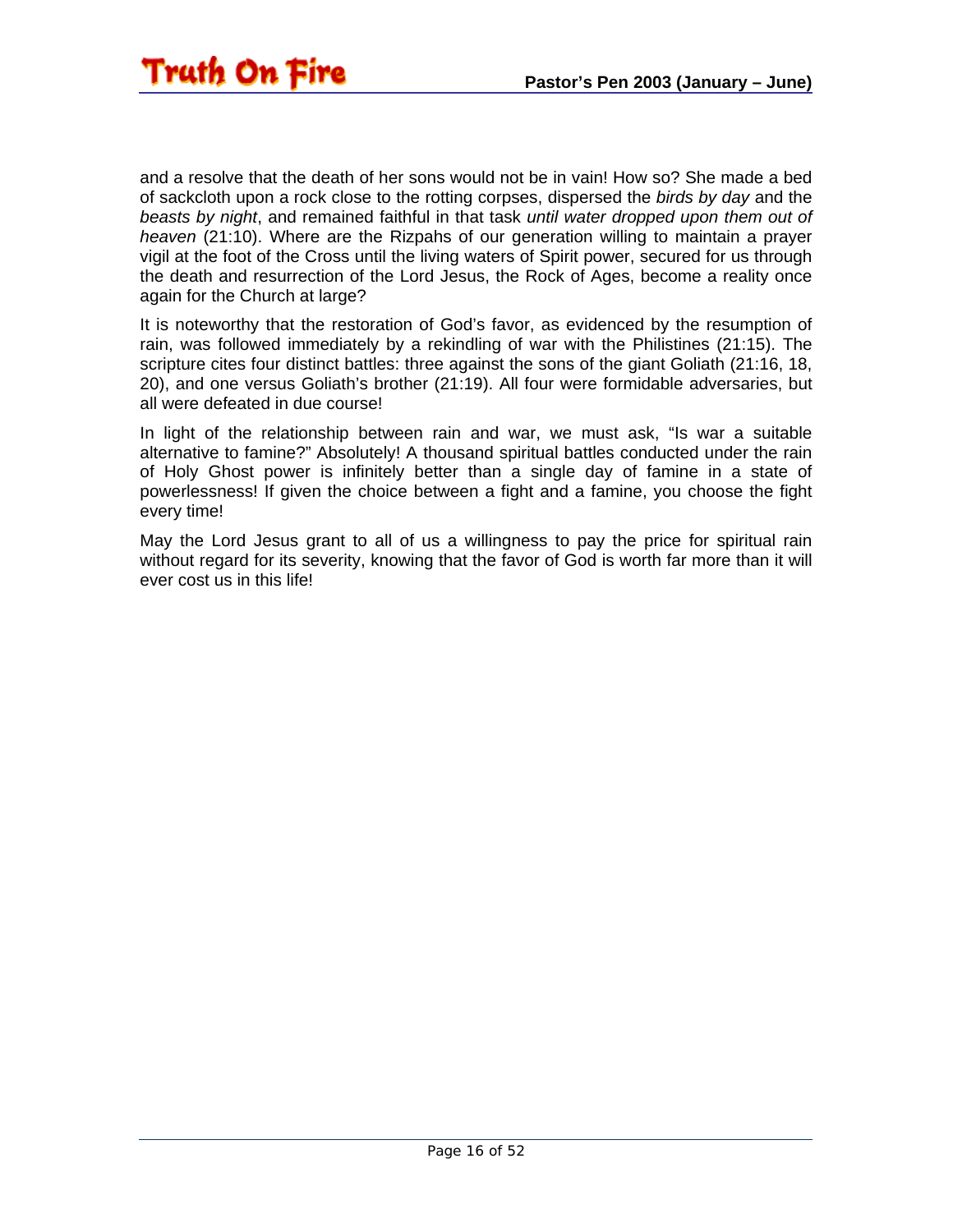

and a resolve that the death of her sons would not be in vain! How so? She made a bed of sackcloth upon a rock close to the rotting corpses, dispersed the *birds by day* and the *beasts by night*, and remained faithful in that task *until water dropped upon them out of heaven* (21:10). Where are the Rizpahs of our generation willing to maintain a prayer vigil at the foot of the Cross until the living waters of Spirit power, secured for us through the death and resurrection of the Lord Jesus, the Rock of Ages, become a reality once again for the Church at large?

It is noteworthy that the restoration of God's favor, as evidenced by the resumption of rain, was followed immediately by a rekindling of war with the Philistines (21:15). The scripture cites four distinct battles: three against the sons of the giant Goliath (21:16, 18, 20), and one versus Goliath's brother (21:19). All four were formidable adversaries, but all were defeated in due course!

In light of the relationship between rain and war, we must ask, "Is war a suitable alternative to famine?" Absolutely! A thousand spiritual battles conducted under the rain of Holy Ghost power is infinitely better than a single day of famine in a state of powerlessness! If given the choice between a fight and a famine, you choose the fight every time!

May the Lord Jesus grant to all of us a willingness to pay the price for spiritual rain without regard for its severity, knowing that the favor of God is worth far more than it will ever cost us in this life!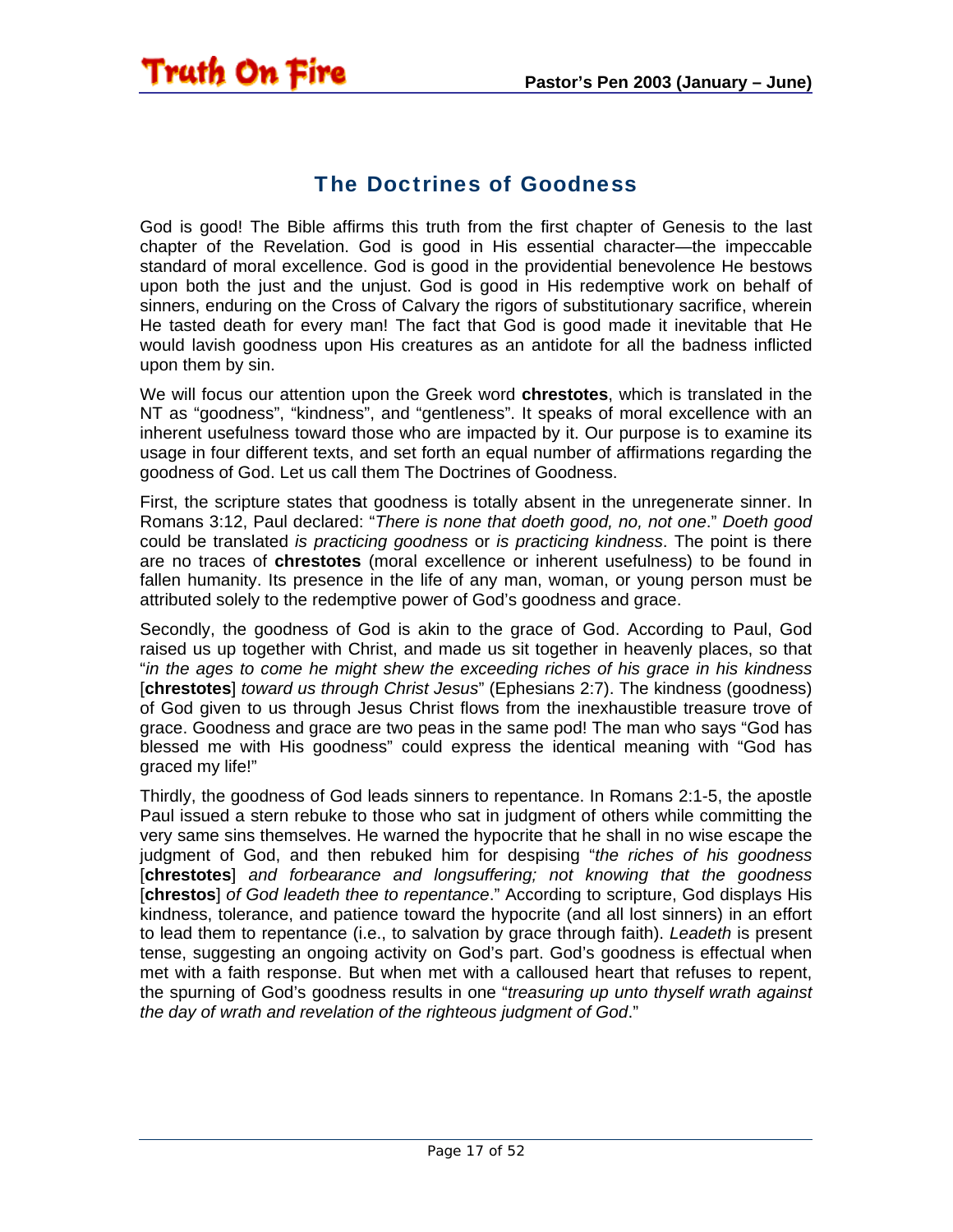#### The Doctrines of Goodness

<span id="page-16-0"></span>**Truth On Fire** 

God is good! The Bible affirms this truth from the first chapter of Genesis to the last chapter of the Revelation. God is good in His essential character—the impeccable standard of moral excellence. God is good in the providential benevolence He bestows upon both the just and the unjust. God is good in His redemptive work on behalf of sinners, enduring on the Cross of Calvary the rigors of substitutionary sacrifice, wherein He tasted death for every man! The fact that God is good made it inevitable that He would lavish goodness upon His creatures as an antidote for all the badness inflicted upon them by sin.

We will focus our attention upon the Greek word **chrestotes**, which is translated in the NT as "goodness", "kindness", and "gentleness". It speaks of moral excellence with an inherent usefulness toward those who are impacted by it. Our purpose is to examine its usage in four different texts, and set forth an equal number of affirmations regarding the goodness of God. Let us call them The Doctrines of Goodness.

First, the scripture states that goodness is totally absent in the unregenerate sinner. In Romans 3:12, Paul declared: "*There is none that doeth good, no, not one*." *Doeth good* could be translated *is practicing goodness* or *is practicing kindness*. The point is there are no traces of **chrestotes** (moral excellence or inherent usefulness) to be found in fallen humanity. Its presence in the life of any man, woman, or young person must be attributed solely to the redemptive power of God's goodness and grace.

Secondly, the goodness of God is akin to the grace of God. According to Paul, God raised us up together with Christ, and made us sit together in heavenly places, so that "*in the ages to come he might shew the exceeding riches of his grace in his kindness*  [**chrestotes**] *toward us through Christ Jesus*" (Ephesians 2:7). The kindness (goodness) of God given to us through Jesus Christ flows from the inexhaustible treasure trove of grace. Goodness and grace are two peas in the same pod! The man who says "God has blessed me with His goodness" could express the identical meaning with "God has graced my life!"

Thirdly, the goodness of God leads sinners to repentance. In Romans 2:1-5, the apostle Paul issued a stern rebuke to those who sat in judgment of others while committing the very same sins themselves. He warned the hypocrite that he shall in no wise escape the judgment of God, and then rebuked him for despising "*the riches of his goodness*  [**chrestotes**] *and forbearance and longsuffering; not knowing that the goodness*  [**chrestos**] *of God leadeth thee to repentance*." According to scripture, God displays His kindness, tolerance, and patience toward the hypocrite (and all lost sinners) in an effort to lead them to repentance (i.e., to salvation by grace through faith). *Leadeth* is present tense, suggesting an ongoing activity on God's part. God's goodness is effectual when met with a faith response. But when met with a calloused heart that refuses to repent, the spurning of God's goodness results in one "*treasuring up unto thyself wrath against the day of wrath and revelation of the righteous judgment of God*."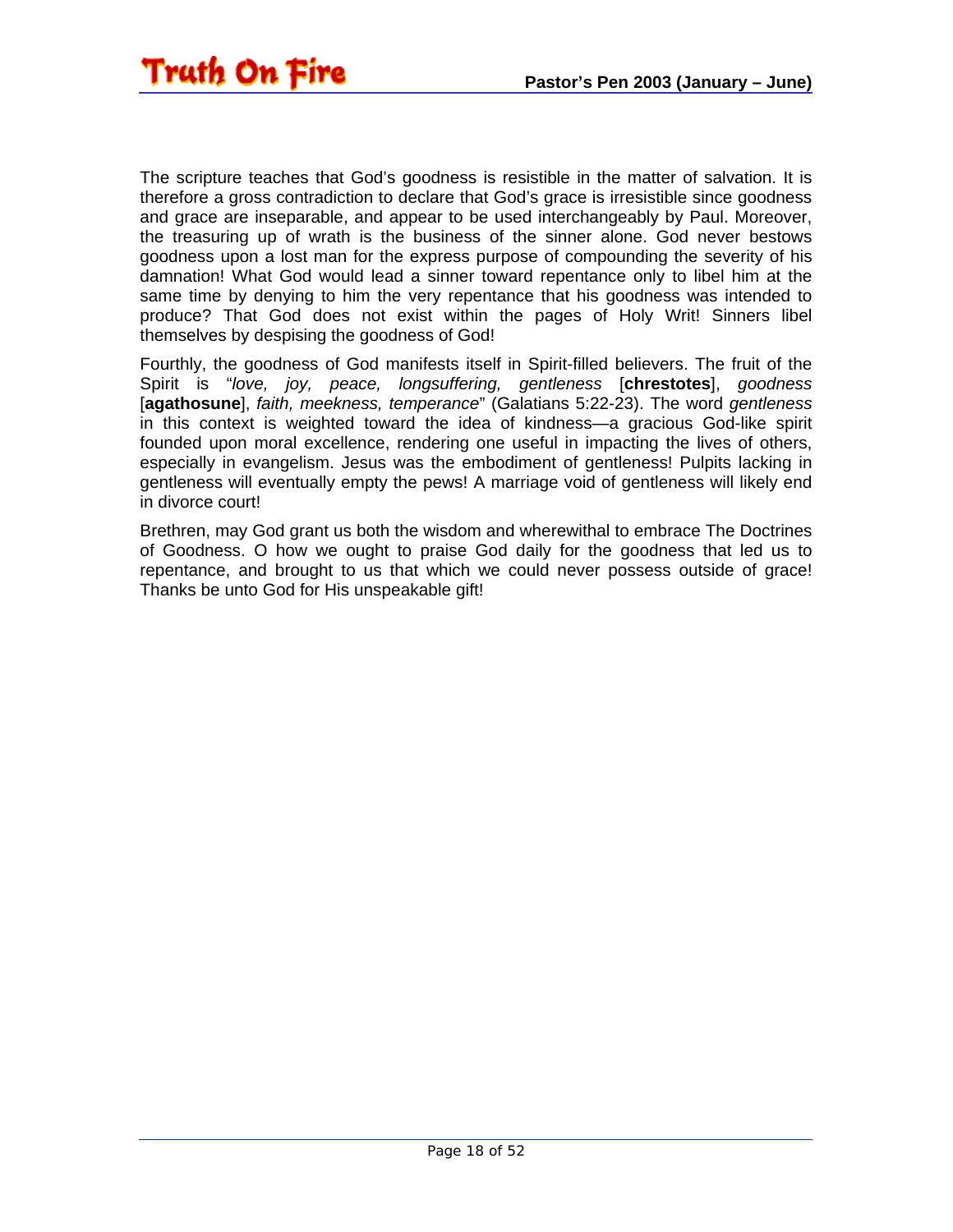The scripture teaches that God's goodness is resistible in the matter of salvation. It is therefore a gross contradiction to declare that God's grace is irresistible since goodness and grace are inseparable, and appear to be used interchangeably by Paul. Moreover, the treasuring up of wrath is the business of the sinner alone. God never bestows goodness upon a lost man for the express purpose of compounding the severity of his damnation! What God would lead a sinner toward repentance only to libel him at the same time by denying to him the very repentance that his goodness was intended to produce? That God does not exist within the pages of Holy Writ! Sinners libel themselves by despising the goodness of God!

Fourthly, the goodness of God manifests itself in Spirit-filled believers. The fruit of the Spirit is "*love, joy, peace, longsuffering, gentleness* [**chrestotes**], *goodness* [**agathosune**], *faith, meekness, temperance*" (Galatians 5:22-23). The word *gentleness* in this context is weighted toward the idea of kindness—a gracious God-like spirit founded upon moral excellence, rendering one useful in impacting the lives of others, especially in evangelism. Jesus was the embodiment of gentleness! Pulpits lacking in gentleness will eventually empty the pews! A marriage void of gentleness will likely end in divorce court!

Brethren, may God grant us both the wisdom and wherewithal to embrace The Doctrines of Goodness. O how we ought to praise God daily for the goodness that led us to repentance, and brought to us that which we could never possess outside of grace! Thanks be unto God for His unspeakable gift!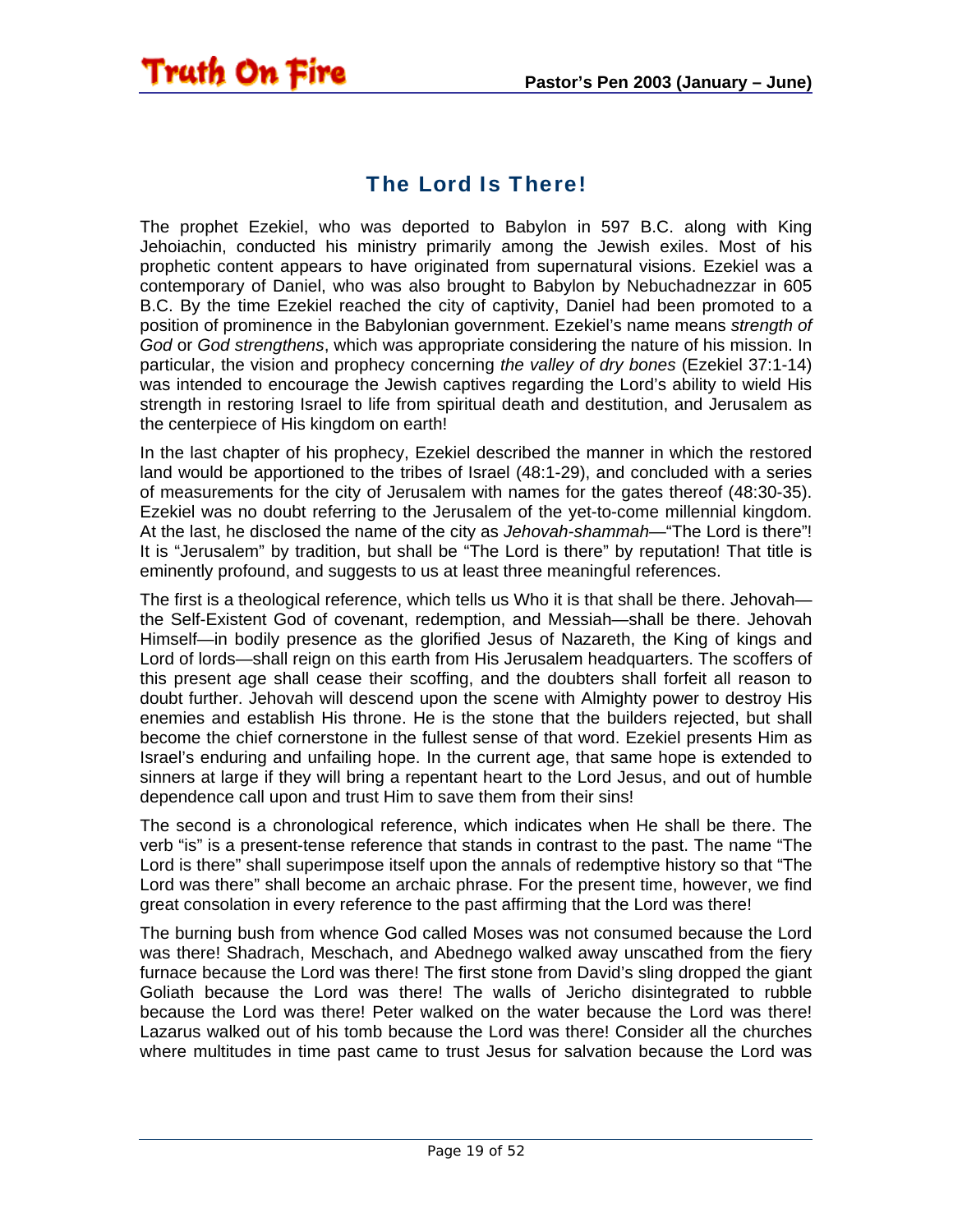#### The Lord Is There!

<span id="page-18-0"></span>**Truth On Fire** 

The prophet Ezekiel, who was deported to Babylon in 597 B.C. along with King Jehoiachin, conducted his ministry primarily among the Jewish exiles. Most of his prophetic content appears to have originated from supernatural visions. Ezekiel was a contemporary of Daniel, who was also brought to Babylon by Nebuchadnezzar in 605 B.C. By the time Ezekiel reached the city of captivity, Daniel had been promoted to a position of prominence in the Babylonian government. Ezekiel's name means *strength of God* or *God strengthens*, which was appropriate considering the nature of his mission. In particular, the vision and prophecy concerning *the valley of dry bones* (Ezekiel 37:1-14) was intended to encourage the Jewish captives regarding the Lord's ability to wield His strength in restoring Israel to life from spiritual death and destitution, and Jerusalem as the centerpiece of His kingdom on earth!

In the last chapter of his prophecy, Ezekiel described the manner in which the restored land would be apportioned to the tribes of Israel (48:1-29), and concluded with a series of measurements for the city of Jerusalem with names for the gates thereof (48:30-35). Ezekiel was no doubt referring to the Jerusalem of the yet-to-come millennial kingdom. At the last, he disclosed the name of the city as *Jehovah-shammah*—"The Lord is there"! It is "Jerusalem" by tradition, but shall be "The Lord is there" by reputation! That title is eminently profound, and suggests to us at least three meaningful references.

The first is a theological reference, which tells us Who it is that shall be there. Jehovah the Self-Existent God of covenant, redemption, and Messiah—shall be there. Jehovah Himself—in bodily presence as the glorified Jesus of Nazareth, the King of kings and Lord of lords—shall reign on this earth from His Jerusalem headquarters. The scoffers of this present age shall cease their scoffing, and the doubters shall forfeit all reason to doubt further. Jehovah will descend upon the scene with Almighty power to destroy His enemies and establish His throne. He is the stone that the builders rejected, but shall become the chief cornerstone in the fullest sense of that word. Ezekiel presents Him as Israel's enduring and unfailing hope. In the current age, that same hope is extended to sinners at large if they will bring a repentant heart to the Lord Jesus, and out of humble dependence call upon and trust Him to save them from their sins!

The second is a chronological reference, which indicates when He shall be there. The verb "is" is a present-tense reference that stands in contrast to the past. The name "The Lord is there" shall superimpose itself upon the annals of redemptive history so that "The Lord was there" shall become an archaic phrase. For the present time, however, we find great consolation in every reference to the past affirming that the Lord was there!

The burning bush from whence God called Moses was not consumed because the Lord was there! Shadrach, Meschach, and Abednego walked away unscathed from the fiery furnace because the Lord was there! The first stone from David's sling dropped the giant Goliath because the Lord was there! The walls of Jericho disintegrated to rubble because the Lord was there! Peter walked on the water because the Lord was there! Lazarus walked out of his tomb because the Lord was there! Consider all the churches where multitudes in time past came to trust Jesus for salvation because the Lord was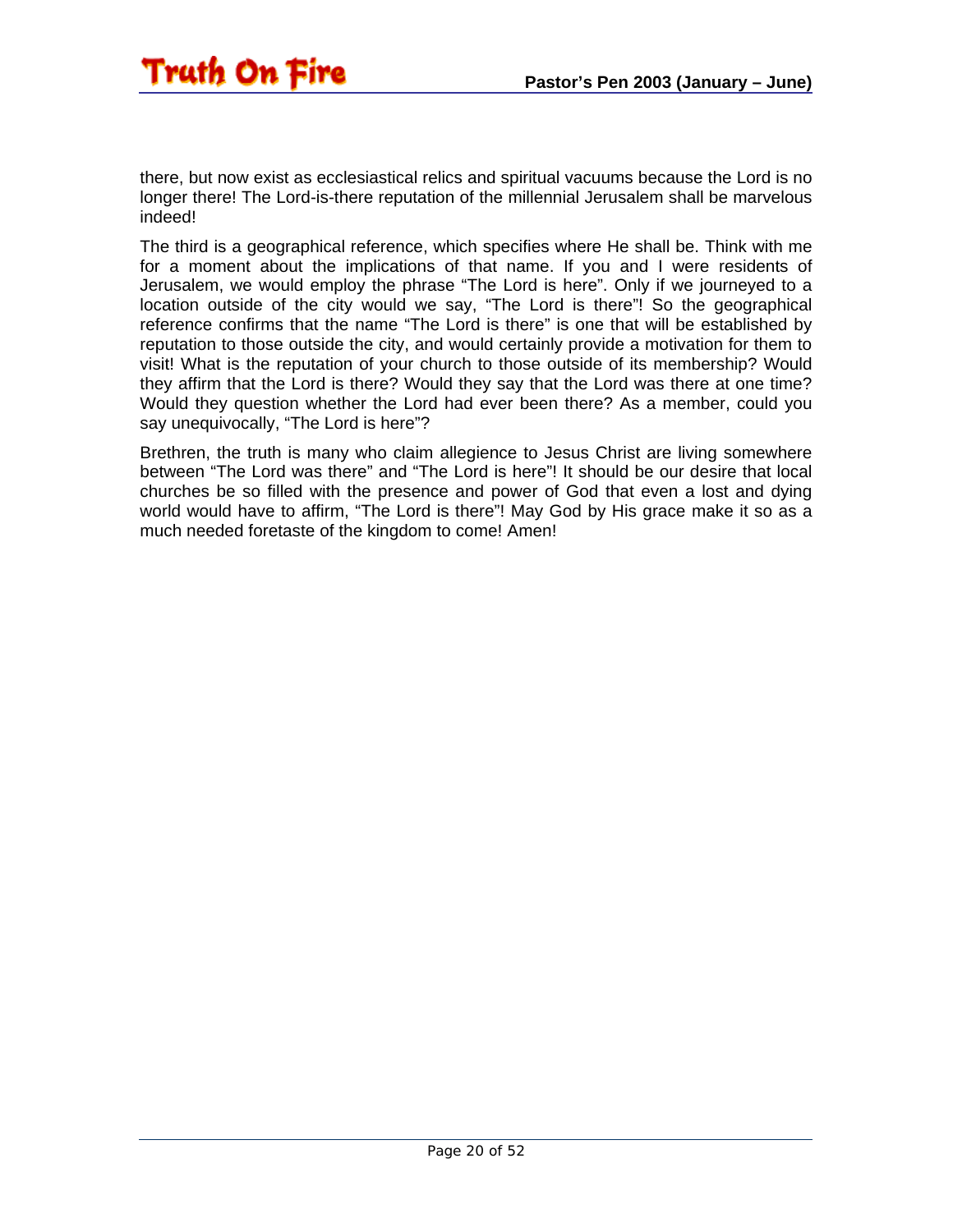

there, but now exist as ecclesiastical relics and spiritual vacuums because the Lord is no longer there! The Lord-is-there reputation of the millennial Jerusalem shall be marvelous indeed!

The third is a geographical reference, which specifies where He shall be. Think with me for a moment about the implications of that name. If you and I were residents of Jerusalem, we would employ the phrase "The Lord is here". Only if we journeyed to a location outside of the city would we say, "The Lord is there"! So the geographical reference confirms that the name "The Lord is there" is one that will be established by reputation to those outside the city, and would certainly provide a motivation for them to visit! What is the reputation of your church to those outside of its membership? Would they affirm that the Lord is there? Would they say that the Lord was there at one time? Would they question whether the Lord had ever been there? As a member, could you say unequivocally, "The Lord is here"?

Brethren, the truth is many who claim allegience to Jesus Christ are living somewhere between "The Lord was there" and "The Lord is here"! It should be our desire that local churches be so filled with the presence and power of God that even a lost and dying world would have to affirm, "The Lord is there"! May God by His grace make it so as a much needed foretaste of the kingdom to come! Amen!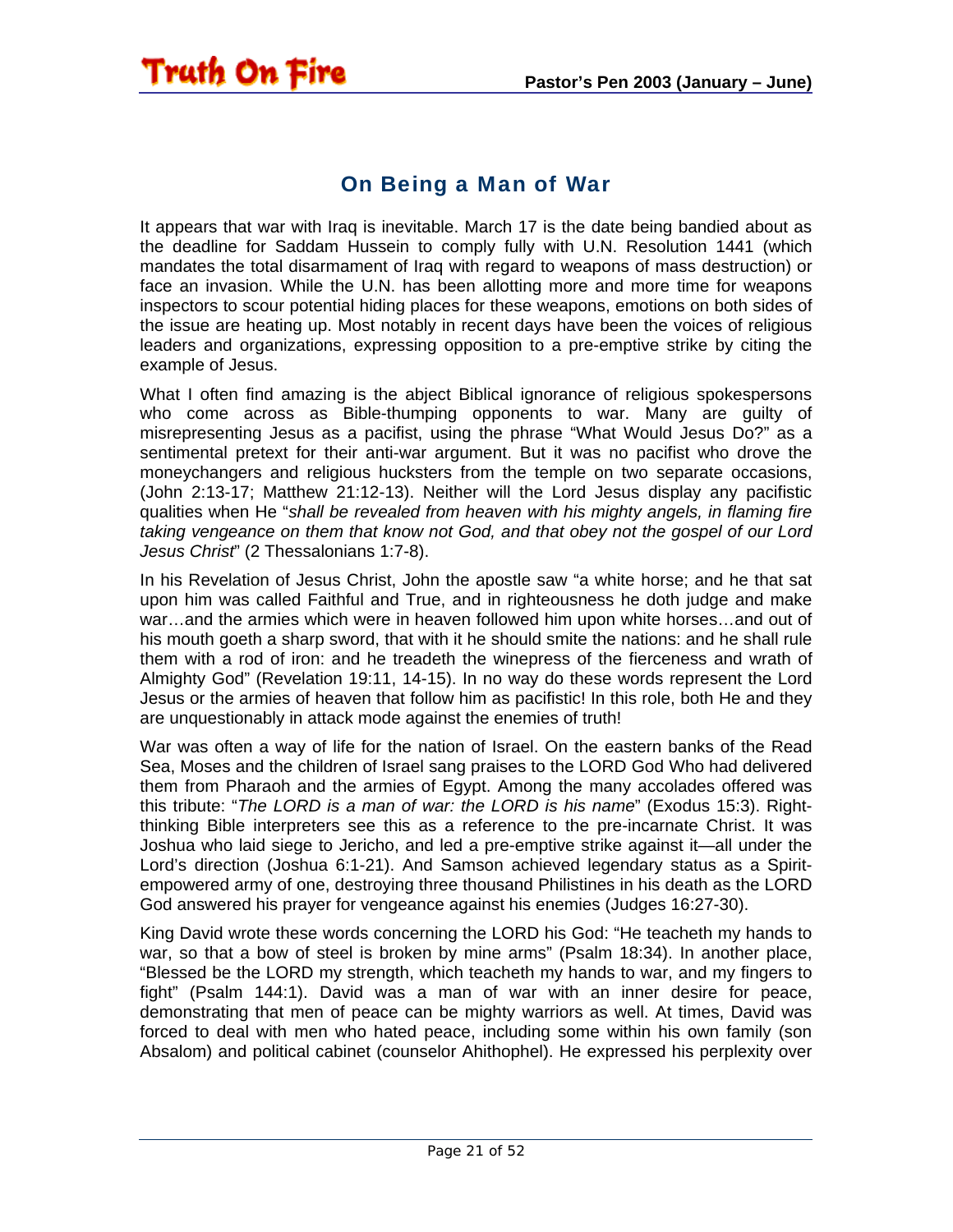#### On Being a Man of War

<span id="page-20-0"></span>**Truth On Fire** 

It appears that war with Iraq is inevitable. March 17 is the date being bandied about as the deadline for Saddam Hussein to comply fully with U.N. Resolution 1441 (which mandates the total disarmament of Iraq with regard to weapons of mass destruction) or face an invasion. While the U.N. has been allotting more and more time for weapons inspectors to scour potential hiding places for these weapons, emotions on both sides of the issue are heating up. Most notably in recent days have been the voices of religious leaders and organizations, expressing opposition to a pre-emptive strike by citing the example of Jesus.

What I often find amazing is the abject Biblical ignorance of religious spokespersons who come across as Bible-thumping opponents to war. Many are guilty of misrepresenting Jesus as a pacifist, using the phrase "What Would Jesus Do?" as a sentimental pretext for their anti-war argument. But it was no pacifist who drove the moneychangers and religious hucksters from the temple on two separate occasions, (John 2:13-17; Matthew 21:12-13). Neither will the Lord Jesus display any pacifistic qualities when He "*shall be revealed from heaven with his mighty angels, in flaming fire taking vengeance on them that know not God, and that obey not the gospel of our Lord Jesus Christ*" (2 Thessalonians 1:7-8).

In his Revelation of Jesus Christ, John the apostle saw "a white horse; and he that sat upon him was called Faithful and True, and in righteousness he doth judge and make war…and the armies which were in heaven followed him upon white horses…and out of his mouth goeth a sharp sword, that with it he should smite the nations: and he shall rule them with a rod of iron: and he treadeth the winepress of the fierceness and wrath of Almighty God" (Revelation 19:11, 14-15). In no way do these words represent the Lord Jesus or the armies of heaven that follow him as pacifistic! In this role, both He and they are unquestionably in attack mode against the enemies of truth!

War was often a way of life for the nation of Israel. On the eastern banks of the Read Sea, Moses and the children of Israel sang praises to the LORD God Who had delivered them from Pharaoh and the armies of Egypt. Among the many accolades offered was this tribute: "*The LORD is a man of war: the LORD is his name*" (Exodus 15:3). Rightthinking Bible interpreters see this as a reference to the pre-incarnate Christ. It was Joshua who laid siege to Jericho, and led a pre-emptive strike against it—all under the Lord's direction (Joshua 6:1-21). And Samson achieved legendary status as a Spiritempowered army of one, destroying three thousand Philistines in his death as the LORD God answered his prayer for vengeance against his enemies (Judges 16:27-30).

King David wrote these words concerning the LORD his God: "He teacheth my hands to war, so that a bow of steel is broken by mine arms" (Psalm 18:34). In another place, "Blessed be the LORD my strength, which teacheth my hands to war, and my fingers to fight" (Psalm 144:1). David was a man of war with an inner desire for peace, demonstrating that men of peace can be mighty warriors as well. At times, David was forced to deal with men who hated peace, including some within his own family (son Absalom) and political cabinet (counselor Ahithophel). He expressed his perplexity over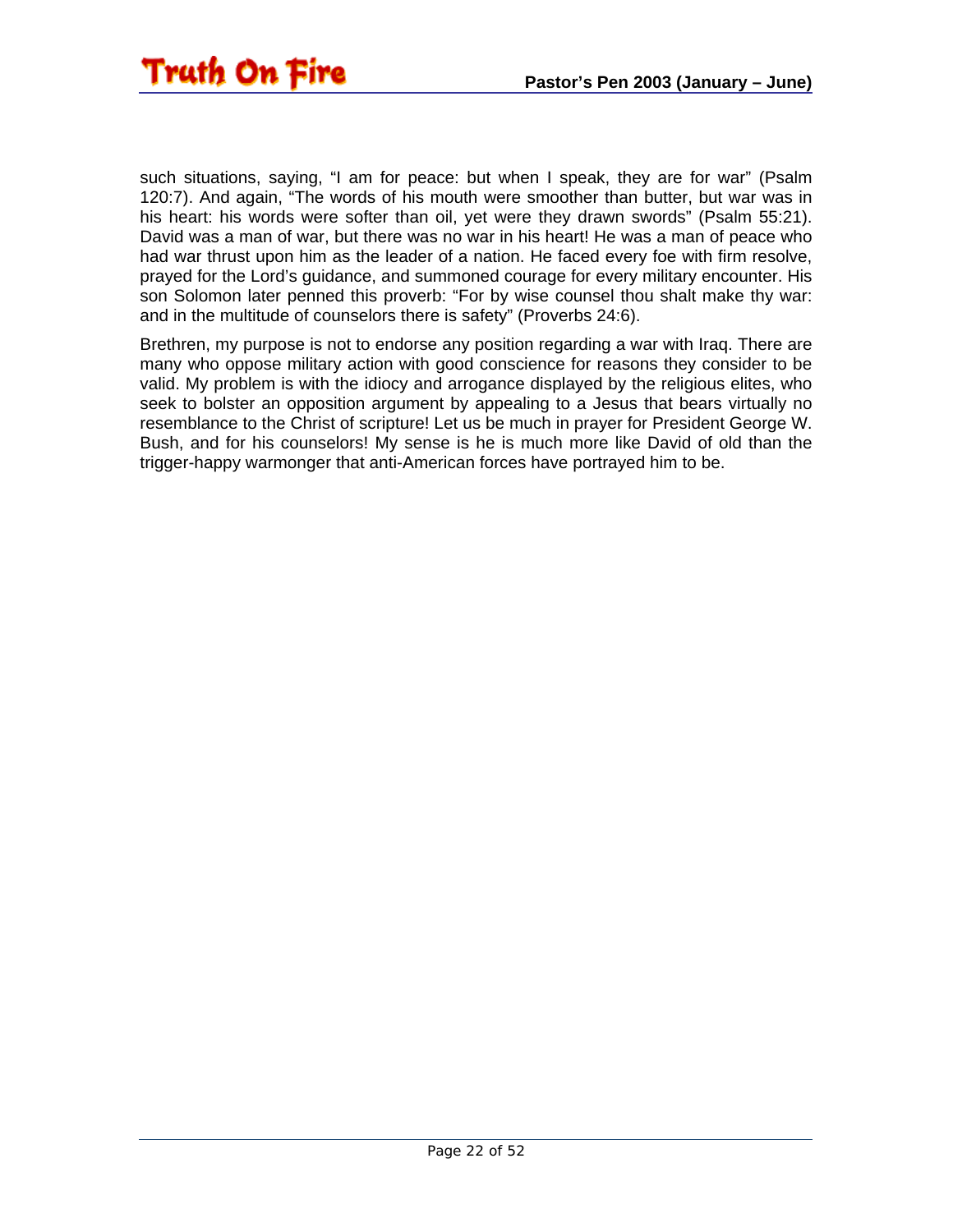such situations, saying, "I am for peace: but when I speak, they are for war" (Psalm 120:7). And again, "The words of his mouth were smoother than butter, but war was in his heart: his words were softer than oil, yet were they drawn swords" (Psalm 55:21). David was a man of war, but there was no war in his heart! He was a man of peace who had war thrust upon him as the leader of a nation. He faced every foe with firm resolve, prayed for the Lord's guidance, and summoned courage for every military encounter. His son Solomon later penned this proverb: "For by wise counsel thou shalt make thy war: and in the multitude of counselors there is safety" (Proverbs 24:6).

Brethren, my purpose is not to endorse any position regarding a war with Iraq. There are many who oppose military action with good conscience for reasons they consider to be valid. My problem is with the idiocy and arrogance displayed by the religious elites, who seek to bolster an opposition argument by appealing to a Jesus that bears virtually no resemblance to the Christ of scripture! Let us be much in prayer for President George W. Bush, and for his counselors! My sense is he is much more like David of old than the trigger-happy warmonger that anti-American forces have portrayed him to be.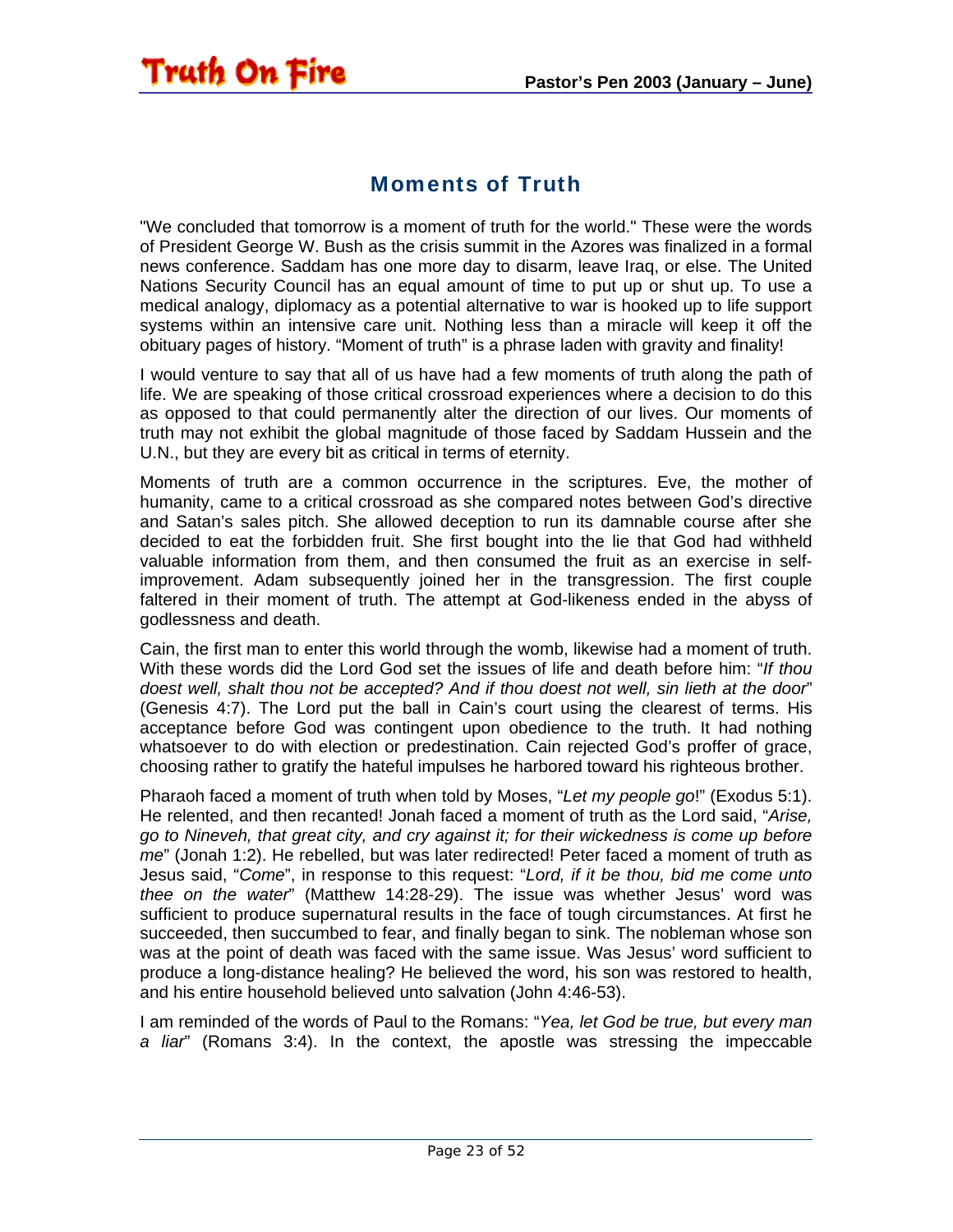#### Moments of Truth

<span id="page-22-0"></span>**Truth On Fire** 

"We concluded that tomorrow is a moment of truth for the world." These were the words of President George W. Bush as the crisis summit in the Azores was finalized in a formal news conference. Saddam has one more day to disarm, leave Iraq, or else. The United Nations Security Council has an equal amount of time to put up or shut up. To use a medical analogy, diplomacy as a potential alternative to war is hooked up to life support systems within an intensive care unit. Nothing less than a miracle will keep it off the obituary pages of history. "Moment of truth" is a phrase laden with gravity and finality!

I would venture to say that all of us have had a few moments of truth along the path of life. We are speaking of those critical crossroad experiences where a decision to do this as opposed to that could permanently alter the direction of our lives. Our moments of truth may not exhibit the global magnitude of those faced by Saddam Hussein and the U.N., but they are every bit as critical in terms of eternity.

Moments of truth are a common occurrence in the scriptures. Eve, the mother of humanity, came to a critical crossroad as she compared notes between God's directive and Satan's sales pitch. She allowed deception to run its damnable course after she decided to eat the forbidden fruit. She first bought into the lie that God had withheld valuable information from them, and then consumed the fruit as an exercise in selfimprovement. Adam subsequently joined her in the transgression. The first couple faltered in their moment of truth. The attempt at God-likeness ended in the abyss of godlessness and death.

Cain, the first man to enter this world through the womb, likewise had a moment of truth. With these words did the Lord God set the issues of life and death before him: "*If thou doest well, shalt thou not be accepted? And if thou doest not well, sin lieth at the door*" (Genesis 4:7). The Lord put the ball in Cain's court using the clearest of terms. His acceptance before God was contingent upon obedience to the truth. It had nothing whatsoever to do with election or predestination. Cain rejected God's proffer of grace, choosing rather to gratify the hateful impulses he harbored toward his righteous brother.

Pharaoh faced a moment of truth when told by Moses, "*Let my people go*!" (Exodus 5:1). He relented, and then recanted! Jonah faced a moment of truth as the Lord said, "*Arise, go to Nineveh, that great city, and cry against it; for their wickedness is come up before me*" (Jonah 1:2). He rebelled, but was later redirected! Peter faced a moment of truth as Jesus said, "*Come*", in response to this request: "*Lord, if it be thou, bid me come unto thee on the water*" (Matthew 14:28-29). The issue was whether Jesus' word was sufficient to produce supernatural results in the face of tough circumstances. At first he succeeded, then succumbed to fear, and finally began to sink. The nobleman whose son was at the point of death was faced with the same issue. Was Jesus' word sufficient to produce a long-distance healing? He believed the word, his son was restored to health, and his entire household believed unto salvation (John 4:46-53).

I am reminded of the words of Paul to the Romans: "*Yea, let God be true, but every man a liar*" (Romans 3:4). In the context, the apostle was stressing the impeccable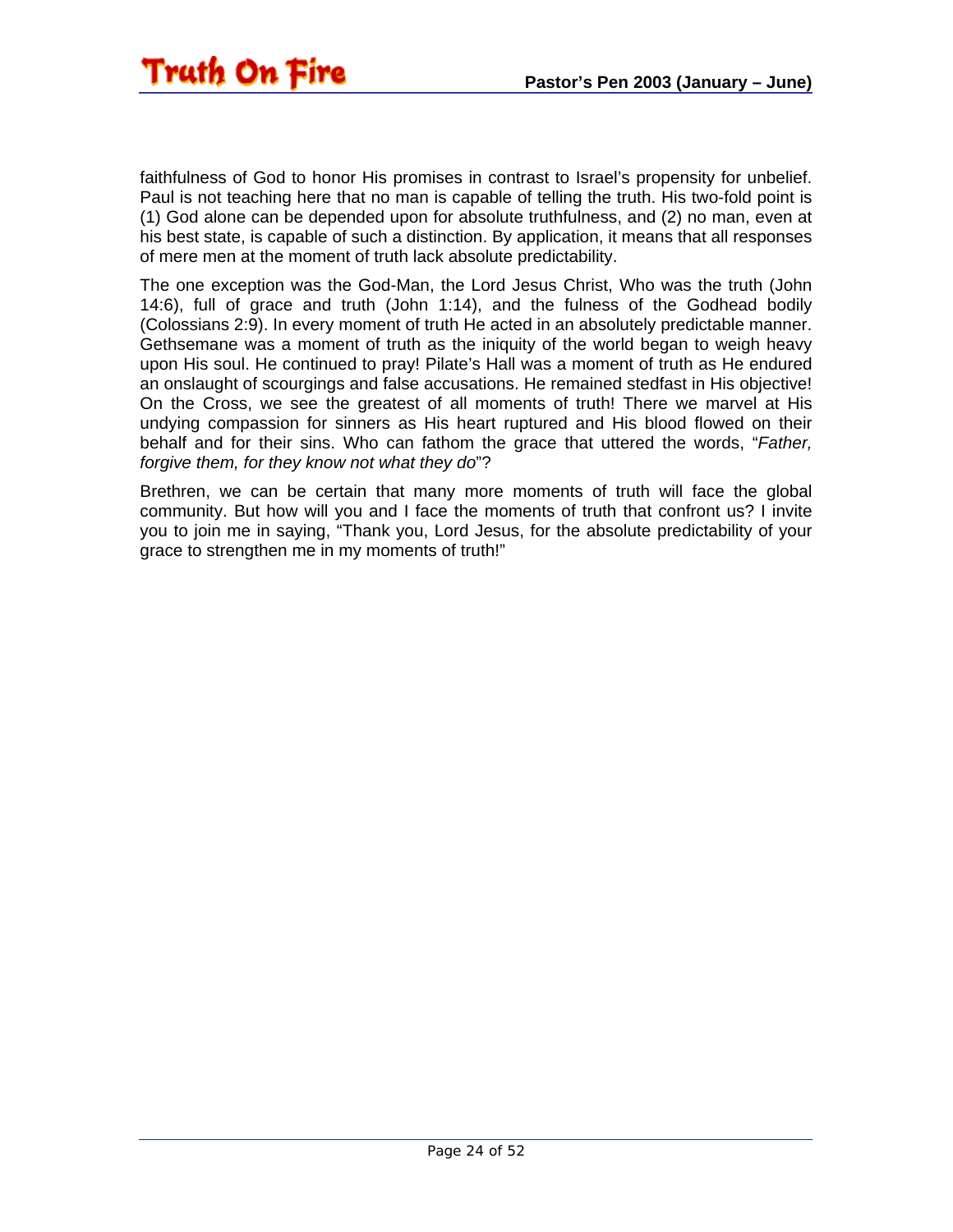

faithfulness of God to honor His promises in contrast to Israel's propensity for unbelief. Paul is not teaching here that no man is capable of telling the truth. His two-fold point is (1) God alone can be depended upon for absolute truthfulness, and (2) no man, even at his best state, is capable of such a distinction. By application, it means that all responses of mere men at the moment of truth lack absolute predictability.

The one exception was the God-Man, the Lord Jesus Christ, Who was the truth (John 14:6), full of grace and truth (John 1:14), and the fulness of the Godhead bodily (Colossians 2:9). In every moment of truth He acted in an absolutely predictable manner. Gethsemane was a moment of truth as the iniquity of the world began to weigh heavy upon His soul. He continued to pray! Pilate's Hall was a moment of truth as He endured an onslaught of scourgings and false accusations. He remained stedfast in His objective! On the Cross, we see the greatest of all moments of truth! There we marvel at His undying compassion for sinners as His heart ruptured and His blood flowed on their behalf and for their sins. Who can fathom the grace that uttered the words, "*Father, forgive them, for they know not what they do*"?

Brethren, we can be certain that many more moments of truth will face the global community. But how will you and I face the moments of truth that confront us? I invite you to join me in saying, "Thank you, Lord Jesus, for the absolute predictability of your grace to strengthen me in my moments of truth!"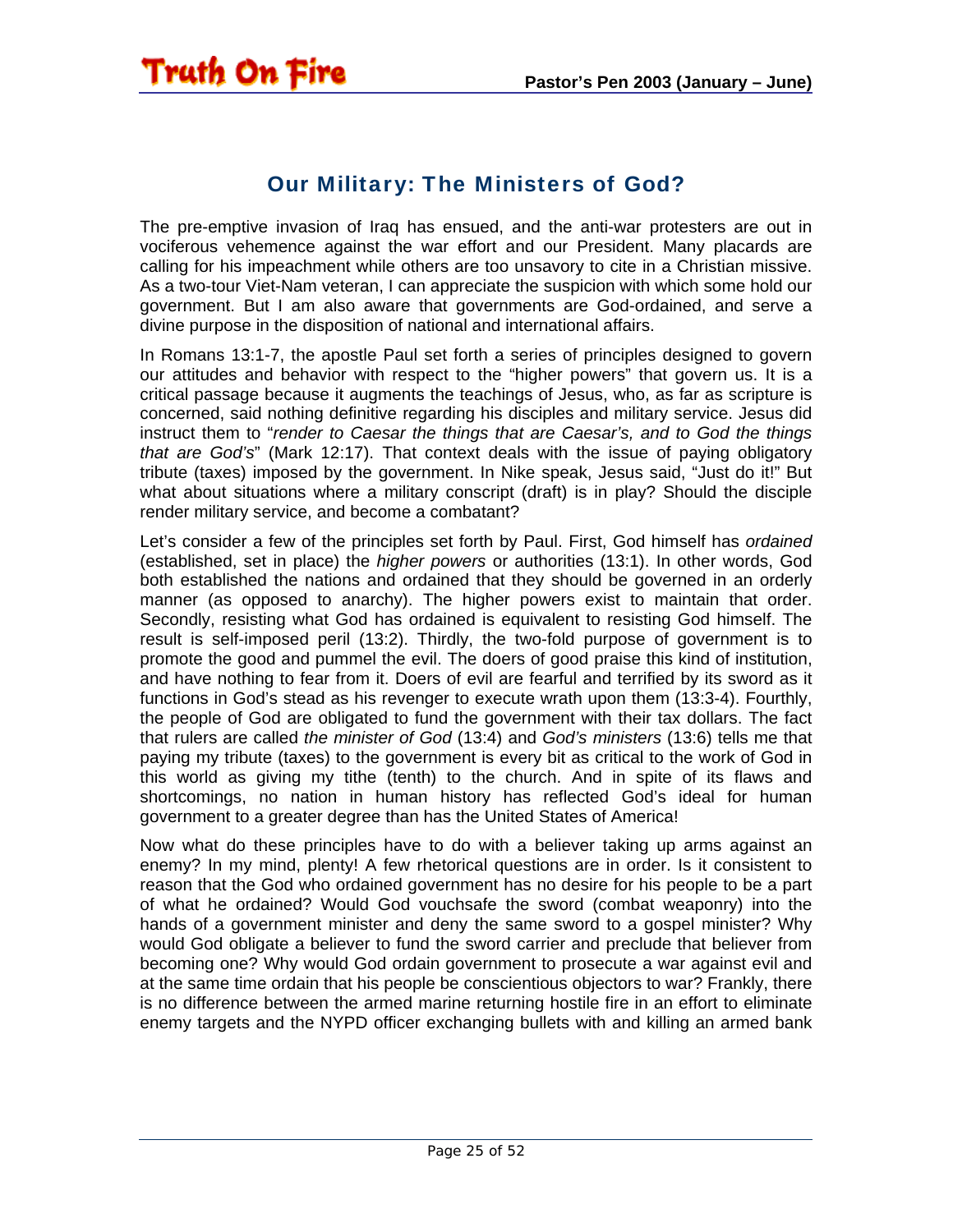#### Our Military: The Ministers of God?

<span id="page-24-0"></span>The pre-emptive invasion of Iraq has ensued, and the anti-war protesters are out in vociferous vehemence against the war effort and our President. Many placards are calling for his impeachment while others are too unsavory to cite in a Christian missive. As a two-tour Viet-Nam veteran, I can appreciate the suspicion with which some hold our government. But I am also aware that governments are God-ordained, and serve a divine purpose in the disposition of national and international affairs.

In Romans 13:1-7, the apostle Paul set forth a series of principles designed to govern our attitudes and behavior with respect to the "higher powers" that govern us. It is a critical passage because it augments the teachings of Jesus, who, as far as scripture is concerned, said nothing definitive regarding his disciples and military service. Jesus did instruct them to "*render to Caesar the things that are Caesar's, and to God the things that are God's*" (Mark 12:17). That context deals with the issue of paying obligatory tribute (taxes) imposed by the government. In Nike speak, Jesus said, "Just do it!" But what about situations where a military conscript (draft) is in play? Should the disciple render military service, and become a combatant?

Let's consider a few of the principles set forth by Paul. First, God himself has *ordained* (established, set in place) the *higher powers* or authorities (13:1). In other words, God both established the nations and ordained that they should be governed in an orderly manner (as opposed to anarchy). The higher powers exist to maintain that order. Secondly, resisting what God has ordained is equivalent to resisting God himself. The result is self-imposed peril (13:2). Thirdly, the two-fold purpose of government is to promote the good and pummel the evil. The doers of good praise this kind of institution, and have nothing to fear from it. Doers of evil are fearful and terrified by its sword as it functions in God's stead as his revenger to execute wrath upon them (13:3-4). Fourthly, the people of God are obligated to fund the government with their tax dollars. The fact that rulers are called *the minister of God* (13:4) and *God's ministers* (13:6) tells me that paying my tribute (taxes) to the government is every bit as critical to the work of God in this world as giving my tithe (tenth) to the church. And in spite of its flaws and shortcomings, no nation in human history has reflected God's ideal for human government to a greater degree than has the United States of America!

Now what do these principles have to do with a believer taking up arms against an enemy? In my mind, plenty! A few rhetorical questions are in order. Is it consistent to reason that the God who ordained government has no desire for his people to be a part of what he ordained? Would God vouchsafe the sword (combat weaponry) into the hands of a government minister and deny the same sword to a gospel minister? Why would God obligate a believer to fund the sword carrier and preclude that believer from becoming one? Why would God ordain government to prosecute a war against evil and at the same time ordain that his people be conscientious objectors to war? Frankly, there is no difference between the armed marine returning hostile fire in an effort to eliminate enemy targets and the NYPD officer exchanging bullets with and killing an armed bank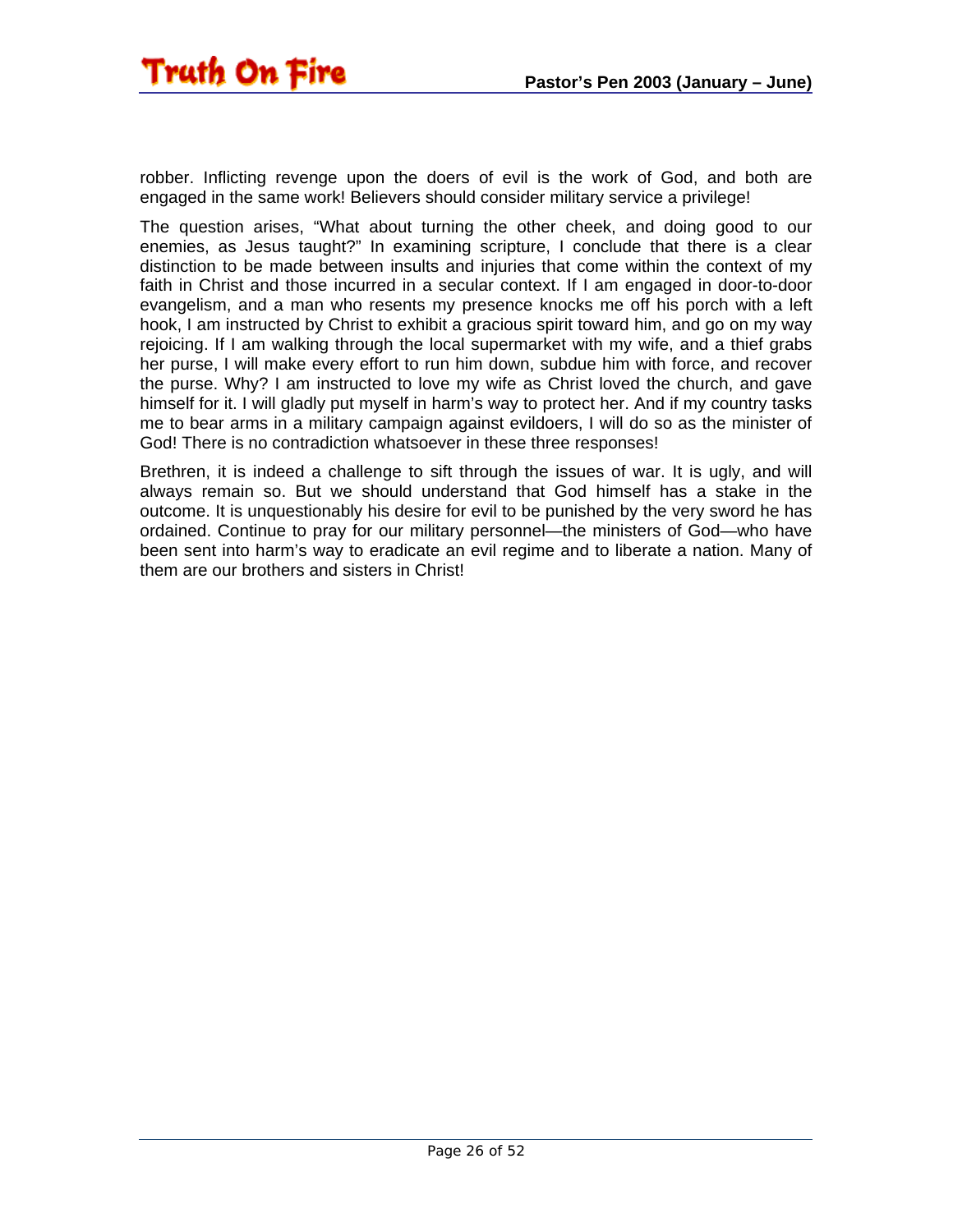robber. Inflicting revenge upon the doers of evil is the work of God, and both are engaged in the same work! Believers should consider military service a privilege!

The question arises, "What about turning the other cheek, and doing good to our enemies, as Jesus taught?" In examining scripture, I conclude that there is a clear distinction to be made between insults and injuries that come within the context of my faith in Christ and those incurred in a secular context. If I am engaged in door-to-door evangelism, and a man who resents my presence knocks me off his porch with a left hook, I am instructed by Christ to exhibit a gracious spirit toward him, and go on my way rejoicing. If I am walking through the local supermarket with my wife, and a thief grabs her purse, I will make every effort to run him down, subdue him with force, and recover the purse. Why? I am instructed to love my wife as Christ loved the church, and gave himself for it. I will gladly put myself in harm's way to protect her. And if my country tasks me to bear arms in a military campaign against evildoers, I will do so as the minister of God! There is no contradiction whatsoever in these three responses!

Brethren, it is indeed a challenge to sift through the issues of war. It is ugly, and will always remain so. But we should understand that God himself has a stake in the outcome. It is unquestionably his desire for evil to be punished by the very sword he has ordained. Continue to pray for our military personnel—the ministers of God—who have been sent into harm's way to eradicate an evil regime and to liberate a nation. Many of them are our brothers and sisters in Christ!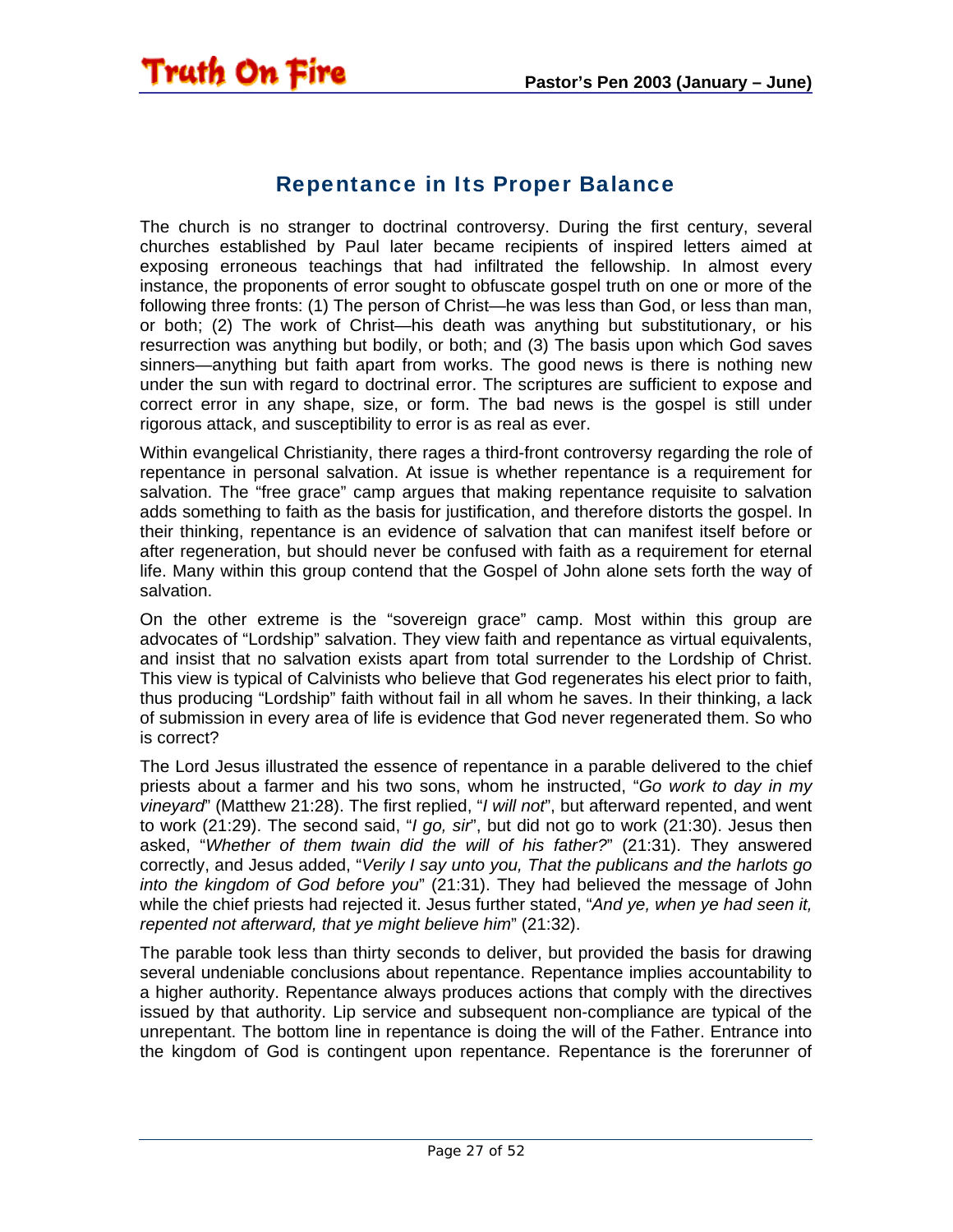<span id="page-26-0"></span>

#### Repentance in Its Proper Balance

The church is no stranger to doctrinal controversy. During the first century, several churches established by Paul later became recipients of inspired letters aimed at exposing erroneous teachings that had infiltrated the fellowship. In almost every instance, the proponents of error sought to obfuscate gospel truth on one or more of the following three fronts: (1) The person of Christ—he was less than God, or less than man, or both; (2) The work of Christ—his death was anything but substitutionary, or his resurrection was anything but bodily, or both; and (3) The basis upon which God saves sinners—anything but faith apart from works. The good news is there is nothing new under the sun with regard to doctrinal error. The scriptures are sufficient to expose and correct error in any shape, size, or form. The bad news is the gospel is still under rigorous attack, and susceptibility to error is as real as ever.

Within evangelical Christianity, there rages a third-front controversy regarding the role of repentance in personal salvation. At issue is whether repentance is a requirement for salvation. The "free grace" camp argues that making repentance requisite to salvation adds something to faith as the basis for justification, and therefore distorts the gospel. In their thinking, repentance is an evidence of salvation that can manifest itself before or after regeneration, but should never be confused with faith as a requirement for eternal life. Many within this group contend that the Gospel of John alone sets forth the way of salvation.

On the other extreme is the "sovereign grace" camp. Most within this group are advocates of "Lordship" salvation. They view faith and repentance as virtual equivalents, and insist that no salvation exists apart from total surrender to the Lordship of Christ. This view is typical of Calvinists who believe that God regenerates his elect prior to faith, thus producing "Lordship" faith without fail in all whom he saves. In their thinking, a lack of submission in every area of life is evidence that God never regenerated them. So who is correct?

The Lord Jesus illustrated the essence of repentance in a parable delivered to the chief priests about a farmer and his two sons, whom he instructed, "*Go work to day in my vineyard*" (Matthew 21:28). The first replied, "*I will not*", but afterward repented, and went to work (21:29). The second said, "*I go, sir*", but did not go to work (21:30). Jesus then asked, "*Whether of them twain did the will of his father?*" (21:31). They answered correctly, and Jesus added, "*Verily I say unto you, That the publicans and the harlots go into the kingdom of God before you*" (21:31). They had believed the message of John while the chief priests had rejected it. Jesus further stated, "*And ye, when ye had seen it, repented not afterward, that ye might believe him*" (21:32).

The parable took less than thirty seconds to deliver, but provided the basis for drawing several undeniable conclusions about repentance. Repentance implies accountability to a higher authority. Repentance always produces actions that comply with the directives issued by that authority. Lip service and subsequent non-compliance are typical of the unrepentant. The bottom line in repentance is doing the will of the Father. Entrance into the kingdom of God is contingent upon repentance. Repentance is the forerunner of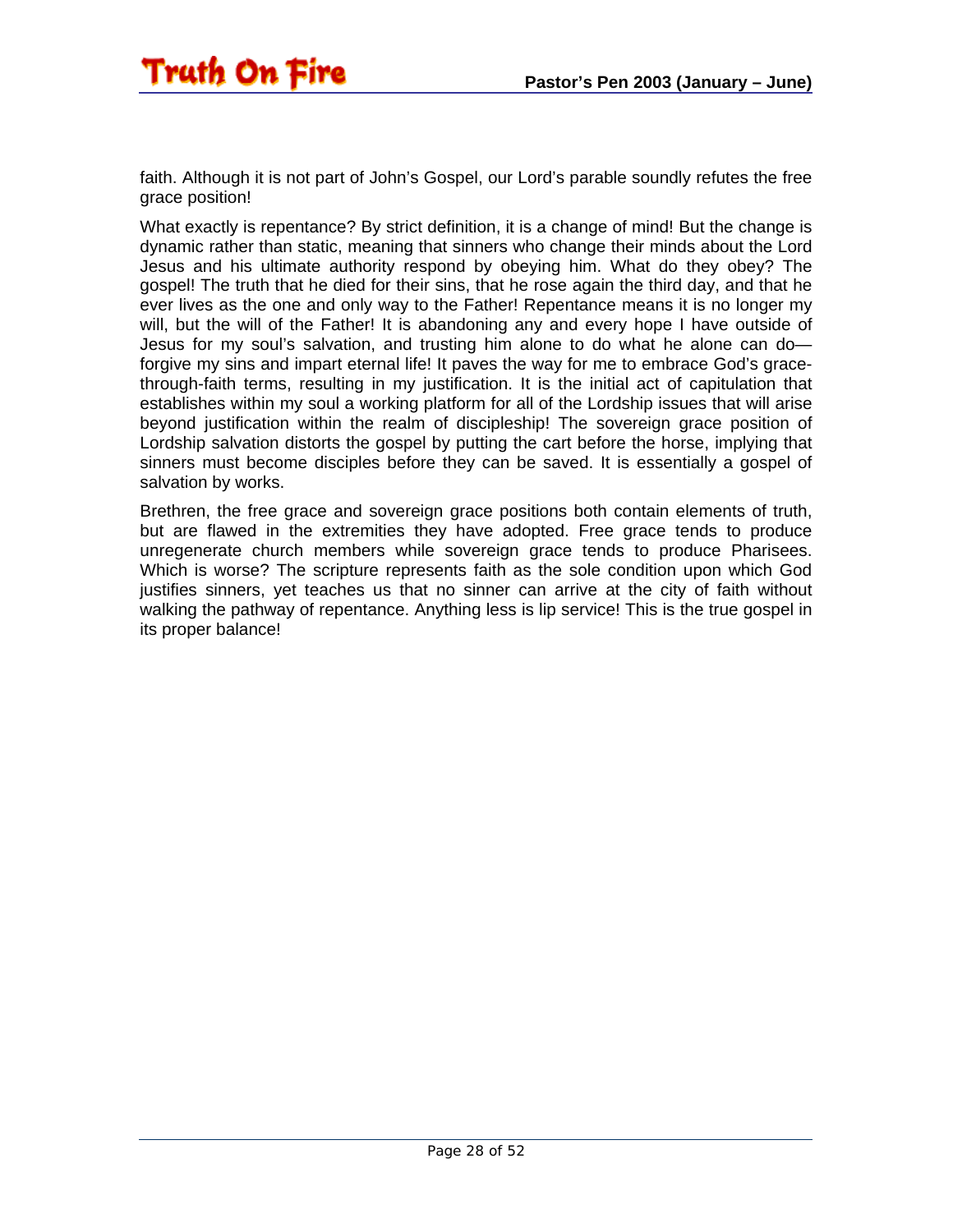faith. Although it is not part of John's Gospel, our Lord's parable soundly refutes the free grace position!

What exactly is repentance? By strict definition, it is a change of mind! But the change is dynamic rather than static, meaning that sinners who change their minds about the Lord Jesus and his ultimate authority respond by obeying him. What do they obey? The gospel! The truth that he died for their sins, that he rose again the third day, and that he ever lives as the one and only way to the Father! Repentance means it is no longer my will, but the will of the Father! It is abandoning any and every hope I have outside of Jesus for my soul's salvation, and trusting him alone to do what he alone can do forgive my sins and impart eternal life! It paves the way for me to embrace God's gracethrough-faith terms, resulting in my justification. It is the initial act of capitulation that establishes within my soul a working platform for all of the Lordship issues that will arise beyond justification within the realm of discipleship! The sovereign grace position of Lordship salvation distorts the gospel by putting the cart before the horse, implying that sinners must become disciples before they can be saved. It is essentially a gospel of salvation by works.

Brethren, the free grace and sovereign grace positions both contain elements of truth, but are flawed in the extremities they have adopted. Free grace tends to produce unregenerate church members while sovereign grace tends to produce Pharisees. Which is worse? The scripture represents faith as the sole condition upon which God justifies sinners, yet teaches us that no sinner can arrive at the city of faith without walking the pathway of repentance. Anything less is lip service! This is the true gospel in its proper balance!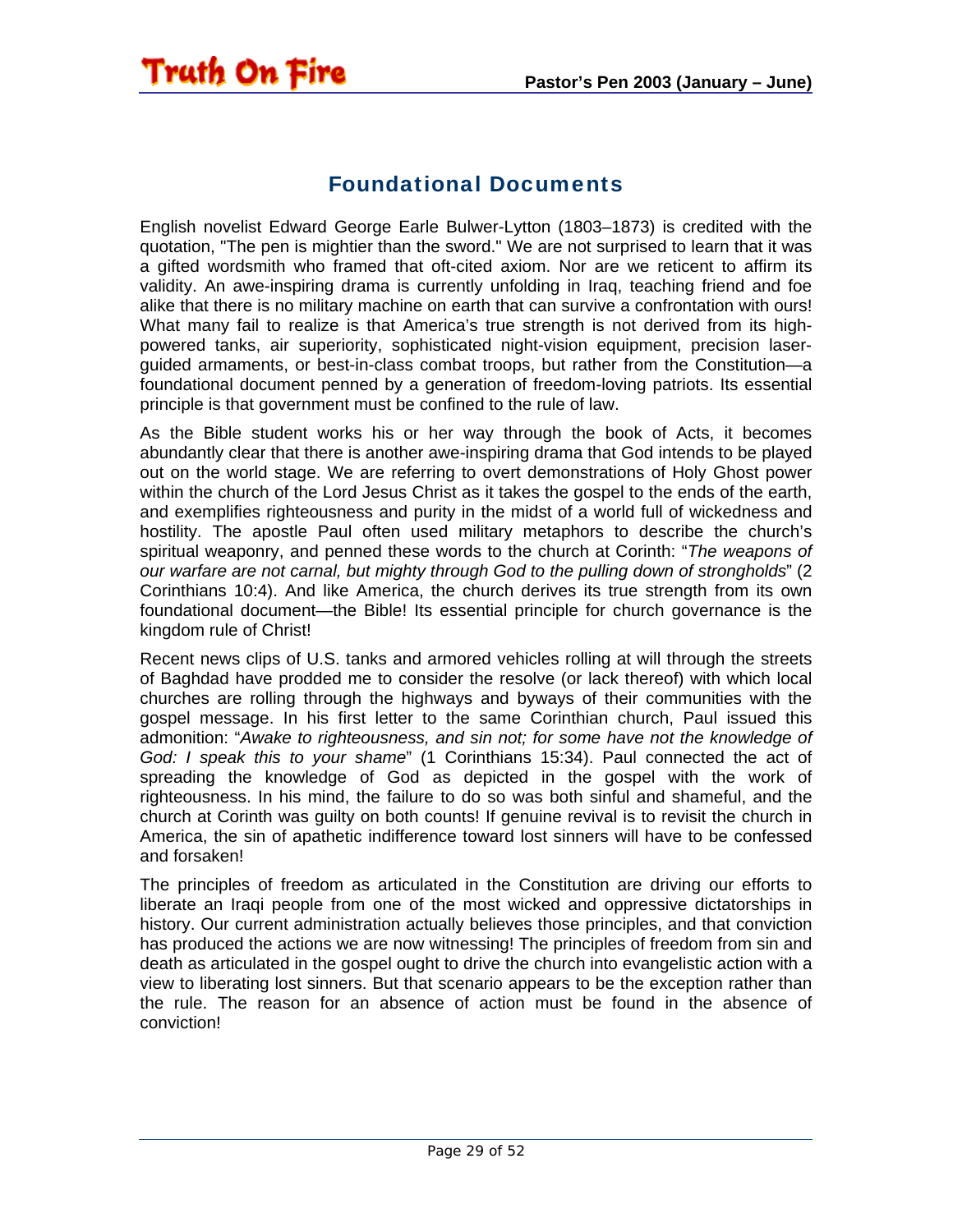#### Foundational Documents

<span id="page-28-0"></span>**Truth On Fire** 

English novelist Edward George Earle Bulwer-Lytton (1803–1873) is credited with the quotation, "The pen is mightier than the sword." We are not surprised to learn that it was a gifted wordsmith who framed that oft-cited axiom. Nor are we reticent to affirm its validity. An awe-inspiring drama is currently unfolding in Iraq, teaching friend and foe alike that there is no military machine on earth that can survive a confrontation with ours! What many fail to realize is that America's true strength is not derived from its highpowered tanks, air superiority, sophisticated night-vision equipment, precision laserguided armaments, or best-in-class combat troops, but rather from the Constitution—a foundational document penned by a generation of freedom-loving patriots. Its essential principle is that government must be confined to the rule of law.

As the Bible student works his or her way through the book of Acts, it becomes abundantly clear that there is another awe-inspiring drama that God intends to be played out on the world stage. We are referring to overt demonstrations of Holy Ghost power within the church of the Lord Jesus Christ as it takes the gospel to the ends of the earth, and exemplifies righteousness and purity in the midst of a world full of wickedness and hostility. The apostle Paul often used military metaphors to describe the church's spiritual weaponry, and penned these words to the church at Corinth: "*The weapons of our warfare are not carnal, but mighty through God to the pulling down of strongholds*" (2 Corinthians 10:4). And like America, the church derives its true strength from its own foundational document—the Bible! Its essential principle for church governance is the kingdom rule of Christ!

Recent news clips of U.S. tanks and armored vehicles rolling at will through the streets of Baghdad have prodded me to consider the resolve (or lack thereof) with which local churches are rolling through the highways and byways of their communities with the gospel message. In his first letter to the same Corinthian church, Paul issued this admonition: "*Awake to righteousness, and sin not; for some have not the knowledge of God: I speak this to your shame*" (1 Corinthians 15:34). Paul connected the act of spreading the knowledge of God as depicted in the gospel with the work of righteousness. In his mind, the failure to do so was both sinful and shameful, and the church at Corinth was guilty on both counts! If genuine revival is to revisit the church in America, the sin of apathetic indifference toward lost sinners will have to be confessed and forsaken!

The principles of freedom as articulated in the Constitution are driving our efforts to liberate an Iraqi people from one of the most wicked and oppressive dictatorships in history. Our current administration actually believes those principles, and that conviction has produced the actions we are now witnessing! The principles of freedom from sin and death as articulated in the gospel ought to drive the church into evangelistic action with a view to liberating lost sinners. But that scenario appears to be the exception rather than the rule. The reason for an absence of action must be found in the absence of conviction!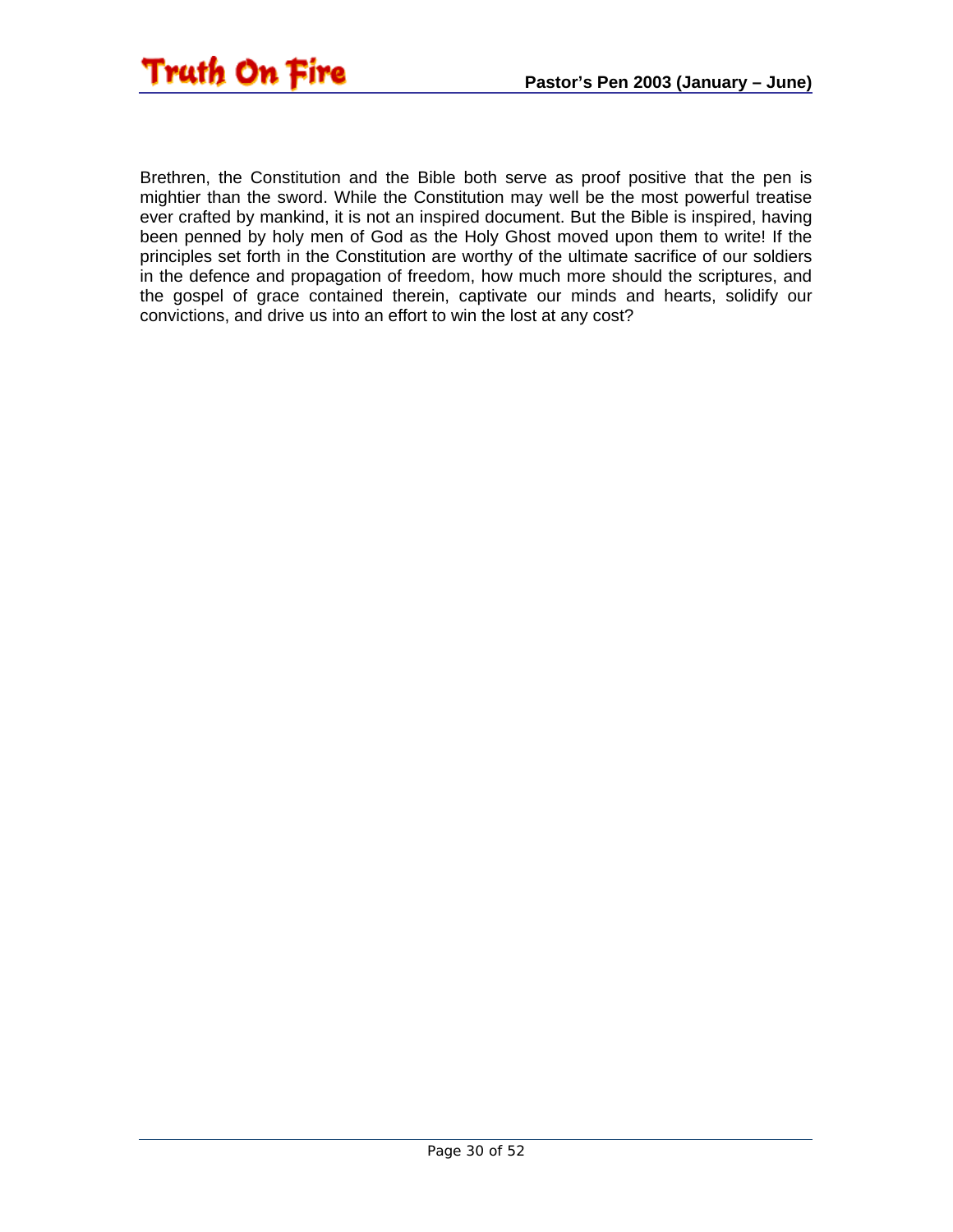

Brethren, the Constitution and the Bible both serve as proof positive that the pen is mightier than the sword. While the Constitution may well be the most powerful treatise ever crafted by mankind, it is not an inspired document. But the Bible is inspired, having been penned by holy men of God as the Holy Ghost moved upon them to write! If the principles set forth in the Constitution are worthy of the ultimate sacrifice of our soldiers in the defence and propagation of freedom, how much more should the scriptures, and the gospel of grace contained therein, captivate our minds and hearts, solidify our convictions, and drive us into an effort to win the lost at any cost?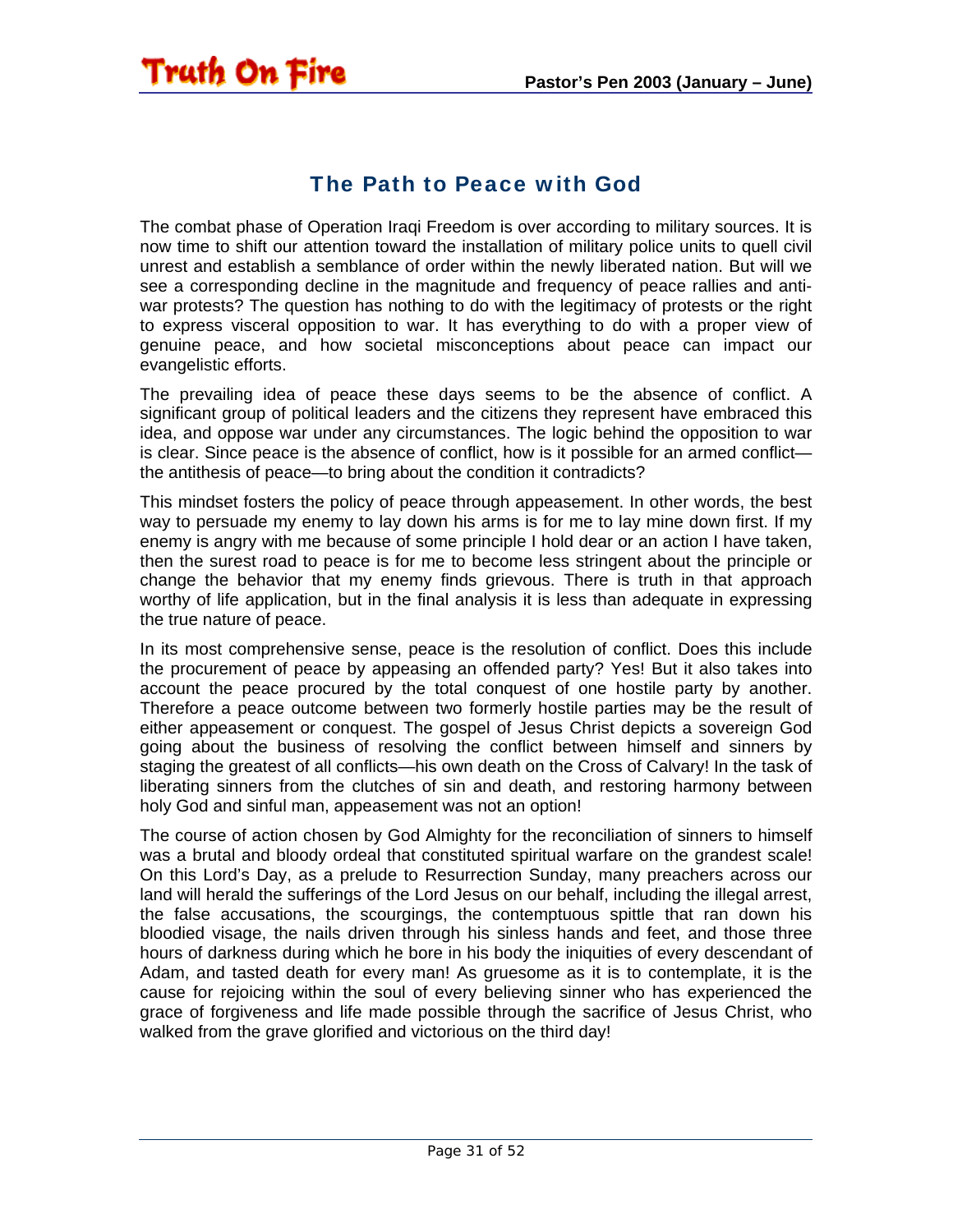#### The Path to Peace with God

<span id="page-30-0"></span>**Truth On Fire** 

The combat phase of Operation Iraqi Freedom is over according to military sources. It is now time to shift our attention toward the installation of military police units to quell civil unrest and establish a semblance of order within the newly liberated nation. But will we see a corresponding decline in the magnitude and frequency of peace rallies and antiwar protests? The question has nothing to do with the legitimacy of protests or the right to express visceral opposition to war. It has everything to do with a proper view of genuine peace, and how societal misconceptions about peace can impact our evangelistic efforts.

The prevailing idea of peace these days seems to be the absence of conflict. A significant group of political leaders and the citizens they represent have embraced this idea, and oppose war under any circumstances. The logic behind the opposition to war is clear. Since peace is the absence of conflict, how is it possible for an armed conflict the antithesis of peace—to bring about the condition it contradicts?

This mindset fosters the policy of peace through appeasement. In other words, the best way to persuade my enemy to lay down his arms is for me to lay mine down first. If my enemy is angry with me because of some principle I hold dear or an action I have taken, then the surest road to peace is for me to become less stringent about the principle or change the behavior that my enemy finds grievous. There is truth in that approach worthy of life application, but in the final analysis it is less than adequate in expressing the true nature of peace.

In its most comprehensive sense, peace is the resolution of conflict. Does this include the procurement of peace by appeasing an offended party? Yes! But it also takes into account the peace procured by the total conquest of one hostile party by another. Therefore a peace outcome between two formerly hostile parties may be the result of either appeasement or conquest. The gospel of Jesus Christ depicts a sovereign God going about the business of resolving the conflict between himself and sinners by staging the greatest of all conflicts—his own death on the Cross of Calvary! In the task of liberating sinners from the clutches of sin and death, and restoring harmony between holy God and sinful man, appeasement was not an option!

The course of action chosen by God Almighty for the reconciliation of sinners to himself was a brutal and bloody ordeal that constituted spiritual warfare on the grandest scale! On this Lord's Day, as a prelude to Resurrection Sunday, many preachers across our land will herald the sufferings of the Lord Jesus on our behalf, including the illegal arrest, the false accusations, the scourgings, the contemptuous spittle that ran down his bloodied visage, the nails driven through his sinless hands and feet, and those three hours of darkness during which he bore in his body the iniquities of every descendant of Adam, and tasted death for every man! As gruesome as it is to contemplate, it is the cause for rejoicing within the soul of every believing sinner who has experienced the grace of forgiveness and life made possible through the sacrifice of Jesus Christ, who walked from the grave glorified and victorious on the third day!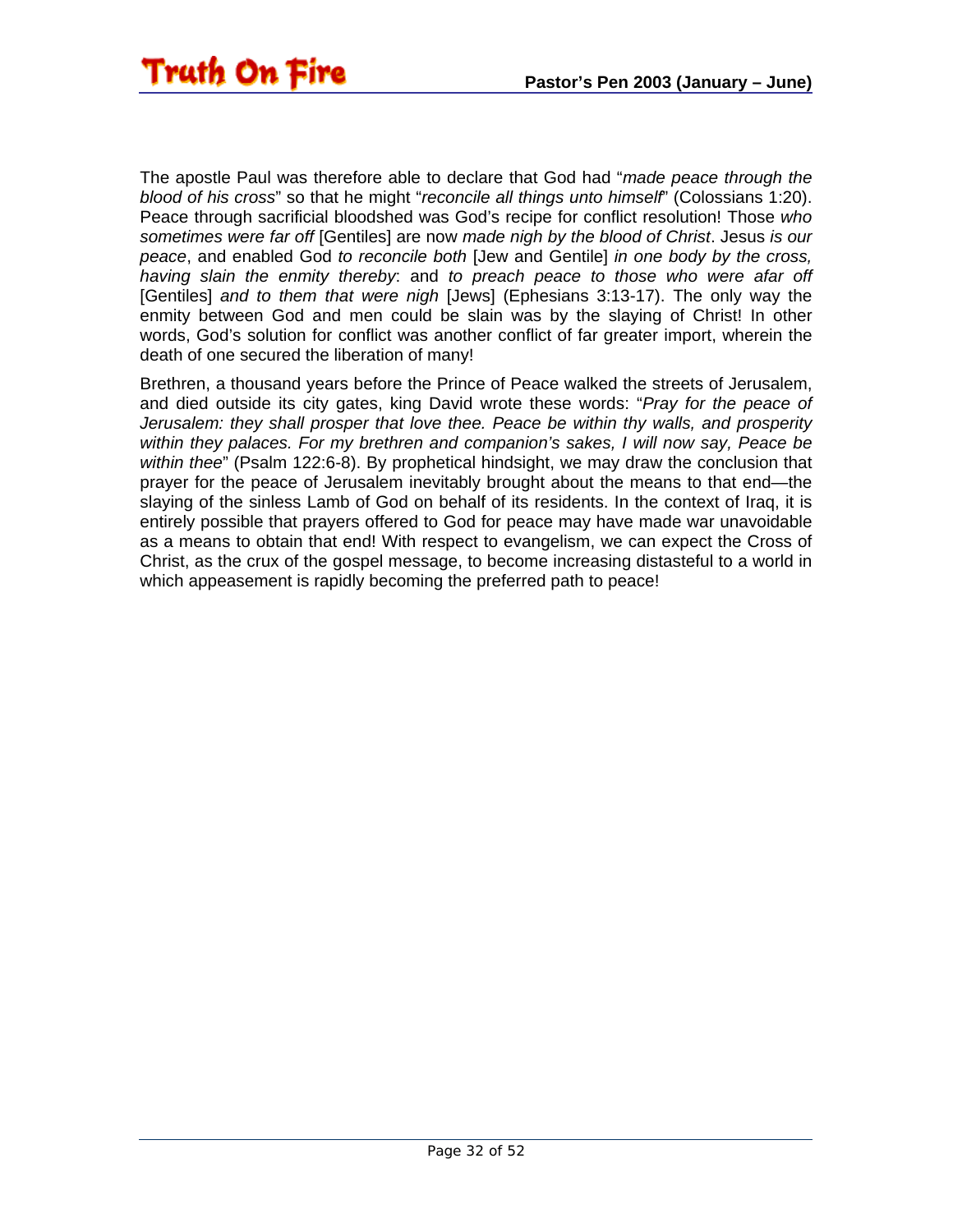The apostle Paul was therefore able to declare that God had "*made peace through the blood of his cross*" so that he might "*reconcile all things unto himself*" (Colossians 1:20). Peace through sacrificial bloodshed was God's recipe for conflict resolution! Those *who sometimes were far off* [Gentiles] are now *made nigh by the blood of Christ*. Jesus *is our peace*, and enabled God *to reconcile both* [Jew and Gentile] *in one body by the cross, having slain the enmity thereby*: and *to preach peace to those who were afar off* [Gentiles] *and to them that were nigh* [Jews] (Ephesians 3:13-17). The only way the enmity between God and men could be slain was by the slaying of Christ! In other words, God's solution for conflict was another conflict of far greater import, wherein the death of one secured the liberation of many!

Brethren, a thousand years before the Prince of Peace walked the streets of Jerusalem, and died outside its city gates, king David wrote these words: "*Pray for the peace of Jerusalem: they shall prosper that love thee. Peace be within thy walls, and prosperity within they palaces. For my brethren and companion's sakes, I will now say, Peace be within thee*" (Psalm 122:6-8). By prophetical hindsight, we may draw the conclusion that prayer for the peace of Jerusalem inevitably brought about the means to that end—the slaying of the sinless Lamb of God on behalf of its residents. In the context of Iraq, it is entirely possible that prayers offered to God for peace may have made war unavoidable as a means to obtain that end! With respect to evangelism, we can expect the Cross of Christ, as the crux of the gospel message, to become increasing distasteful to a world in which appeasement is rapidly becoming the preferred path to peace!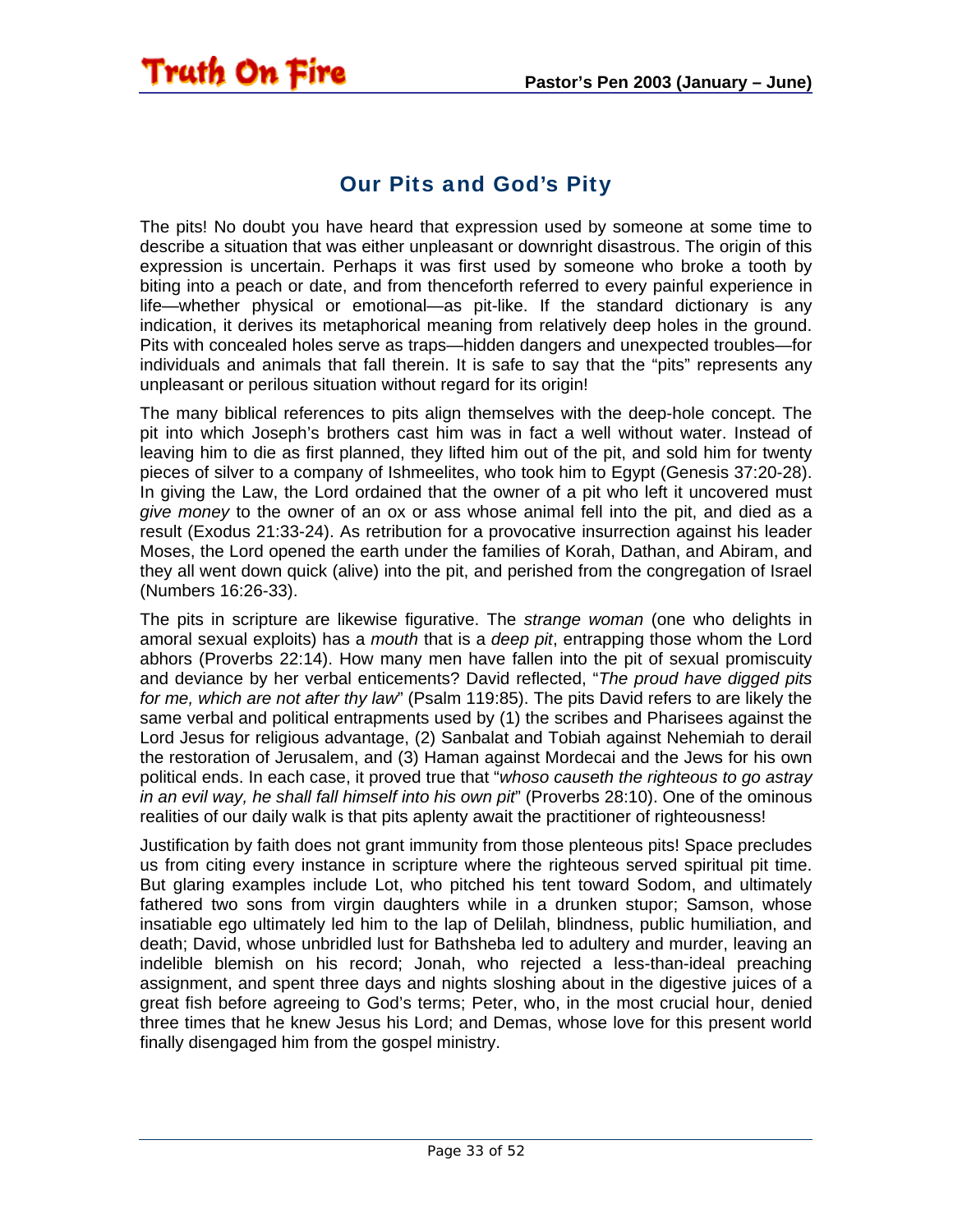#### Our Pits and God's Pity

<span id="page-32-0"></span>**Truth On Fire** 

The pits! No doubt you have heard that expression used by someone at some time to describe a situation that was either unpleasant or downright disastrous. The origin of this expression is uncertain. Perhaps it was first used by someone who broke a tooth by biting into a peach or date, and from thenceforth referred to every painful experience in life—whether physical or emotional—as pit-like. If the standard dictionary is any indication, it derives its metaphorical meaning from relatively deep holes in the ground. Pits with concealed holes serve as traps—hidden dangers and unexpected troubles—for individuals and animals that fall therein. It is safe to say that the "pits" represents any unpleasant or perilous situation without regard for its origin!

The many biblical references to pits align themselves with the deep-hole concept. The pit into which Joseph's brothers cast him was in fact a well without water. Instead of leaving him to die as first planned, they lifted him out of the pit, and sold him for twenty pieces of silver to a company of Ishmeelites, who took him to Egypt (Genesis 37:20-28). In giving the Law, the Lord ordained that the owner of a pit who left it uncovered must *give money* to the owner of an ox or ass whose animal fell into the pit, and died as a result (Exodus 21:33-24). As retribution for a provocative insurrection against his leader Moses, the Lord opened the earth under the families of Korah, Dathan, and Abiram, and they all went down quick (alive) into the pit, and perished from the congregation of Israel (Numbers 16:26-33).

The pits in scripture are likewise figurative. The *strange woman* (one who delights in amoral sexual exploits) has a *mouth* that is a *deep pit*, entrapping those whom the Lord abhors (Proverbs 22:14). How many men have fallen into the pit of sexual promiscuity and deviance by her verbal enticements? David reflected, "*The proud have digged pits for me, which are not after thy law*" (Psalm 119:85). The pits David refers to are likely the same verbal and political entrapments used by (1) the scribes and Pharisees against the Lord Jesus for religious advantage, (2) Sanbalat and Tobiah against Nehemiah to derail the restoration of Jerusalem, and (3) Haman against Mordecai and the Jews for his own political ends. In each case, it proved true that "*whoso causeth the righteous to go astray in an evil way, he shall fall himself into his own pit*" (Proverbs 28:10). One of the ominous realities of our daily walk is that pits aplenty await the practitioner of righteousness!

Justification by faith does not grant immunity from those plenteous pits! Space precludes us from citing every instance in scripture where the righteous served spiritual pit time. But glaring examples include Lot, who pitched his tent toward Sodom, and ultimately fathered two sons from virgin daughters while in a drunken stupor; Samson, whose insatiable ego ultimately led him to the lap of Delilah, blindness, public humiliation, and death; David, whose unbridled lust for Bathsheba led to adultery and murder, leaving an indelible blemish on his record; Jonah, who rejected a less-than-ideal preaching assignment, and spent three days and nights sloshing about in the digestive juices of a great fish before agreeing to God's terms; Peter, who, in the most crucial hour, denied three times that he knew Jesus his Lord; and Demas, whose love for this present world finally disengaged him from the gospel ministry.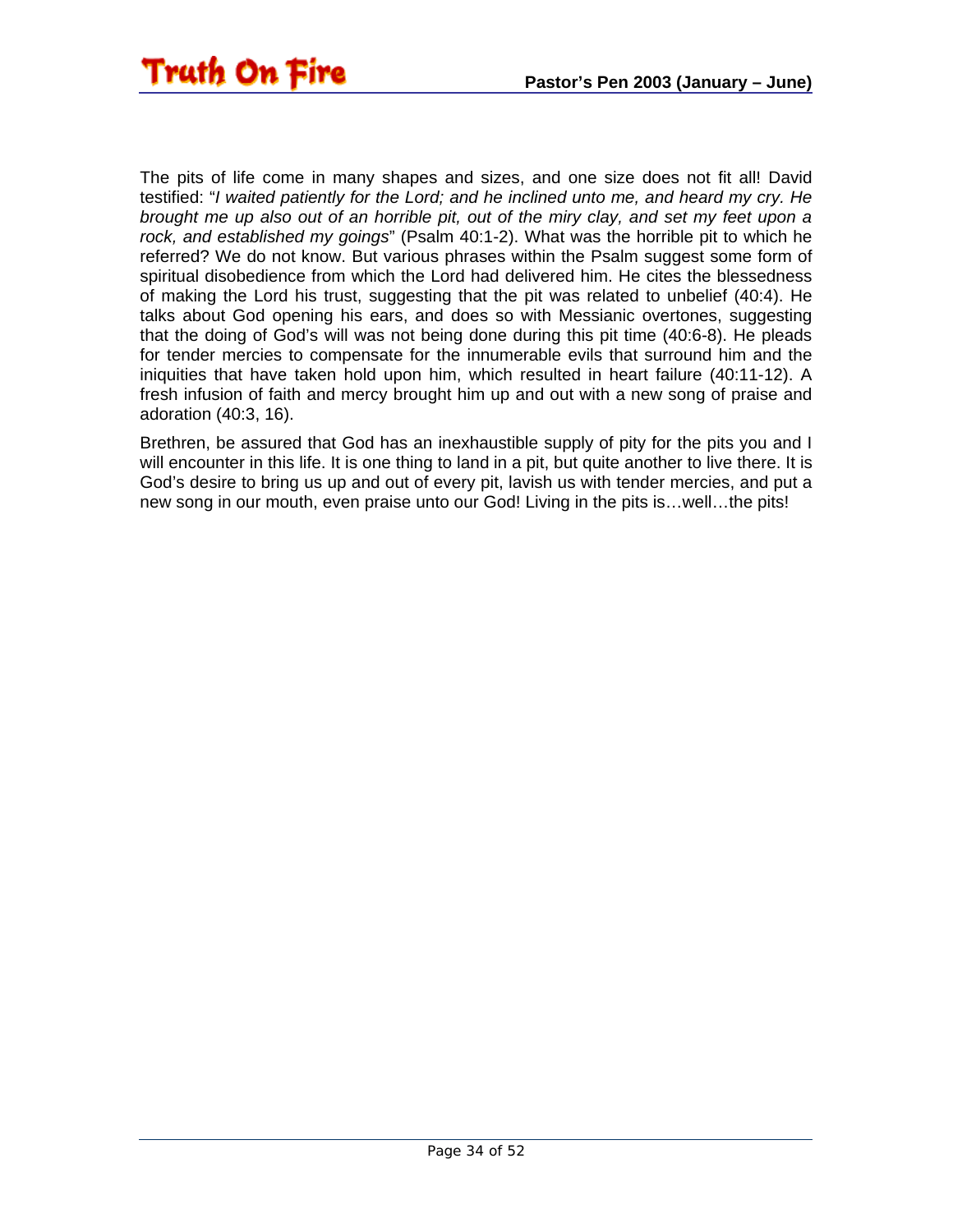The pits of life come in many shapes and sizes, and one size does not fit all! David testified: "*I waited patiently for the Lord; and he inclined unto me, and heard my cry. He brought me up also out of an horrible pit, out of the miry clay, and set my feet upon a rock, and established my goings*" (Psalm 40:1-2). What was the horrible pit to which he referred? We do not know. But various phrases within the Psalm suggest some form of spiritual disobedience from which the Lord had delivered him. He cites the blessedness of making the Lord his trust, suggesting that the pit was related to unbelief (40:4). He talks about God opening his ears, and does so with Messianic overtones, suggesting that the doing of God's will was not being done during this pit time (40:6-8). He pleads for tender mercies to compensate for the innumerable evils that surround him and the iniquities that have taken hold upon him, which resulted in heart failure (40:11-12). A fresh infusion of faith and mercy brought him up and out with a new song of praise and adoration (40:3, 16).

Brethren, be assured that God has an inexhaustible supply of pity for the pits you and I will encounter in this life. It is one thing to land in a pit, but quite another to live there. It is God's desire to bring us up and out of every pit, lavish us with tender mercies, and put a new song in our mouth, even praise unto our God! Living in the pits is…well…the pits!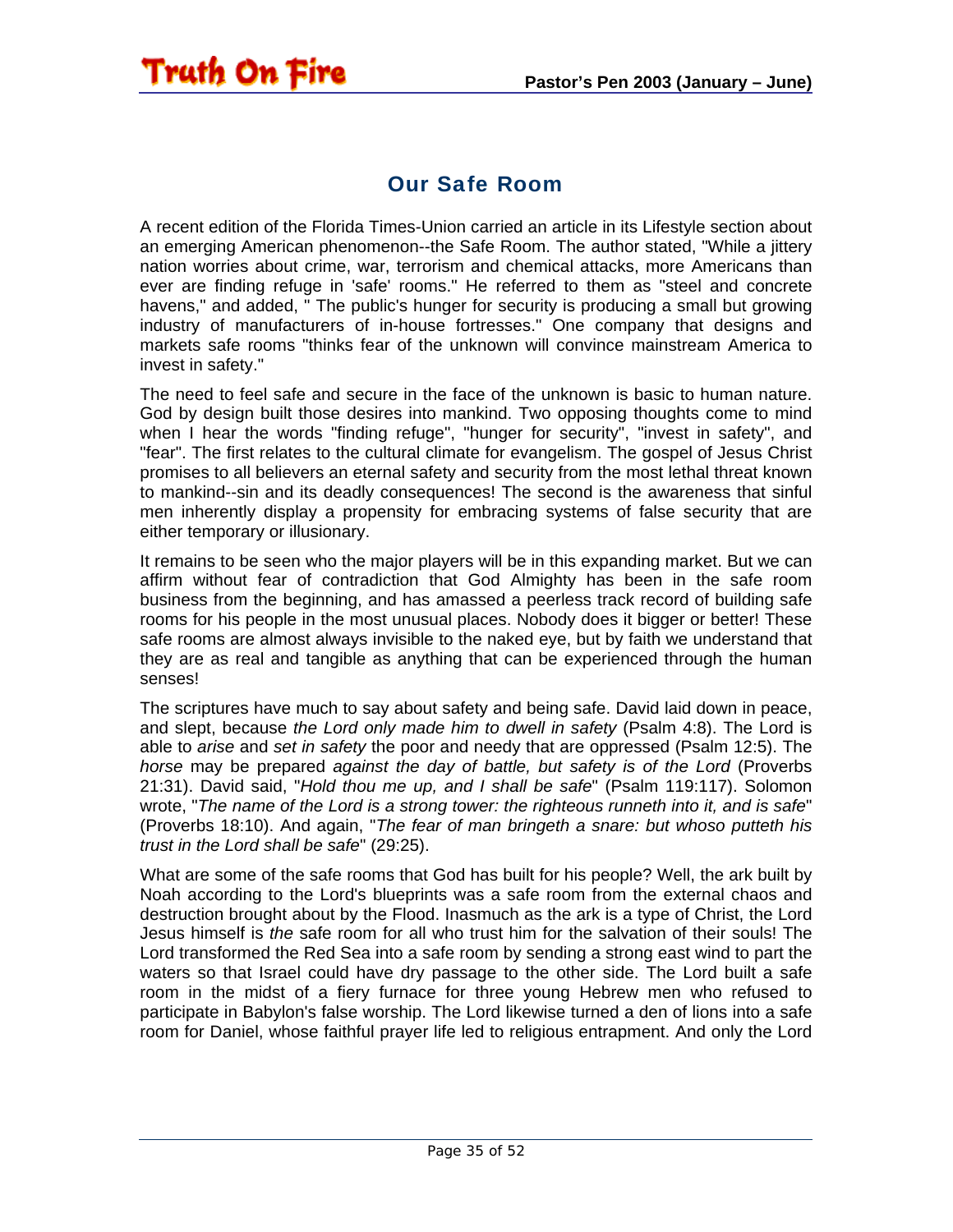#### Our Safe Room

<span id="page-34-0"></span>A recent edition of the Florida Times-Union carried an article in its Lifestyle section about an emerging American phenomenon--the Safe Room. The author stated, "While a jittery nation worries about crime, war, terrorism and chemical attacks, more Americans than ever are finding refuge in 'safe' rooms." He referred to them as "steel and concrete havens," and added, " The public's hunger for security is producing a small but growing industry of manufacturers of in-house fortresses." One company that designs and markets safe rooms "thinks fear of the unknown will convince mainstream America to invest in safety."

The need to feel safe and secure in the face of the unknown is basic to human nature. God by design built those desires into mankind. Two opposing thoughts come to mind when I hear the words "finding refuge", "hunger for security", "invest in safety", and "fear". The first relates to the cultural climate for evangelism. The gospel of Jesus Christ promises to all believers an eternal safety and security from the most lethal threat known to mankind--sin and its deadly consequences! The second is the awareness that sinful men inherently display a propensity for embracing systems of false security that are either temporary or illusionary.

It remains to be seen who the major players will be in this expanding market. But we can affirm without fear of contradiction that God Almighty has been in the safe room business from the beginning, and has amassed a peerless track record of building safe rooms for his people in the most unusual places. Nobody does it bigger or better! These safe rooms are almost always invisible to the naked eye, but by faith we understand that they are as real and tangible as anything that can be experienced through the human senses!

The scriptures have much to say about safety and being safe. David laid down in peace, and slept, because *the Lord only made him to dwell in safety* (Psalm 4:8). The Lord is able to *arise* and *set in safety* the poor and needy that are oppressed (Psalm 12:5). The *horse* may be prepared *against the day of battle, but safety is of the Lord* (Proverbs 21:31). David said, "*Hold thou me up, and I shall be safe*" (Psalm 119:117). Solomon wrote, "*The name of the Lord is a strong tower: the righteous runneth into it, and is safe*" (Proverbs 18:10). And again, "*The fear of man bringeth a snare: but whoso putteth his trust in the Lord shall be safe*" (29:25).

What are some of the safe rooms that God has built for his people? Well, the ark built by Noah according to the Lord's blueprints was a safe room from the external chaos and destruction brought about by the Flood. Inasmuch as the ark is a type of Christ, the Lord Jesus himself is *the* safe room for all who trust him for the salvation of their souls! The Lord transformed the Red Sea into a safe room by sending a strong east wind to part the waters so that Israel could have dry passage to the other side. The Lord built a safe room in the midst of a fiery furnace for three young Hebrew men who refused to participate in Babylon's false worship. The Lord likewise turned a den of lions into a safe room for Daniel, whose faithful prayer life led to religious entrapment. And only the Lord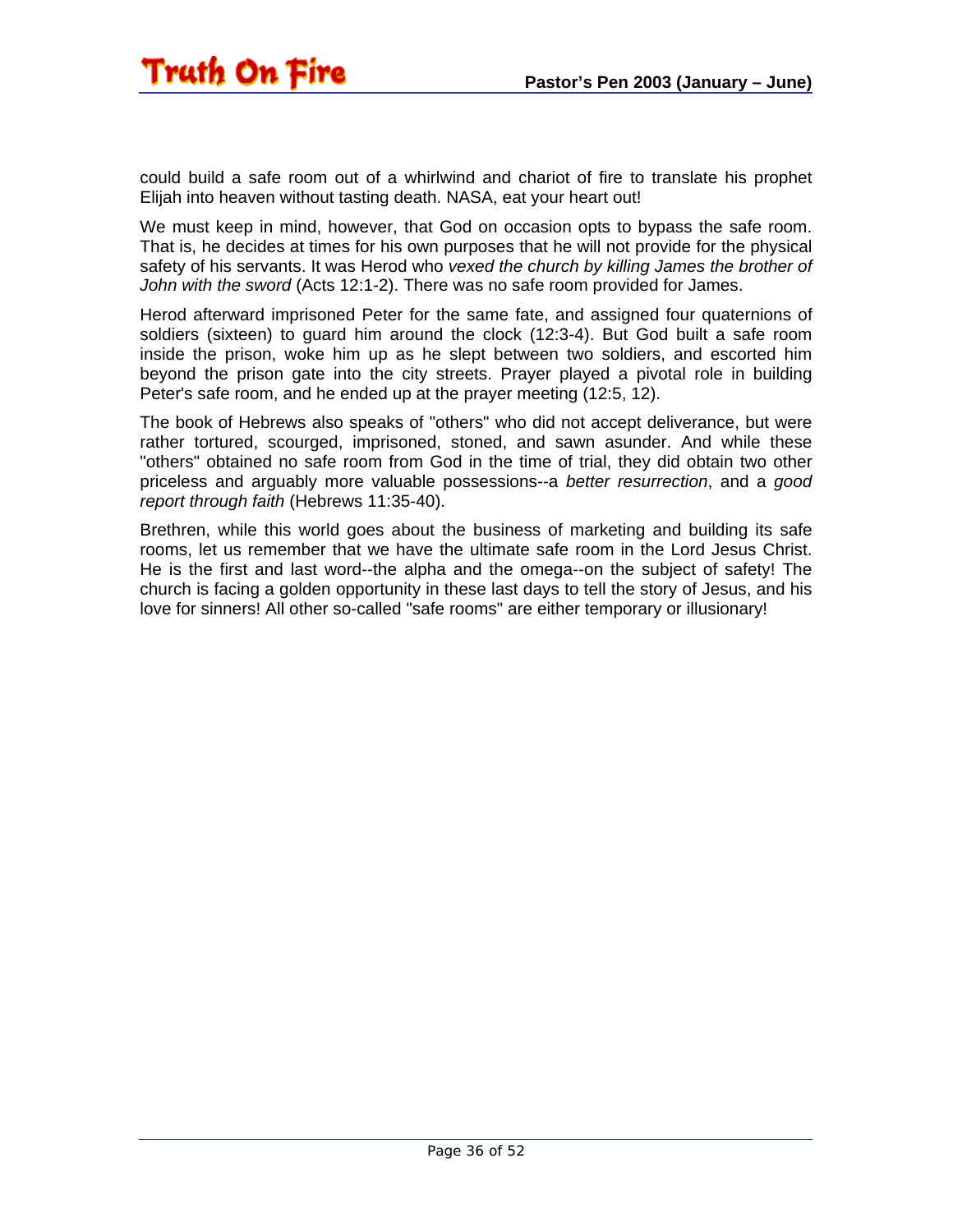could build a safe room out of a whirlwind and chariot of fire to translate his prophet Elijah into heaven without tasting death. NASA, eat your heart out!

We must keep in mind, however, that God on occasion opts to bypass the safe room. That is, he decides at times for his own purposes that he will not provide for the physical safety of his servants. It was Herod who *vexed the church by killing James the brother of John with the sword* (Acts 12:1-2). There was no safe room provided for James.

Herod afterward imprisoned Peter for the same fate, and assigned four quaternions of soldiers (sixteen) to guard him around the clock (12:3-4). But God built a safe room inside the prison, woke him up as he slept between two soldiers, and escorted him beyond the prison gate into the city streets. Prayer played a pivotal role in building Peter's safe room, and he ended up at the prayer meeting (12:5, 12).

The book of Hebrews also speaks of "others" who did not accept deliverance, but were rather tortured, scourged, imprisoned, stoned, and sawn asunder. And while these "others" obtained no safe room from God in the time of trial, they did obtain two other priceless and arguably more valuable possessions--a *better resurrection*, and a *good report through faith* (Hebrews 11:35-40).

Brethren, while this world goes about the business of marketing and building its safe rooms, let us remember that we have the ultimate safe room in the Lord Jesus Christ. He is the first and last word--the alpha and the omega--on the subject of safety! The church is facing a golden opportunity in these last days to tell the story of Jesus, and his love for sinners! All other so-called "safe rooms" are either temporary or illusionary!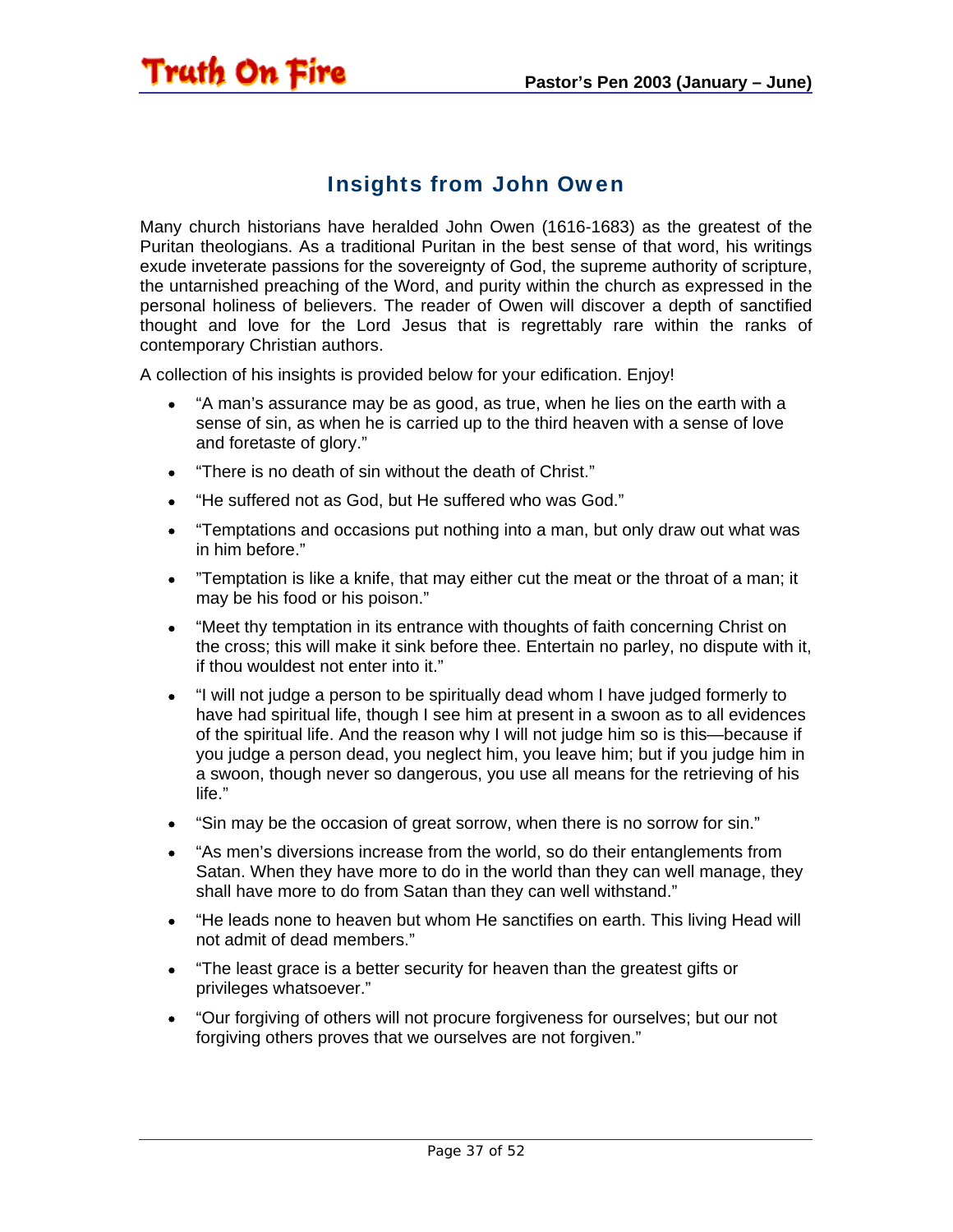#### Insights from John Owen

Many church historians have heralded John Owen (1616-1683) as the greatest of the Puritan theologians. As a traditional Puritan in the best sense of that word, his writings exude inveterate passions for the sovereignty of God, the supreme authority of scripture, the untarnished preaching of the Word, and purity within the church as expressed in the personal holiness of believers. The reader of Owen will discover a depth of sanctified thought and love for the Lord Jesus that is regrettably rare within the ranks of contemporary Christian authors.

A collection of his insights is provided below for your edification. Enjoy!

- "A man's assurance may be as good, as true, when he lies on the earth with a sense of sin, as when he is carried up to the third heaven with a sense of love and foretaste of glory."
- "There is no death of sin without the death of Christ."

<span id="page-36-0"></span>Truth On Fire

- "He suffered not as God, but He suffered who was God."
- "Temptations and occasions put nothing into a man, but only draw out what was in him before."
- "Temptation is like a knife, that may either cut the meat or the throat of a man; it may be his food or his poison."
- "Meet thy temptation in its entrance with thoughts of faith concerning Christ on the cross; this will make it sink before thee. Entertain no parley, no dispute with it, if thou wouldest not enter into it."
- "I will not judge a person to be spiritually dead whom I have judged formerly to have had spiritual life, though I see him at present in a swoon as to all evidences of the spiritual life. And the reason why I will not judge him so is this—because if you judge a person dead, you neglect him, you leave him; but if you judge him in a swoon, though never so dangerous, you use all means for the retrieving of his life."
- "Sin may be the occasion of great sorrow, when there is no sorrow for sin."
- "As men's diversions increase from the world, so do their entanglements from Satan. When they have more to do in the world than they can well manage, they shall have more to do from Satan than they can well withstand."
- "He leads none to heaven but whom He sanctifies on earth. This living Head will not admit of dead members."
- "The least grace is a better security for heaven than the greatest gifts or privileges whatsoever."
- "Our forgiving of others will not procure forgiveness for ourselves; but our not forgiving others proves that we ourselves are not forgiven."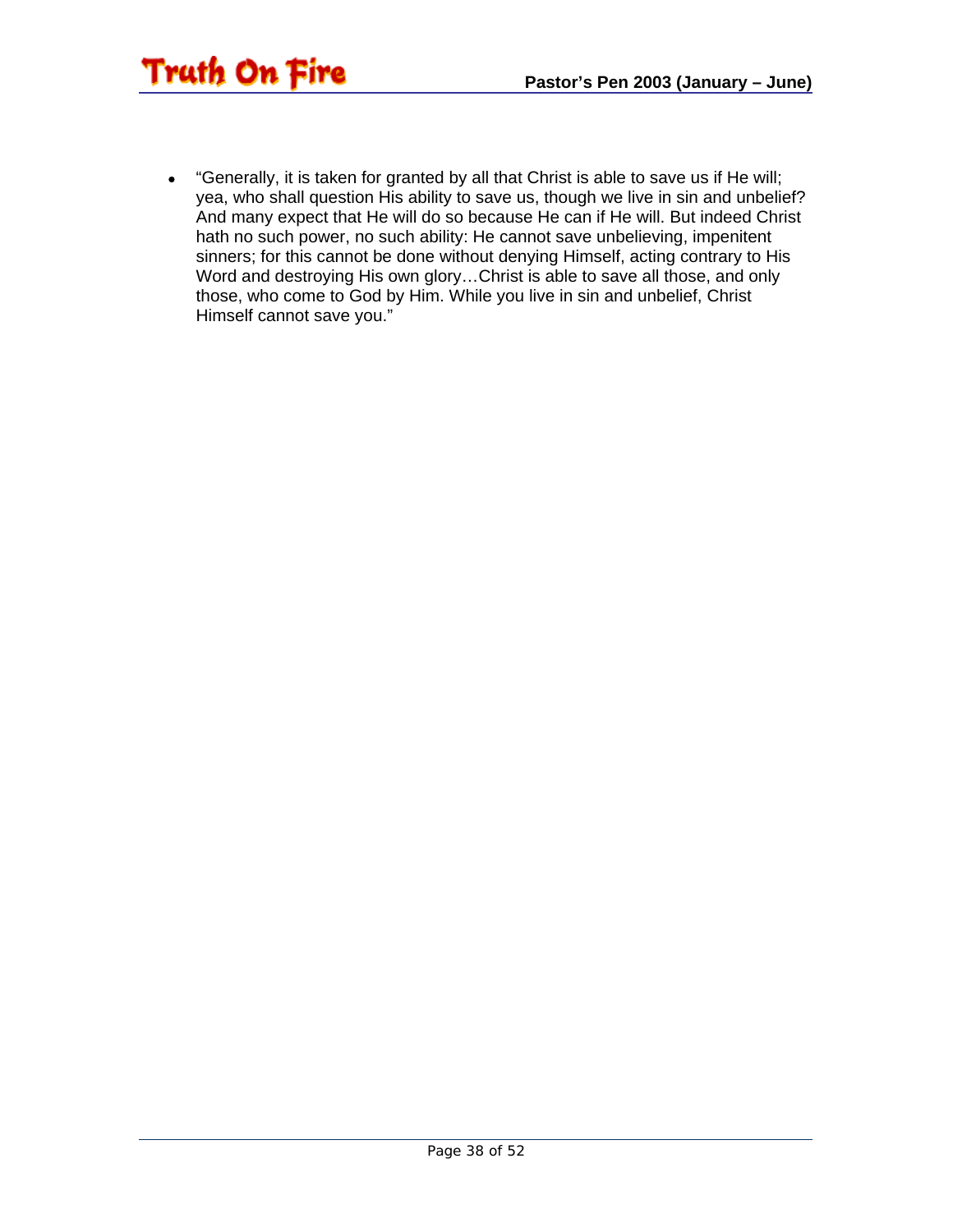

• "Generally, it is taken for granted by all that Christ is able to save us if He will; yea, who shall question His ability to save us, though we live in sin and unbelief? And many expect that He will do so because He can if He will. But indeed Christ hath no such power, no such ability: He cannot save unbelieving, impenitent sinners; for this cannot be done without denying Himself, acting contrary to His Word and destroying His own glory…Christ is able to save all those, and only those, who come to God by Him. While you live in sin and unbelief, Christ Himself cannot save you."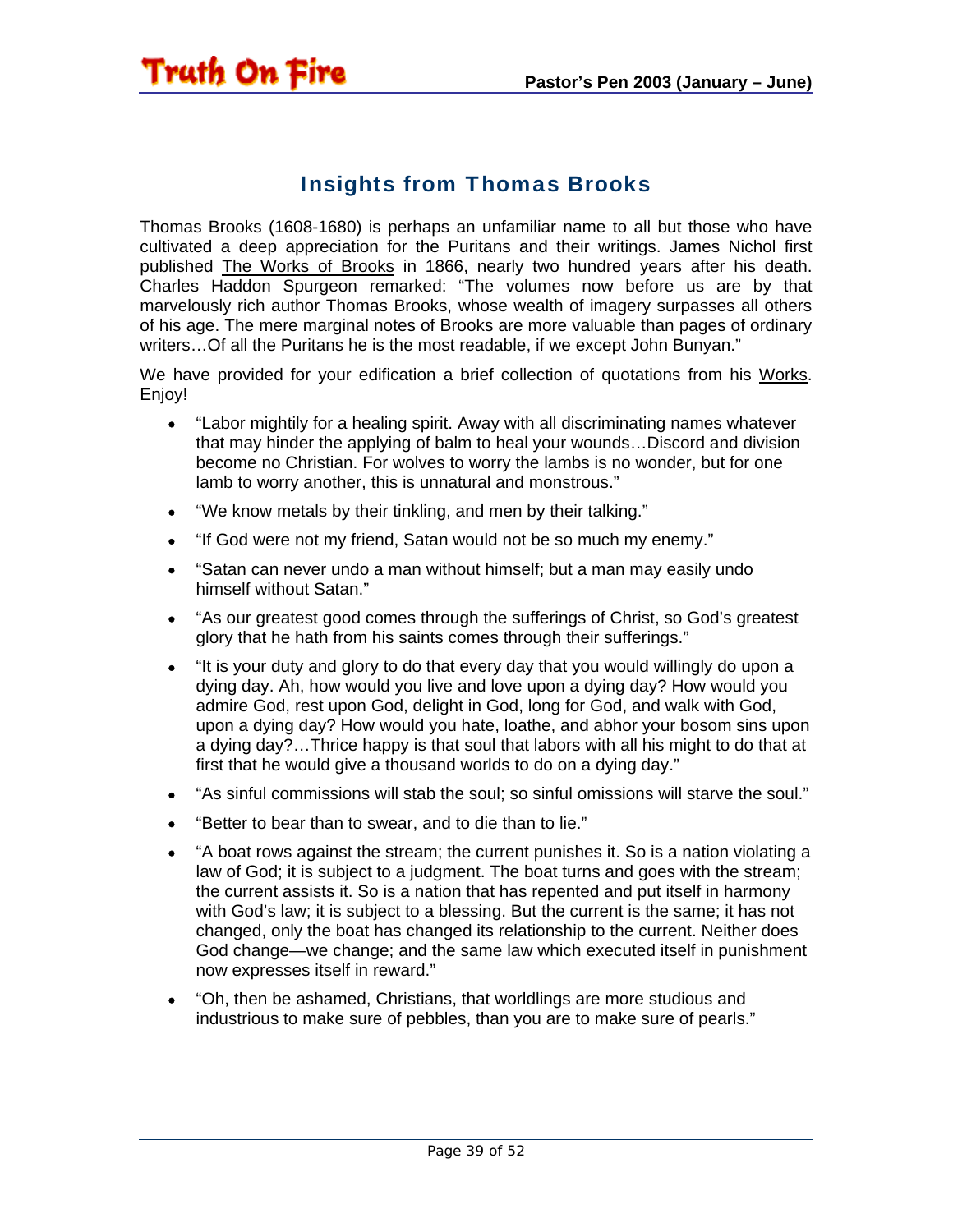#### Insights from Thomas Brooks

<span id="page-38-0"></span>Truth On Fire

Thomas Brooks (1608-1680) is perhaps an unfamiliar name to all but those who have cultivated a deep appreciation for the Puritans and their writings. James Nichol first published The Works of Brooks in 1866, nearly two hundred years after his death. Charles Haddon Spurgeon remarked: "The volumes now before us are by that marvelously rich author Thomas Brooks, whose wealth of imagery surpasses all others of his age. The mere marginal notes of Brooks are more valuable than pages of ordinary writers…Of all the Puritans he is the most readable, if we except John Bunyan."

We have provided for your edification a brief collection of quotations from his Works. Enjoy!

- "Labor mightily for a healing spirit. Away with all discriminating names whatever that may hinder the applying of balm to heal your wounds…Discord and division become no Christian. For wolves to worry the lambs is no wonder, but for one lamb to worry another, this is unnatural and monstrous."
- "We know metals by their tinkling, and men by their talking."
- "If God were not my friend, Satan would not be so much my enemy."
- "Satan can never undo a man without himself; but a man may easily undo himself without Satan."
- "As our greatest good comes through the sufferings of Christ, so God's greatest glory that he hath from his saints comes through their sufferings."
- "It is your duty and glory to do that every day that you would willingly do upon a dying day. Ah, how would you live and love upon a dying day? How would you admire God, rest upon God, delight in God, long for God, and walk with God, upon a dying day? How would you hate, loathe, and abhor your bosom sins upon a dying day?…Thrice happy is that soul that labors with all his might to do that at first that he would give a thousand worlds to do on a dying day."
- "As sinful commissions will stab the soul; so sinful omissions will starve the soul."
- "Better to bear than to swear, and to die than to lie."
- "A boat rows against the stream; the current punishes it. So is a nation violating a law of God; it is subject to a judgment. The boat turns and goes with the stream; the current assists it. So is a nation that has repented and put itself in harmony with God's law; it is subject to a blessing. But the current is the same; it has not changed, only the boat has changed its relationship to the current. Neither does God change—we change; and the same law which executed itself in punishment now expresses itself in reward."
- "Oh, then be ashamed, Christians, that worldlings are more studious and industrious to make sure of pebbles, than you are to make sure of pearls."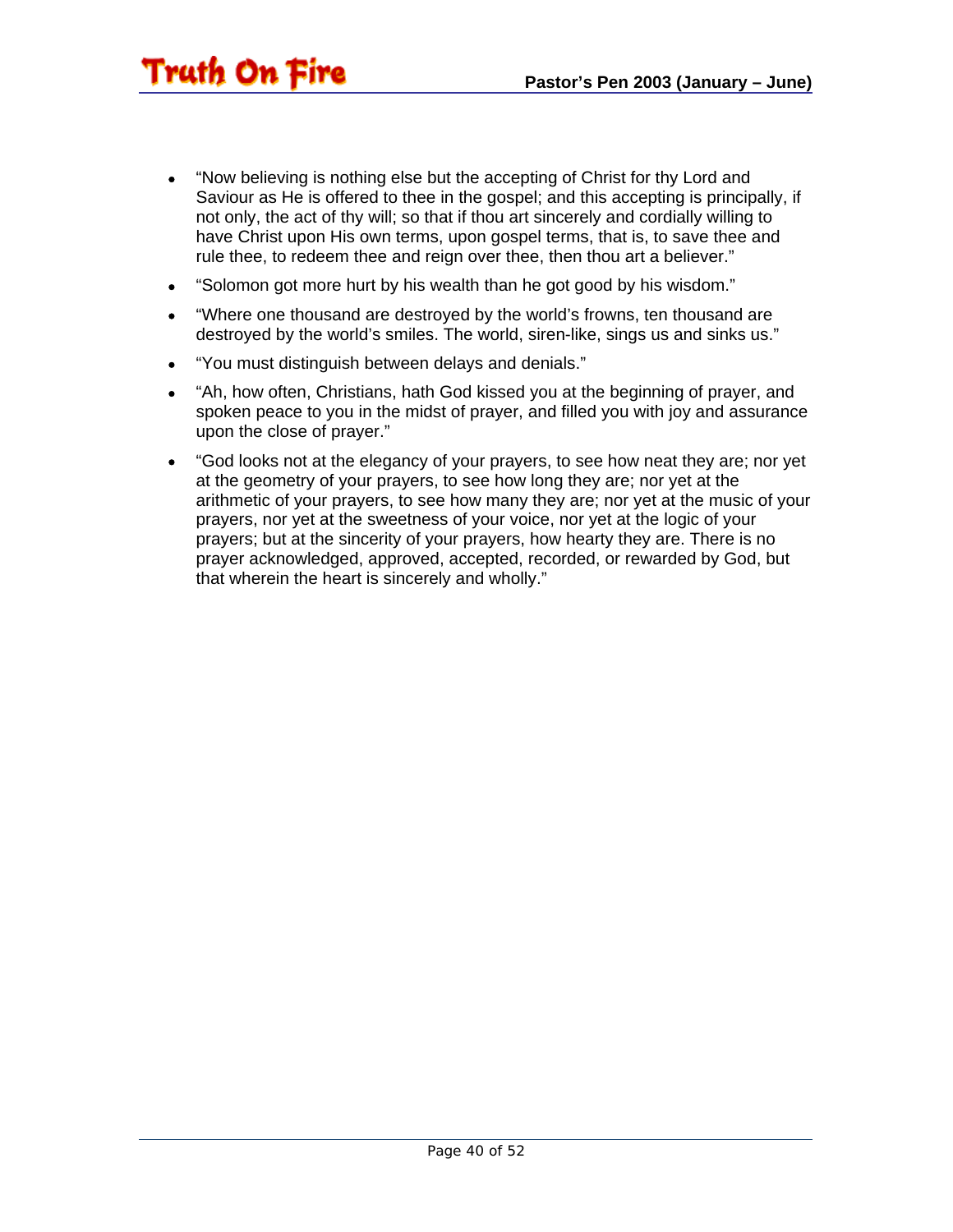- "Now believing is nothing else but the accepting of Christ for thy Lord and Saviour as He is offered to thee in the gospel; and this accepting is principally, if not only, the act of thy will; so that if thou art sincerely and cordially willing to have Christ upon His own terms, upon gospel terms, that is, to save thee and rule thee, to redeem thee and reign over thee, then thou art a believer."
- "Solomon got more hurt by his wealth than he got good by his wisdom."
- "Where one thousand are destroyed by the world's frowns, ten thousand are destroyed by the world's smiles. The world, siren-like, sings us and sinks us."
- "You must distinguish between delays and denials."

- "Ah, how often, Christians, hath God kissed you at the beginning of prayer, and spoken peace to you in the midst of prayer, and filled you with joy and assurance upon the close of prayer."
- "God looks not at the elegancy of your prayers, to see how neat they are; nor yet at the geometry of your prayers, to see how long they are; nor yet at the arithmetic of your prayers, to see how many they are; nor yet at the music of your prayers, nor yet at the sweetness of your voice, nor yet at the logic of your prayers; but at the sincerity of your prayers, how hearty they are. There is no prayer acknowledged, approved, accepted, recorded, or rewarded by God, but that wherein the heart is sincerely and wholly."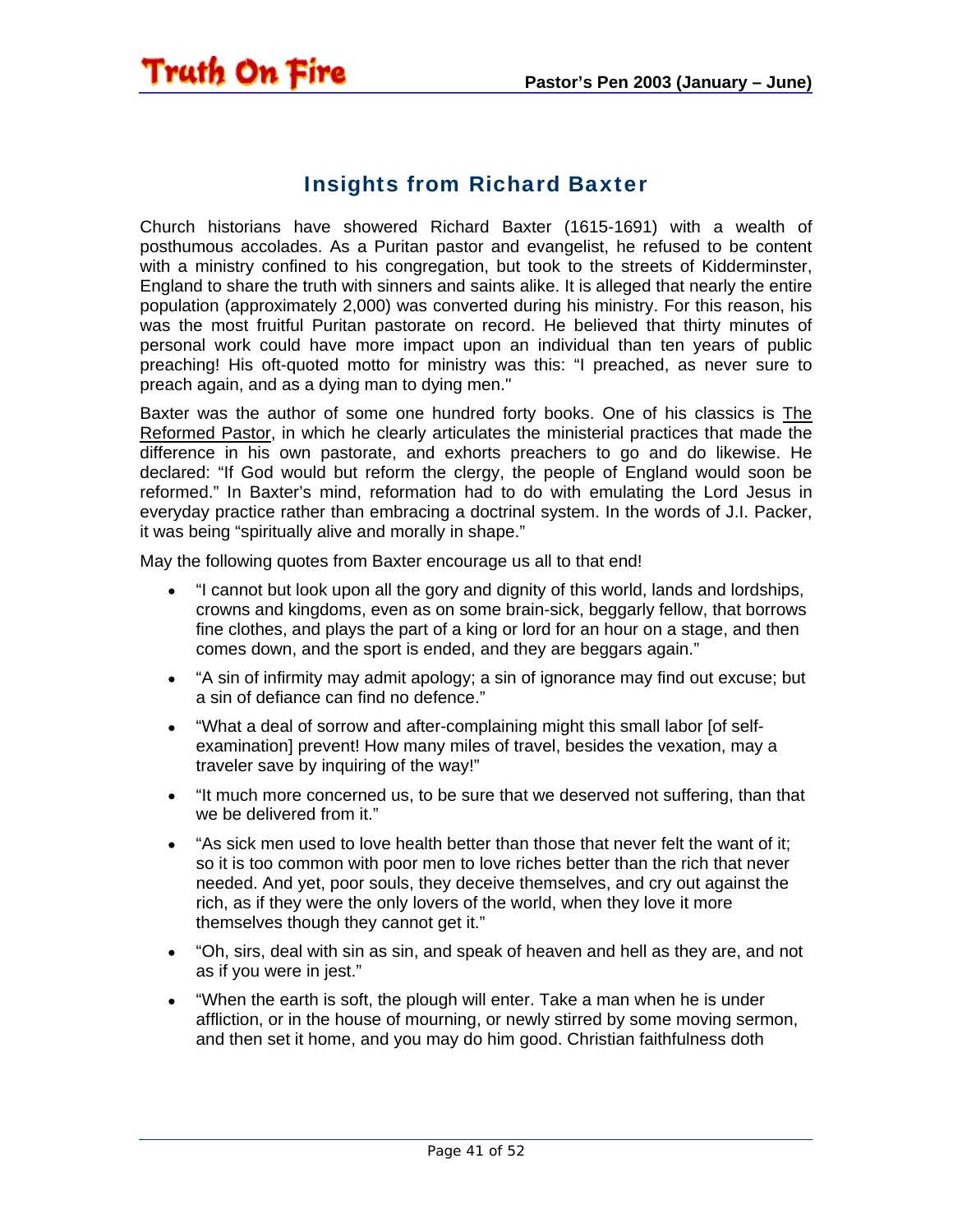#### Insights from Richard Baxter

<span id="page-40-0"></span>Church historians have showered Richard Baxter (1615-1691) with a wealth of posthumous accolades. As a Puritan pastor and evangelist, he refused to be content with a ministry confined to his congregation, but took to the streets of Kidderminster, England to share the truth with sinners and saints alike. It is alleged that nearly the entire population (approximately 2,000) was converted during his ministry. For this reason, his was the most fruitful Puritan pastorate on record. He believed that thirty minutes of personal work could have more impact upon an individual than ten years of public preaching! His oft-quoted motto for ministry was this: "I preached, as never sure to preach again, and as a dying man to dying men."

Baxter was the author of some one hundred forty books. One of his classics is The Reformed Pastor, in which he clearly articulates the ministerial practices that made the difference in his own pastorate, and exhorts preachers to go and do likewise. He declared: "If God would but reform the clergy, the people of England would soon be reformed." In Baxter's mind, reformation had to do with emulating the Lord Jesus in everyday practice rather than embracing a doctrinal system. In the words of J.I. Packer, it was being "spiritually alive and morally in shape."

May the following quotes from Baxter encourage us all to that end!

- "I cannot but look upon all the gory and dignity of this world, lands and lordships, crowns and kingdoms, even as on some brain-sick, beggarly fellow, that borrows fine clothes, and plays the part of a king or lord for an hour on a stage, and then comes down, and the sport is ended, and they are beggars again."
- "A sin of infirmity may admit apology; a sin of ignorance may find out excuse; but a sin of defiance can find no defence."
- "What a deal of sorrow and after-complaining might this small labor [of selfexamination] prevent! How many miles of travel, besides the vexation, may a traveler save by inquiring of the way!"
- "It much more concerned us, to be sure that we deserved not suffering, than that we be delivered from it."
- "As sick men used to love health better than those that never felt the want of it; so it is too common with poor men to love riches better than the rich that never needed. And yet, poor souls, they deceive themselves, and cry out against the rich, as if they were the only lovers of the world, when they love it more themselves though they cannot get it."
- "Oh, sirs, deal with sin as sin, and speak of heaven and hell as they are, and not as if you were in jest."
- "When the earth is soft, the plough will enter. Take a man when he is under affliction, or in the house of mourning, or newly stirred by some moving sermon, and then set it home, and you may do him good. Christian faithfulness doth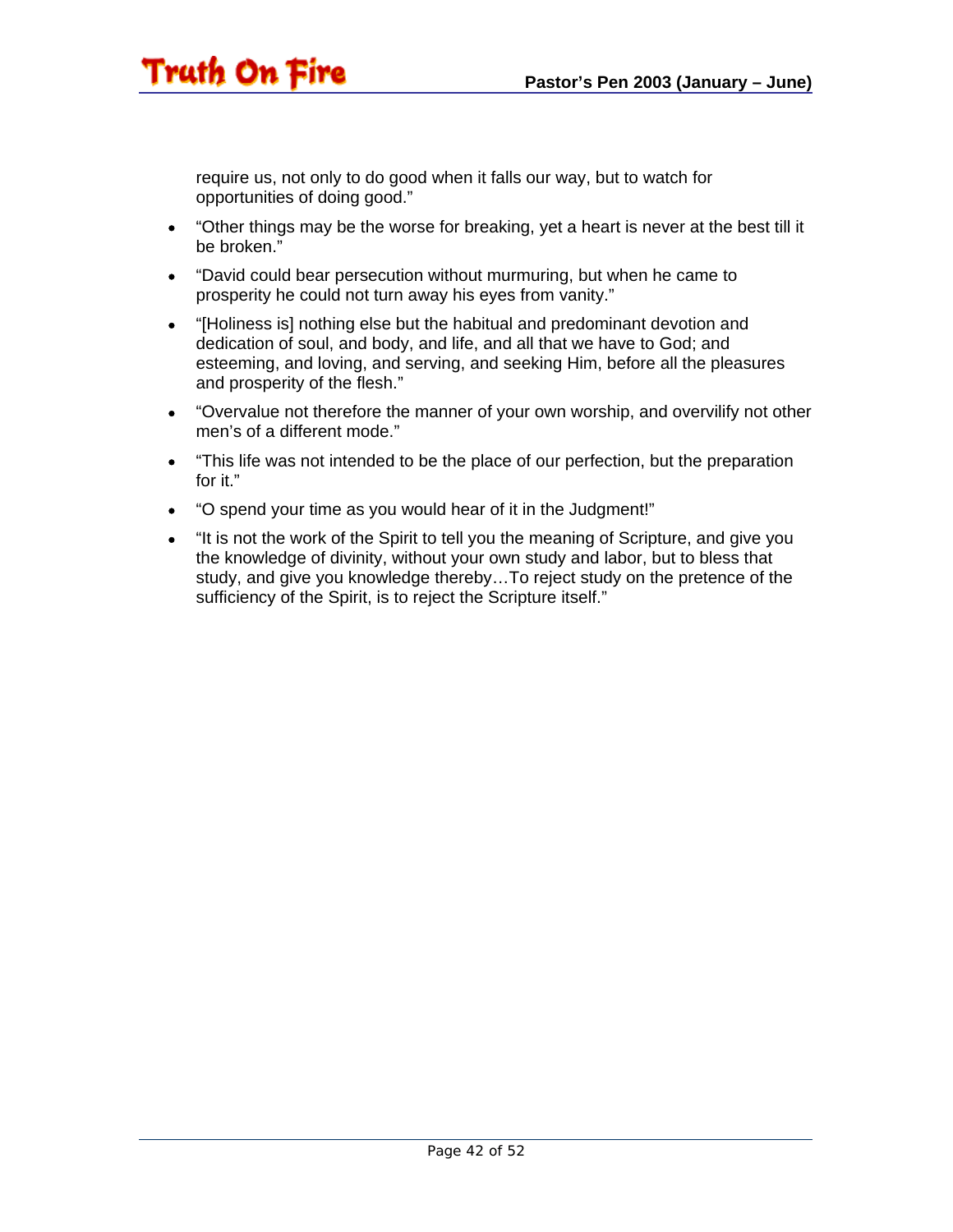require us, not only to do good when it falls our way, but to watch for opportunities of doing good."

- "Other things may be the worse for breaking, yet a heart is never at the best till it be broken."
- "David could bear persecution without murmuring, but when he came to prosperity he could not turn away his eyes from vanity."
- "[Holiness is] nothing else but the habitual and predominant devotion and dedication of soul, and body, and life, and all that we have to God; and esteeming, and loving, and serving, and seeking Him, before all the pleasures and prosperity of the flesh."
- "Overvalue not therefore the manner of your own worship, and overvilify not other men's of a different mode."
- "This life was not intended to be the place of our perfection, but the preparation for it."
- "O spend your time as you would hear of it in the Judgment!"
- "It is not the work of the Spirit to tell you the meaning of Scripture, and give you the knowledge of divinity, without your own study and labor, but to bless that study, and give you knowledge thereby…To reject study on the pretence of the sufficiency of the Spirit, is to reject the Scripture itself."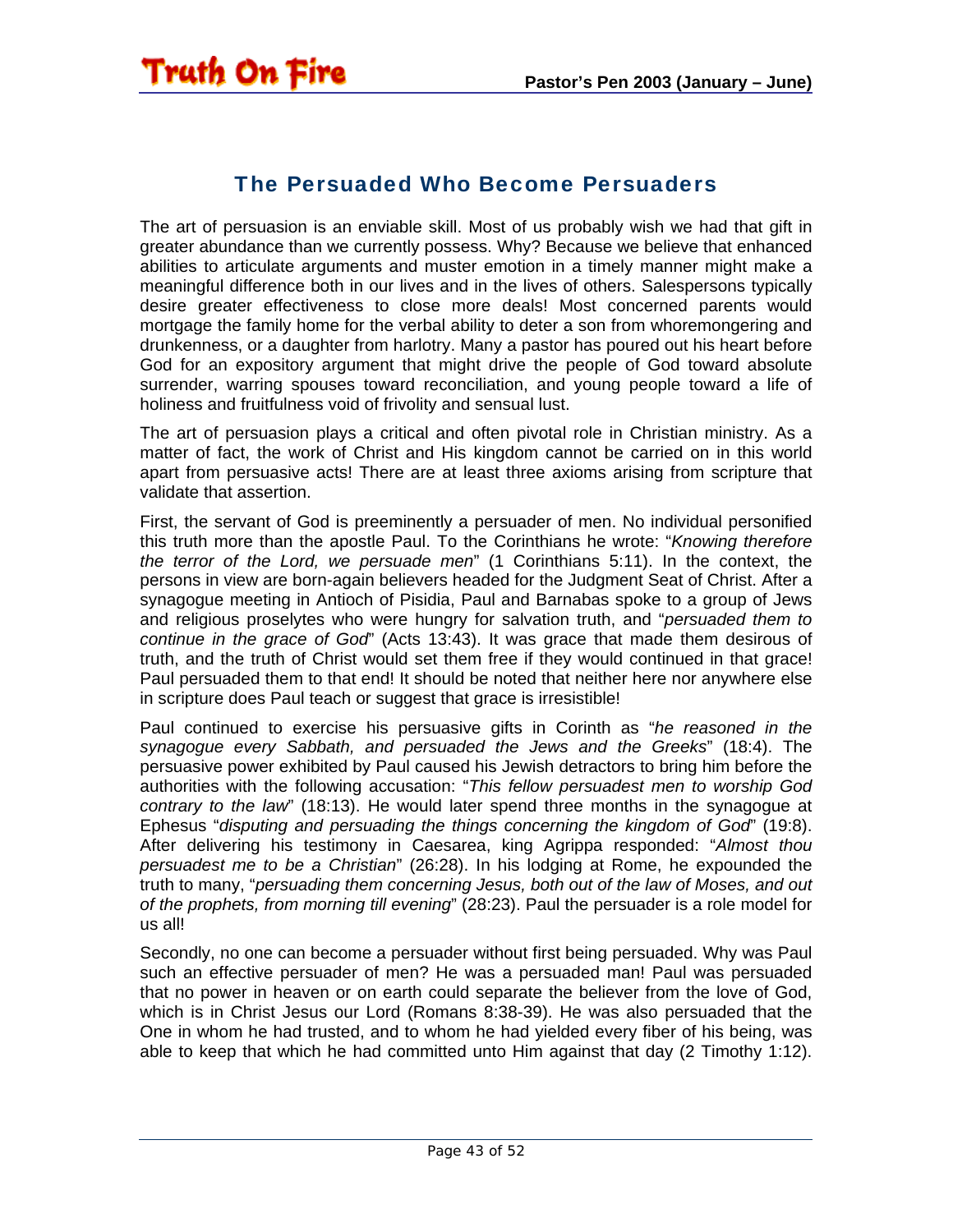#### The Persuaded Who Become Persuaders

<span id="page-42-0"></span>The art of persuasion is an enviable skill. Most of us probably wish we had that gift in greater abundance than we currently possess. Why? Because we believe that enhanced abilities to articulate arguments and muster emotion in a timely manner might make a meaningful difference both in our lives and in the lives of others. Salespersons typically desire greater effectiveness to close more deals! Most concerned parents would mortgage the family home for the verbal ability to deter a son from whoremongering and drunkenness, or a daughter from harlotry. Many a pastor has poured out his heart before God for an expository argument that might drive the people of God toward absolute surrender, warring spouses toward reconciliation, and young people toward a life of holiness and fruitfulness void of frivolity and sensual lust.

The art of persuasion plays a critical and often pivotal role in Christian ministry. As a matter of fact, the work of Christ and His kingdom cannot be carried on in this world apart from persuasive acts! There are at least three axioms arising from scripture that validate that assertion.

First, the servant of God is preeminently a persuader of men. No individual personified this truth more than the apostle Paul. To the Corinthians he wrote: "*Knowing therefore the terror of the Lord, we persuade men*" (1 Corinthians 5:11). In the context, the persons in view are born-again believers headed for the Judgment Seat of Christ. After a synagogue meeting in Antioch of Pisidia, Paul and Barnabas spoke to a group of Jews and religious proselytes who were hungry for salvation truth, and "*persuaded them to continue in the grace of God*" (Acts 13:43). It was grace that made them desirous of truth, and the truth of Christ would set them free if they would continued in that grace! Paul persuaded them to that end! It should be noted that neither here nor anywhere else in scripture does Paul teach or suggest that grace is irresistible!

Paul continued to exercise his persuasive gifts in Corinth as "*he reasoned in the synagogue every Sabbath, and persuaded the Jews and the Greeks*" (18:4). The persuasive power exhibited by Paul caused his Jewish detractors to bring him before the authorities with the following accusation: "*This fellow persuadest men to worship God contrary to the law*" (18:13). He would later spend three months in the synagogue at Ephesus "*disputing and persuading the things concerning the kingdom of God*" (19:8). After delivering his testimony in Caesarea, king Agrippa responded: "*Almost thou persuadest me to be a Christian*" (26:28). In his lodging at Rome, he expounded the truth to many, "*persuading them concerning Jesus, both out of the law of Moses, and out of the prophets, from morning till evening*" (28:23). Paul the persuader is a role model for us all!

Secondly, no one can become a persuader without first being persuaded. Why was Paul such an effective persuader of men? He was a persuaded man! Paul was persuaded that no power in heaven or on earth could separate the believer from the love of God, which is in Christ Jesus our Lord (Romans 8:38-39). He was also persuaded that the One in whom he had trusted, and to whom he had yielded every fiber of his being, was able to keep that which he had committed unto Him against that day (2 Timothy 1:12).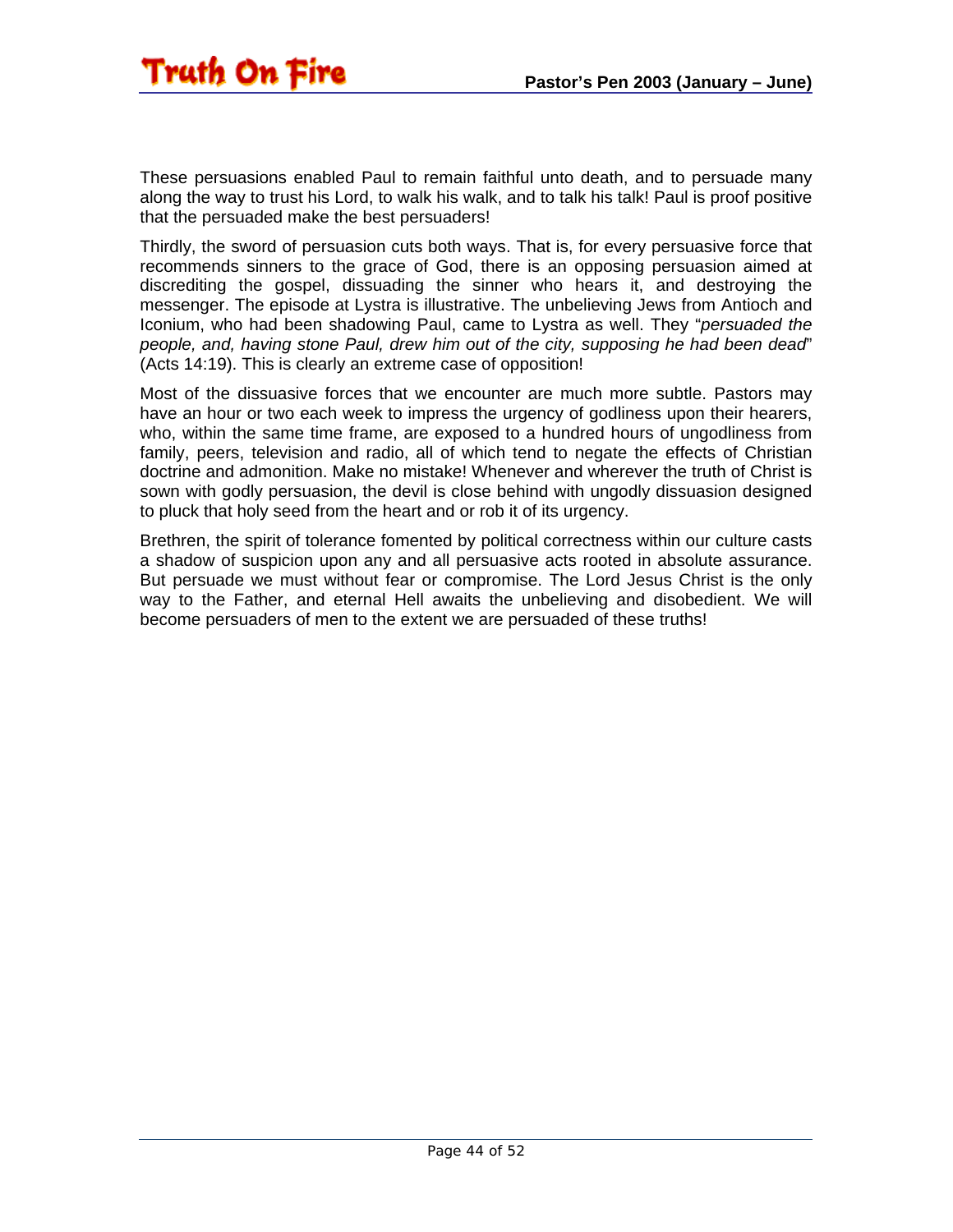These persuasions enabled Paul to remain faithful unto death, and to persuade many along the way to trust his Lord, to walk his walk, and to talk his talk! Paul is proof positive that the persuaded make the best persuaders!

Thirdly, the sword of persuasion cuts both ways. That is, for every persuasive force that recommends sinners to the grace of God, there is an opposing persuasion aimed at discrediting the gospel, dissuading the sinner who hears it, and destroying the messenger. The episode at Lystra is illustrative. The unbelieving Jews from Antioch and Iconium, who had been shadowing Paul, came to Lystra as well. They "*persuaded the people, and, having stone Paul, drew him out of the city, supposing he had been dead*" (Acts 14:19). This is clearly an extreme case of opposition!

Most of the dissuasive forces that we encounter are much more subtle. Pastors may have an hour or two each week to impress the urgency of godliness upon their hearers, who, within the same time frame, are exposed to a hundred hours of ungodliness from family, peers, television and radio, all of which tend to negate the effects of Christian doctrine and admonition. Make no mistake! Whenever and wherever the truth of Christ is sown with godly persuasion, the devil is close behind with ungodly dissuasion designed to pluck that holy seed from the heart and or rob it of its urgency.

Brethren, the spirit of tolerance fomented by political correctness within our culture casts a shadow of suspicion upon any and all persuasive acts rooted in absolute assurance. But persuade we must without fear or compromise. The Lord Jesus Christ is the only way to the Father, and eternal Hell awaits the unbelieving and disobedient. We will become persuaders of men to the extent we are persuaded of these truths!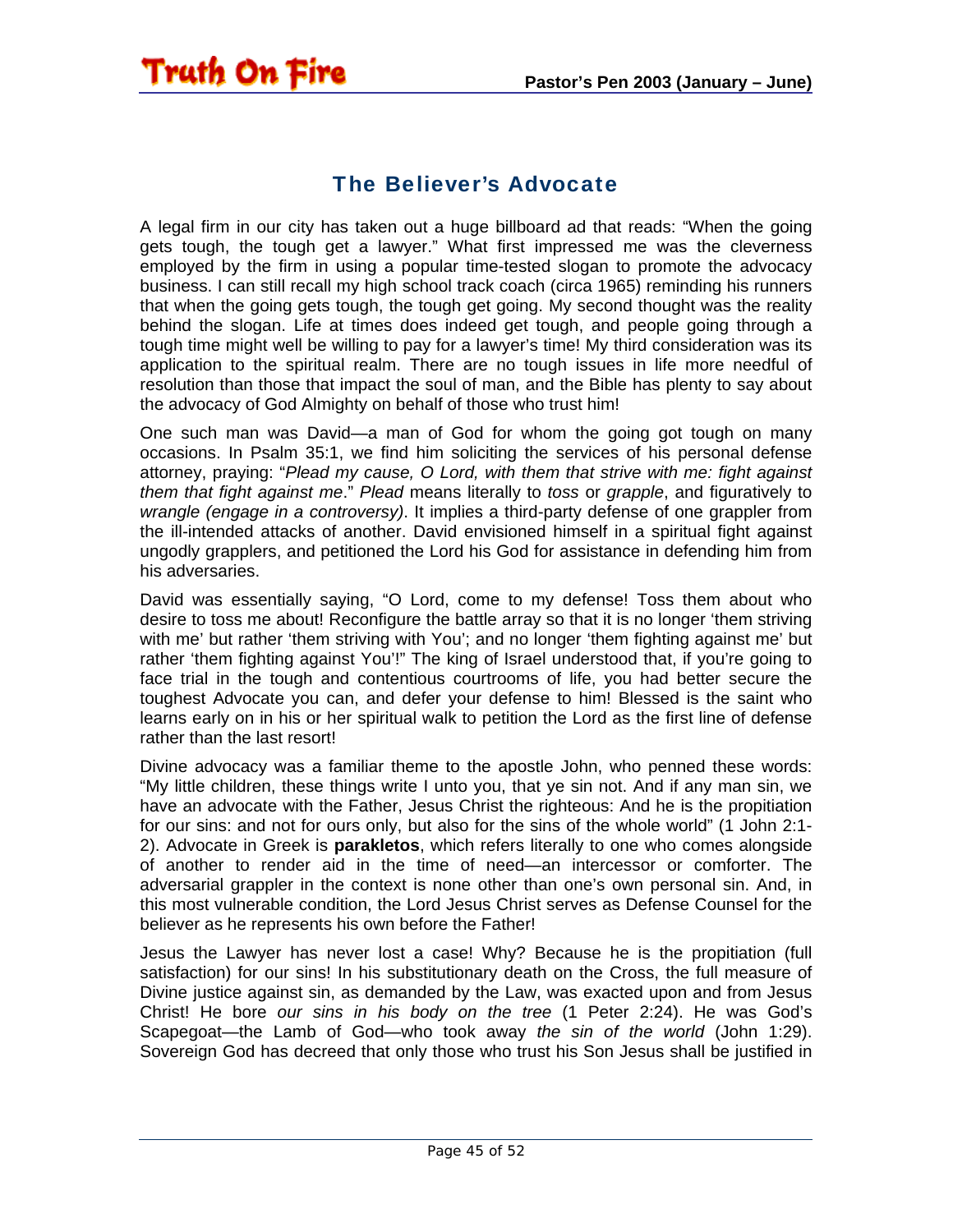#### The Believer's Advocate

<span id="page-44-0"></span>**Truth On Fire** 

A legal firm in our city has taken out a huge billboard ad that reads: "When the going gets tough, the tough get a lawyer." What first impressed me was the cleverness employed by the firm in using a popular time-tested slogan to promote the advocacy business. I can still recall my high school track coach (circa 1965) reminding his runners that when the going gets tough, the tough get going. My second thought was the reality behind the slogan. Life at times does indeed get tough, and people going through a tough time might well be willing to pay for a lawyer's time! My third consideration was its application to the spiritual realm. There are no tough issues in life more needful of resolution than those that impact the soul of man, and the Bible has plenty to say about the advocacy of God Almighty on behalf of those who trust him!

One such man was David—a man of God for whom the going got tough on many occasions. In Psalm 35:1, we find him soliciting the services of his personal defense attorney, praying: "*Plead my cause, O Lord, with them that strive with me: fight against them that fight against me*." *Plead* means literally to *toss* or *grapple*, and figuratively to *wrangle (engage in a controversy)*. It implies a third-party defense of one grappler from the ill-intended attacks of another. David envisioned himself in a spiritual fight against ungodly grapplers, and petitioned the Lord his God for assistance in defending him from his adversaries.

David was essentially saying, "O Lord, come to my defense! Toss them about who desire to toss me about! Reconfigure the battle array so that it is no longer 'them striving with me' but rather 'them striving with You'; and no longer 'them fighting against me' but rather 'them fighting against You'!" The king of Israel understood that, if you're going to face trial in the tough and contentious courtrooms of life, you had better secure the toughest Advocate you can, and defer your defense to him! Blessed is the saint who learns early on in his or her spiritual walk to petition the Lord as the first line of defense rather than the last resort!

Divine advocacy was a familiar theme to the apostle John, who penned these words: "My little children, these things write I unto you, that ye sin not. And if any man sin, we have an advocate with the Father, Jesus Christ the righteous: And he is the propitiation for our sins: and not for ours only, but also for the sins of the whole world" (1 John 2:1- 2). Advocate in Greek is **parakletos**, which refers literally to one who comes alongside of another to render aid in the time of need—an intercessor or comforter. The adversarial grappler in the context is none other than one's own personal sin. And, in this most vulnerable condition, the Lord Jesus Christ serves as Defense Counsel for the believer as he represents his own before the Father!

Jesus the Lawyer has never lost a case! Why? Because he is the propitiation (full satisfaction) for our sins! In his substitutionary death on the Cross, the full measure of Divine justice against sin, as demanded by the Law, was exacted upon and from Jesus Christ! He bore *our sins in his body on the tree* (1 Peter 2:24). He was God's Scapegoat—the Lamb of God—who took away *the sin of the world* (John 1:29). Sovereign God has decreed that only those who trust his Son Jesus shall be justified in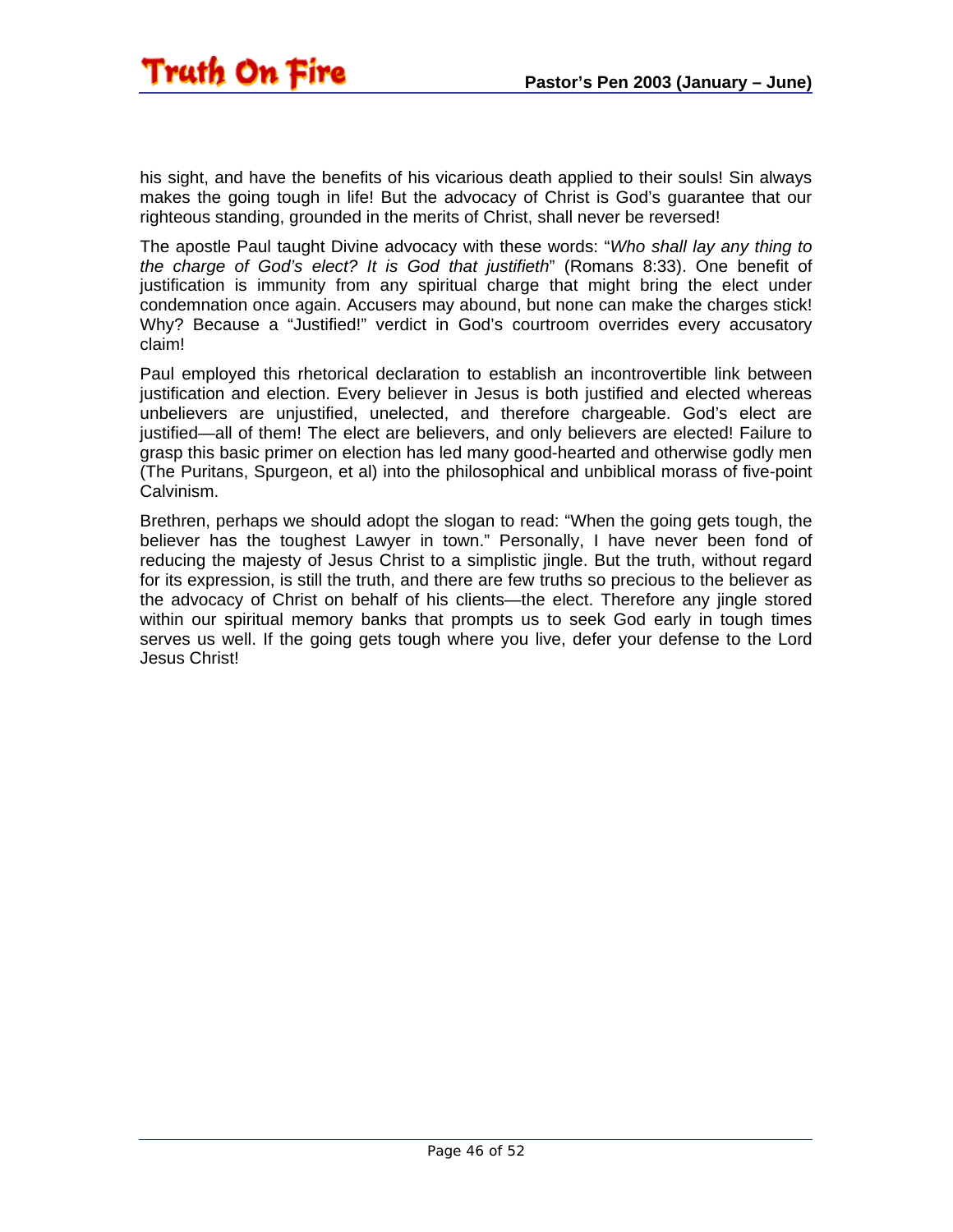his sight, and have the benefits of his vicarious death applied to their souls! Sin always makes the going tough in life! But the advocacy of Christ is God's guarantee that our righteous standing, grounded in the merits of Christ, shall never be reversed!

The apostle Paul taught Divine advocacy with these words: "*Who shall lay any thing to the charge of God's elect? It is God that justifieth*" (Romans 8:33). One benefit of justification is immunity from any spiritual charge that might bring the elect under condemnation once again. Accusers may abound, but none can make the charges stick! Why? Because a "Justified!" verdict in God's courtroom overrides every accusatory claim!

Paul employed this rhetorical declaration to establish an incontrovertible link between justification and election. Every believer in Jesus is both justified and elected whereas unbelievers are unjustified, unelected, and therefore chargeable. God's elect are justified—all of them! The elect are believers, and only believers are elected! Failure to grasp this basic primer on election has led many good-hearted and otherwise godly men (The Puritans, Spurgeon, et al) into the philosophical and unbiblical morass of five-point Calvinism.

Brethren, perhaps we should adopt the slogan to read: "When the going gets tough, the believer has the toughest Lawyer in town." Personally, I have never been fond of reducing the majesty of Jesus Christ to a simplistic jingle. But the truth, without regard for its expression, is still the truth, and there are few truths so precious to the believer as the advocacy of Christ on behalf of his clients—the elect. Therefore any jingle stored within our spiritual memory banks that prompts us to seek God early in tough times serves us well. If the going gets tough where you live, defer your defense to the Lord Jesus Christ!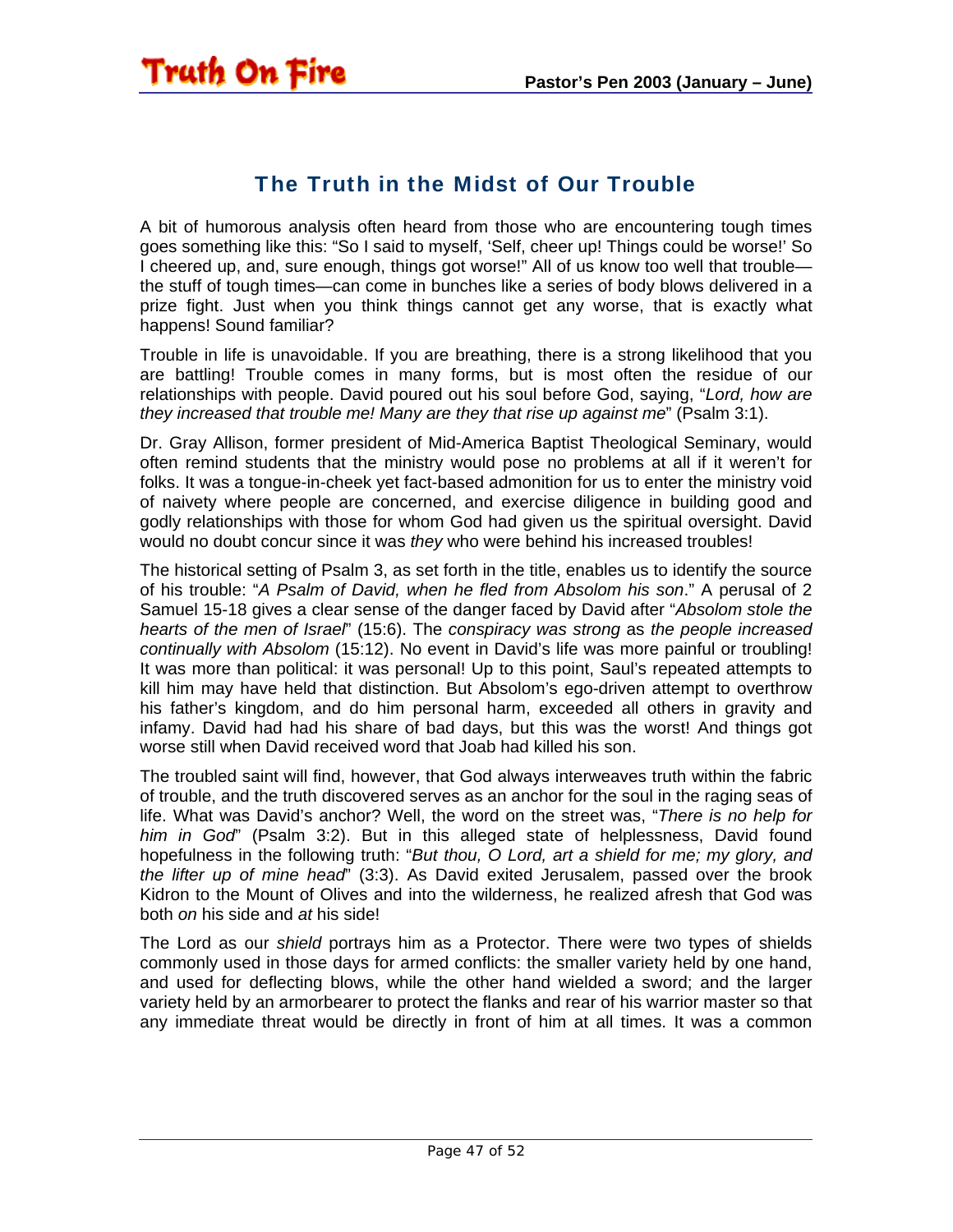#### The Truth in the Midst of Our Trouble

<span id="page-46-0"></span>A bit of humorous analysis often heard from those who are encountering tough times goes something like this: "So I said to myself, 'Self, cheer up! Things could be worse!' So I cheered up, and, sure enough, things got worse!" All of us know too well that trouble the stuff of tough times—can come in bunches like a series of body blows delivered in a prize fight. Just when you think things cannot get any worse, that is exactly what happens! Sound familiar?

Trouble in life is unavoidable. If you are breathing, there is a strong likelihood that you are battling! Trouble comes in many forms, but is most often the residue of our relationships with people. David poured out his soul before God, saying, "*Lord, how are they increased that trouble me! Many are they that rise up against me*" (Psalm 3:1).

Dr. Gray Allison, former president of Mid-America Baptist Theological Seminary, would often remind students that the ministry would pose no problems at all if it weren't for folks. It was a tongue-in-cheek yet fact-based admonition for us to enter the ministry void of naivety where people are concerned, and exercise diligence in building good and godly relationships with those for whom God had given us the spiritual oversight. David would no doubt concur since it was *they* who were behind his increased troubles!

The historical setting of Psalm 3, as set forth in the title, enables us to identify the source of his trouble: "*A Psalm of David, when he fled from Absolom his son*." A perusal of 2 Samuel 15-18 gives a clear sense of the danger faced by David after "*Absolom stole the hearts of the men of Israel*" (15:6). The *conspiracy was strong* as *the people increased continually with Absolom* (15:12). No event in David's life was more painful or troubling! It was more than political: it was personal! Up to this point, Saul's repeated attempts to kill him may have held that distinction. But Absolom's ego-driven attempt to overthrow his father's kingdom, and do him personal harm, exceeded all others in gravity and infamy. David had had his share of bad days, but this was the worst! And things got worse still when David received word that Joab had killed his son.

The troubled saint will find, however, that God always interweaves truth within the fabric of trouble, and the truth discovered serves as an anchor for the soul in the raging seas of life. What was David's anchor? Well, the word on the street was, "*There is no help for him in God*" (Psalm 3:2). But in this alleged state of helplessness, David found hopefulness in the following truth: "*But thou, O Lord, art a shield for me; my glory, and the lifter up of mine head*" (3:3). As David exited Jerusalem, passed over the brook Kidron to the Mount of Olives and into the wilderness, he realized afresh that God was both *on* his side and *at* his side!

The Lord as our *shield* portrays him as a Protector. There were two types of shields commonly used in those days for armed conflicts: the smaller variety held by one hand, and used for deflecting blows, while the other hand wielded a sword; and the larger variety held by an armorbearer to protect the flanks and rear of his warrior master so that any immediate threat would be directly in front of him at all times. It was a common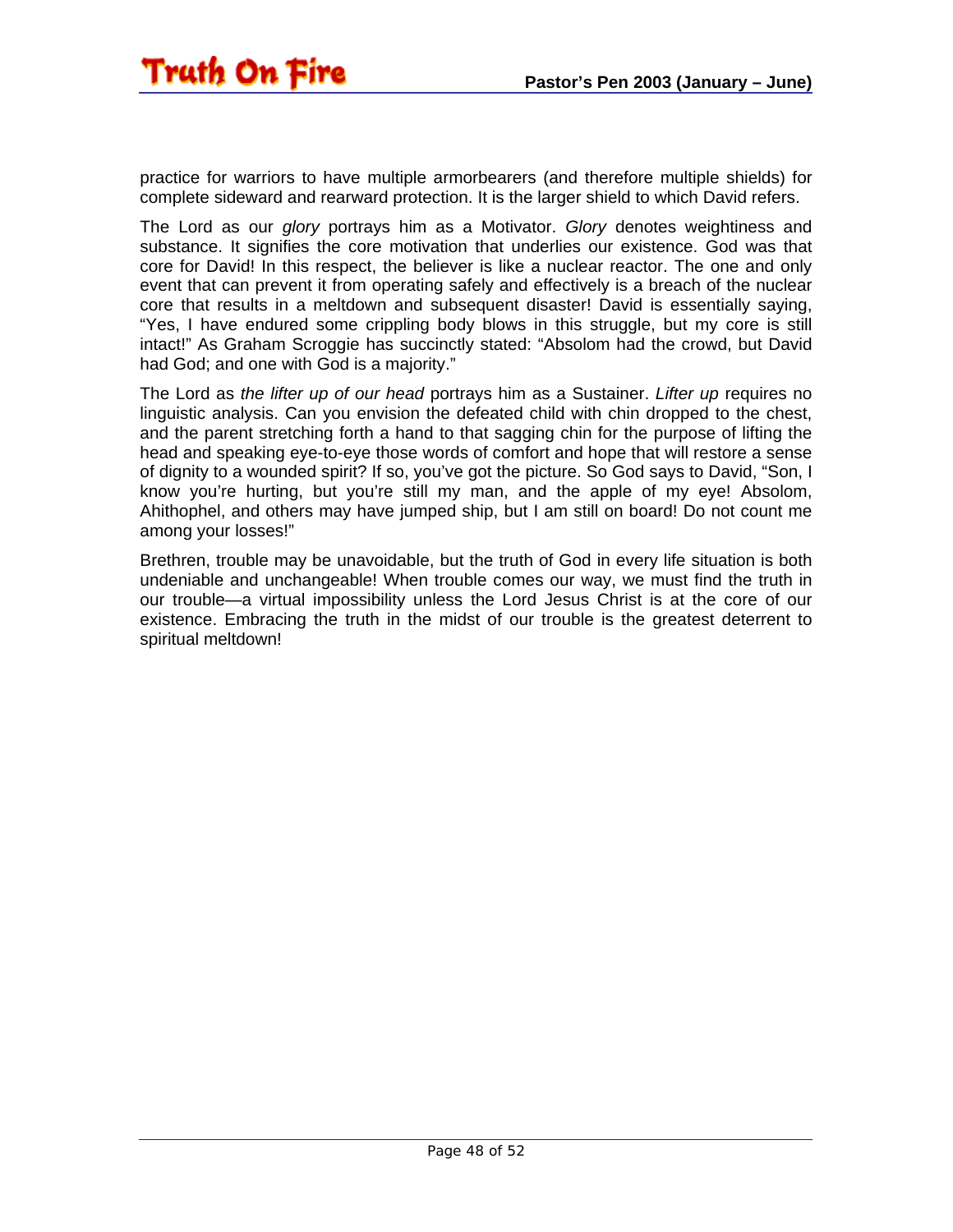practice for warriors to have multiple armorbearers (and therefore multiple shields) for complete sideward and rearward protection. It is the larger shield to which David refers.

The Lord as our *glory* portrays him as a Motivator. *Glory* denotes weightiness and substance. It signifies the core motivation that underlies our existence. God was that core for David! In this respect, the believer is like a nuclear reactor. The one and only event that can prevent it from operating safely and effectively is a breach of the nuclear core that results in a meltdown and subsequent disaster! David is essentially saying, "Yes, I have endured some crippling body blows in this struggle, but my core is still intact!" As Graham Scroggie has succinctly stated: "Absolom had the crowd, but David had God; and one with God is a majority."

The Lord as *the lifter up of our head* portrays him as a Sustainer. *Lifter up* requires no linguistic analysis. Can you envision the defeated child with chin dropped to the chest, and the parent stretching forth a hand to that sagging chin for the purpose of lifting the head and speaking eye-to-eye those words of comfort and hope that will restore a sense of dignity to a wounded spirit? If so, you've got the picture. So God says to David, "Son, I know you're hurting, but you're still my man, and the apple of my eye! Absolom, Ahithophel, and others may have jumped ship, but I am still on board! Do not count me among your losses!"

Brethren, trouble may be unavoidable, but the truth of God in every life situation is both undeniable and unchangeable! When trouble comes our way, we must find the truth in our trouble—a virtual impossibility unless the Lord Jesus Christ is at the core of our existence. Embracing the truth in the midst of our trouble is the greatest deterrent to spiritual meltdown!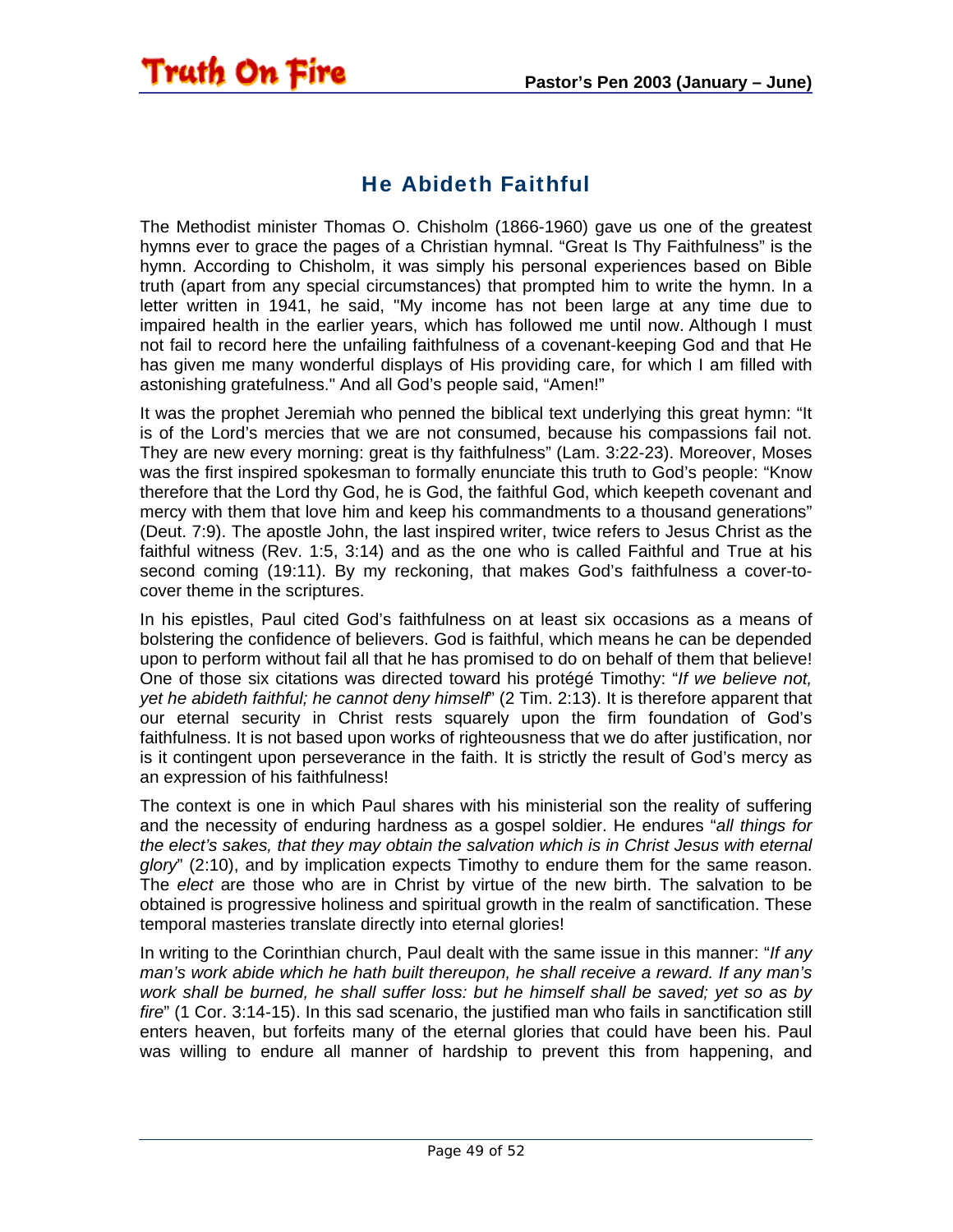#### He Abideth Faithful

<span id="page-48-0"></span>**Truth On Fire** 

The Methodist minister Thomas O. Chisholm (1866-1960) gave us one of the greatest hymns ever to grace the pages of a Christian hymnal. "Great Is Thy Faithfulness" is the hymn. According to Chisholm, it was simply his personal experiences based on Bible truth (apart from any special circumstances) that prompted him to write the hymn. In a letter written in 1941, he said, "My income has not been large at any time due to impaired health in the earlier years, which has followed me until now. Although I must not fail to record here the unfailing faithfulness of a covenant-keeping God and that He has given me many wonderful displays of His providing care, for which I am filled with astonishing gratefulness." And all God's people said, "Amen!"

It was the prophet Jeremiah who penned the biblical text underlying this great hymn: "It is of the Lord's mercies that we are not consumed, because his compassions fail not. They are new every morning: great is thy faithfulness" (Lam. 3:22-23). Moreover, Moses was the first inspired spokesman to formally enunciate this truth to God's people: "Know therefore that the Lord thy God, he is God, the faithful God, which keepeth covenant and mercy with them that love him and keep his commandments to a thousand generations" (Deut. 7:9). The apostle John, the last inspired writer, twice refers to Jesus Christ as the faithful witness (Rev. 1:5, 3:14) and as the one who is called Faithful and True at his second coming (19:11). By my reckoning, that makes God's faithfulness a cover-tocover theme in the scriptures.

In his epistles, Paul cited God's faithfulness on at least six occasions as a means of bolstering the confidence of believers. God is faithful, which means he can be depended upon to perform without fail all that he has promised to do on behalf of them that believe! One of those six citations was directed toward his protégé Timothy: "*If we believe not, yet he abideth faithful; he cannot deny himself*" (2 Tim. 2:13). It is therefore apparent that our eternal security in Christ rests squarely upon the firm foundation of God's faithfulness. It is not based upon works of righteousness that we do after justification, nor is it contingent upon perseverance in the faith. It is strictly the result of God's mercy as an expression of his faithfulness!

The context is one in which Paul shares with his ministerial son the reality of suffering and the necessity of enduring hardness as a gospel soldier. He endures "*all things for the elect's sakes, that they may obtain the salvation which is in Christ Jesus with eternal glory*" (2:10), and by implication expects Timothy to endure them for the same reason. The *elect* are those who are in Christ by virtue of the new birth. The salvation to be obtained is progressive holiness and spiritual growth in the realm of sanctification. These temporal masteries translate directly into eternal glories!

In writing to the Corinthian church, Paul dealt with the same issue in this manner: "*If any man's work abide which he hath built thereupon, he shall receive a reward. If any man's work shall be burned, he shall suffer loss: but he himself shall be saved; yet so as by fire*" (1 Cor. 3:14-15). In this sad scenario, the justified man who fails in sanctification still enters heaven, but forfeits many of the eternal glories that could have been his. Paul was willing to endure all manner of hardship to prevent this from happening, and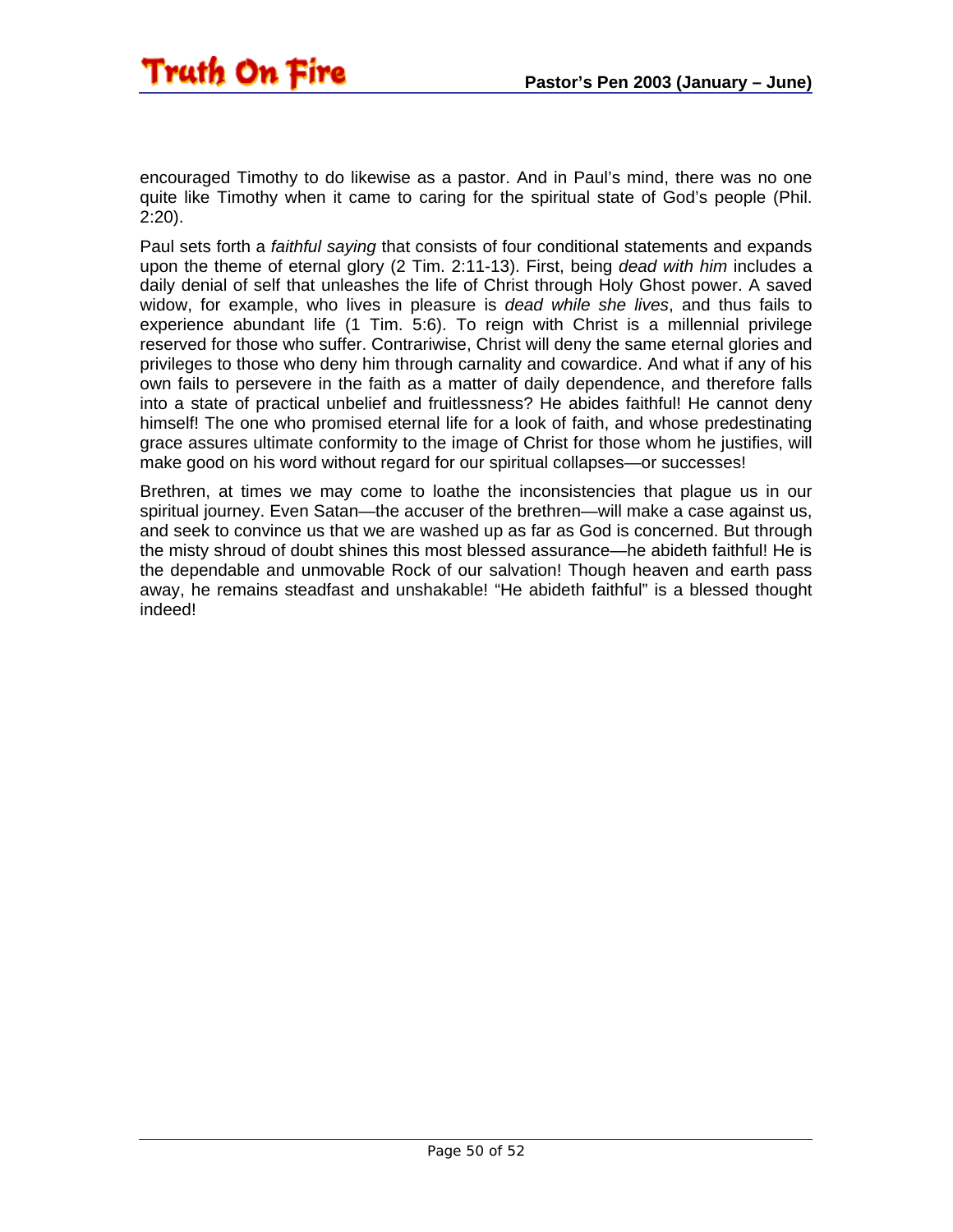

encouraged Timothy to do likewise as a pastor. And in Paul's mind, there was no one quite like Timothy when it came to caring for the spiritual state of God's people (Phil. 2:20).

Paul sets forth a *faithful saying* that consists of four conditional statements and expands upon the theme of eternal glory (2 Tim. 2:11-13). First, being *dead with him* includes a daily denial of self that unleashes the life of Christ through Holy Ghost power. A saved widow, for example, who lives in pleasure is *dead while she lives*, and thus fails to experience abundant life (1 Tim. 5:6). To reign with Christ is a millennial privilege reserved for those who suffer. Contrariwise, Christ will deny the same eternal glories and privileges to those who deny him through carnality and cowardice. And what if any of his own fails to persevere in the faith as a matter of daily dependence, and therefore falls into a state of practical unbelief and fruitlessness? He abides faithful! He cannot deny himself! The one who promised eternal life for a look of faith, and whose predestinating grace assures ultimate conformity to the image of Christ for those whom he justifies, will make good on his word without regard for our spiritual collapses—or successes!

Brethren, at times we may come to loathe the inconsistencies that plague us in our spiritual journey. Even Satan—the accuser of the brethren—will make a case against us, and seek to convince us that we are washed up as far as God is concerned. But through the misty shroud of doubt shines this most blessed assurance—he abideth faithful! He is the dependable and unmovable Rock of our salvation! Though heaven and earth pass away, he remains steadfast and unshakable! "He abideth faithful" is a blessed thought indeed!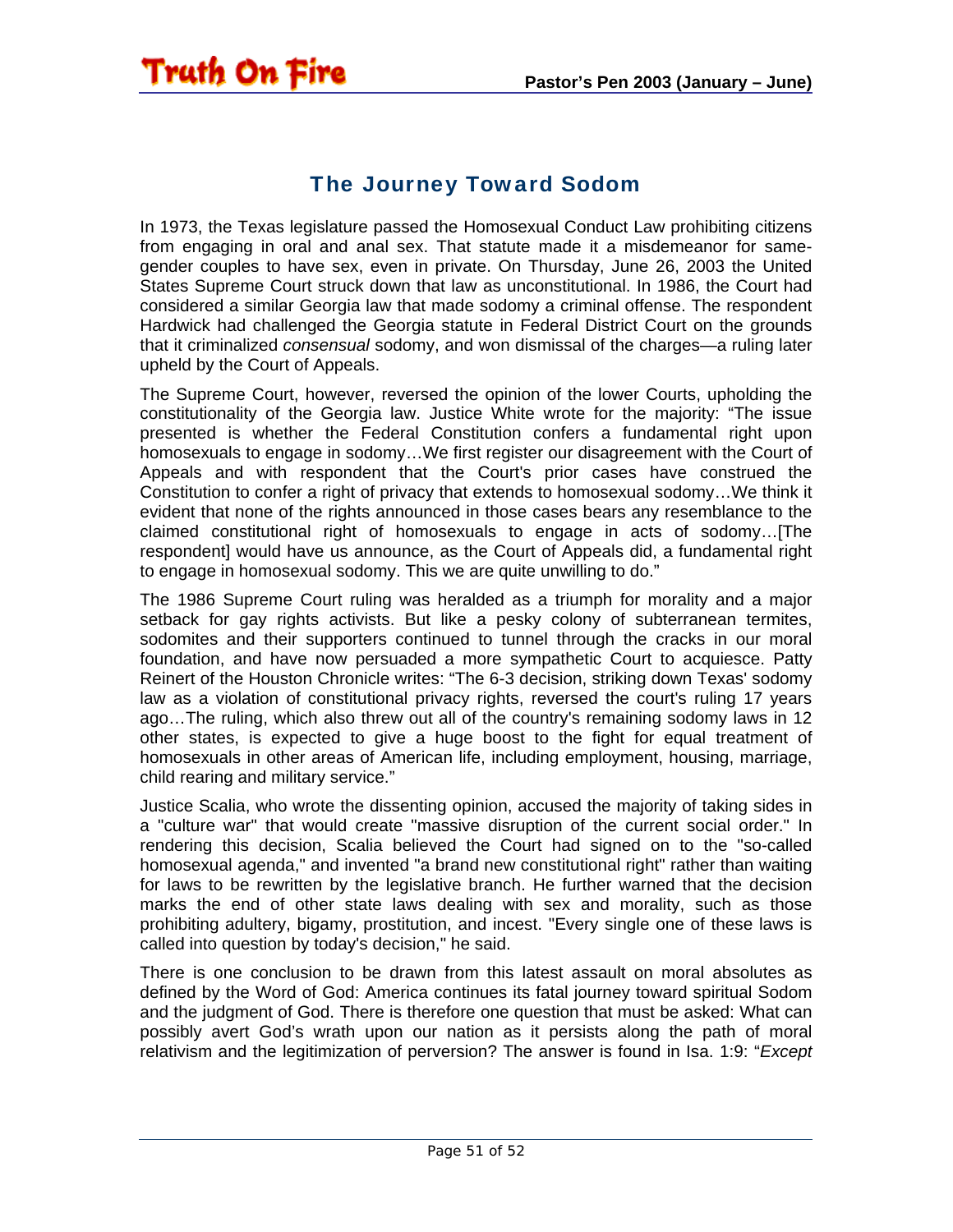#### The Journey Toward Sodom

<span id="page-50-0"></span>In 1973, the Texas legislature passed the Homosexual Conduct Law prohibiting citizens from engaging in oral and anal sex. That statute made it a misdemeanor for samegender couples to have sex, even in private. On Thursday, June 26, 2003 the United States Supreme Court struck down that law as unconstitutional. In 1986, the Court had considered a similar Georgia law that made sodomy a criminal offense. The respondent Hardwick had challenged the Georgia statute in Federal District Court on the grounds that it criminalized *consensual* sodomy, and won dismissal of the charges—a ruling later upheld by the Court of Appeals.

The Supreme Court, however, reversed the opinion of the lower Courts, upholding the constitutionality of the Georgia law. Justice White wrote for the majority: "The issue presented is whether the Federal Constitution confers a fundamental right upon homosexuals to engage in sodomy…We first register our disagreement with the Court of Appeals and with respondent that the Court's prior cases have construed the Constitution to confer a right of privacy that extends to homosexual sodomy…We think it evident that none of the rights announced in those cases bears any resemblance to the claimed constitutional right of homosexuals to engage in acts of sodomy…[The respondent] would have us announce, as the Court of Appeals did, a fundamental right to engage in homosexual sodomy. This we are quite unwilling to do."

The 1986 Supreme Court ruling was heralded as a triumph for morality and a major setback for gay rights activists. But like a pesky colony of subterranean termites, sodomites and their supporters continued to tunnel through the cracks in our moral foundation, and have now persuaded a more sympathetic Court to acquiesce. Patty Reinert of the Houston Chronicle writes: "The 6-3 decision, striking down Texas' sodomy law as a violation of constitutional privacy rights, reversed the court's ruling 17 years ago…The ruling, which also threw out all of the country's remaining sodomy laws in 12 other states, is expected to give a huge boost to the fight for equal treatment of homosexuals in other areas of American life, including employment, housing, marriage, child rearing and military service."

Justice Scalia, who wrote the dissenting opinion, accused the majority of taking sides in a "culture war" that would create "massive disruption of the current social order." In rendering this decision, Scalia believed the Court had signed on to the "so-called homosexual agenda," and invented "a brand new constitutional right" rather than waiting for laws to be rewritten by the legislative branch. He further warned that the decision marks the end of other state laws dealing with sex and morality, such as those prohibiting adultery, bigamy, prostitution, and incest. "Every single one of these laws is called into question by today's decision," he said.

There is one conclusion to be drawn from this latest assault on moral absolutes as defined by the Word of God: America continues its fatal journey toward spiritual Sodom and the judgment of God. There is therefore one question that must be asked: What can possibly avert God's wrath upon our nation as it persists along the path of moral relativism and the legitimization of perversion? The answer is found in Isa. 1:9: "*Except*